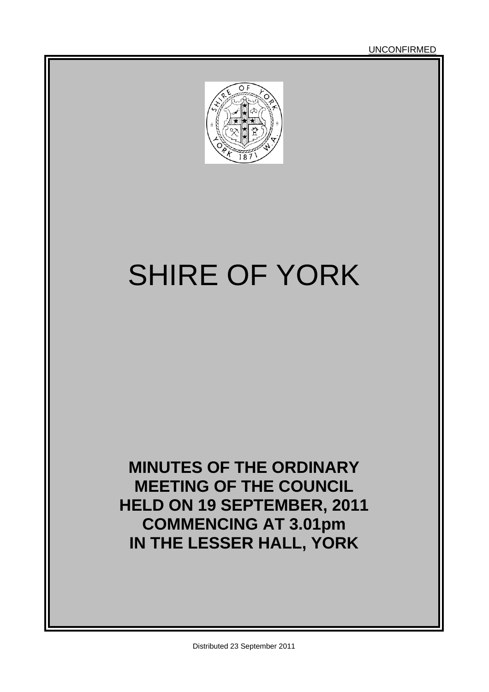UNCONFIRMED



# SHIRE OF YORK

**MINUTES OF THE ORDINARY MEETING OF THE COUNCIL HELD ON 19 SEPTEMBER, 2011 COMMENCING AT 3.01pm IN THE LESSER HALL, YORK**

Distributed 23 September 2011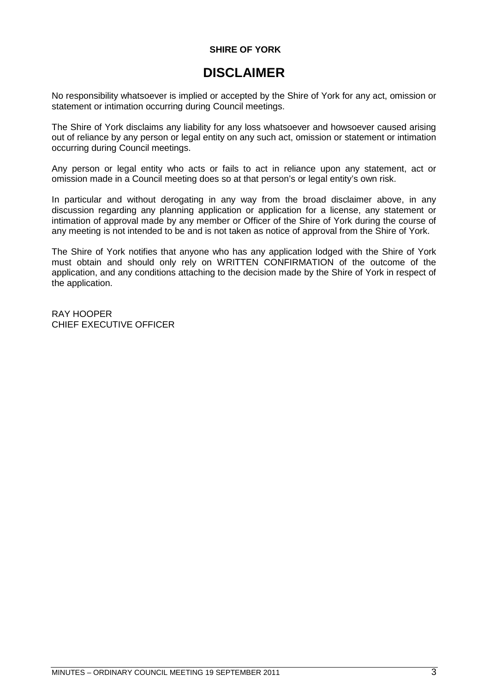### **SHIRE OF YORK**

### **DISCLAIMER**

No responsibility whatsoever is implied or accepted by the Shire of York for any act, omission or statement or intimation occurring during Council meetings.

The Shire of York disclaims any liability for any loss whatsoever and howsoever caused arising out of reliance by any person or legal entity on any such act, omission or statement or intimation occurring during Council meetings.

Any person or legal entity who acts or fails to act in reliance upon any statement, act or omission made in a Council meeting does so at that person's or legal entity's own risk.

In particular and without derogating in any way from the broad disclaimer above, in any discussion regarding any planning application or application for a license, any statement or intimation of approval made by any member or Officer of the Shire of York during the course of any meeting is not intended to be and is not taken as notice of approval from the Shire of York.

The Shire of York notifies that anyone who has any application lodged with the Shire of York must obtain and should only rely on WRITTEN CONFIRMATION of the outcome of the application, and any conditions attaching to the decision made by the Shire of York in respect of the application.

RAY HOOPER CHIEF EXECUTIVE OFFICER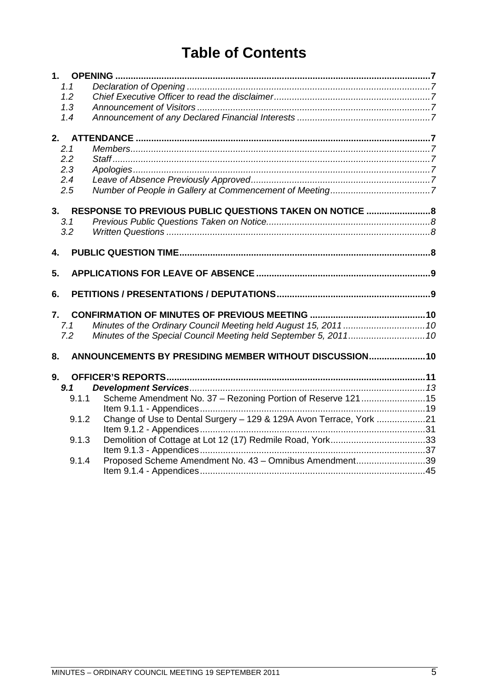# **Table of Contents**

| 1.1   |                                                                    |  |
|-------|--------------------------------------------------------------------|--|
| 1.2   |                                                                    |  |
| 1.3   |                                                                    |  |
| 1.4   |                                                                    |  |
|       |                                                                    |  |
| 2.1   |                                                                    |  |
| 2.2   |                                                                    |  |
| 2.3   |                                                                    |  |
| 2.4   |                                                                    |  |
| 2.5   |                                                                    |  |
| 3.    | RESPONSE TO PREVIOUS PUBLIC QUESTIONS TAKEN ON NOTICE  8           |  |
| 3.1   |                                                                    |  |
| 3.2   |                                                                    |  |
| 4.    |                                                                    |  |
|       |                                                                    |  |
| 5.    |                                                                    |  |
| 6.    |                                                                    |  |
| 7.    |                                                                    |  |
| 7.1   |                                                                    |  |
| 7.2   | Minutes of the Special Council Meeting held September 5, 2011 10   |  |
| 8.    | ANNOUNCEMENTS BY PRESIDING MEMBER WITHOUT DISCUSSION 10            |  |
| 9.    |                                                                    |  |
| 9.1   |                                                                    |  |
| 9.1.1 | Scheme Amendment No. 37 - Rezoning Portion of Reserve 12115        |  |
|       |                                                                    |  |
| 9.1.2 | Change of Use to Dental Surgery - 129 & 129A Avon Terrace, York 21 |  |
|       |                                                                    |  |
| 9.1.3 |                                                                    |  |
|       |                                                                    |  |
|       |                                                                    |  |
| 9.1.4 | Proposed Scheme Amendment No. 43 - Omnibus Amendment39             |  |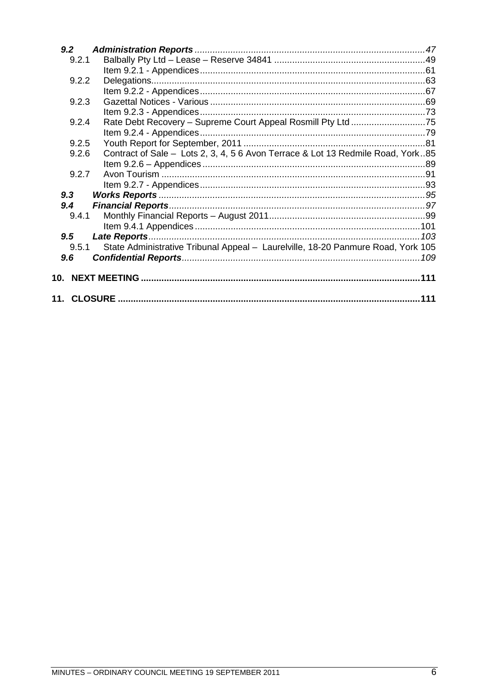| 9.2   |                                                                                  |  |
|-------|----------------------------------------------------------------------------------|--|
| 9.2.1 |                                                                                  |  |
|       |                                                                                  |  |
| 9.2.2 |                                                                                  |  |
|       |                                                                                  |  |
| 9.2.3 |                                                                                  |  |
|       |                                                                                  |  |
| 9.2.4 |                                                                                  |  |
|       |                                                                                  |  |
| 9.2.5 |                                                                                  |  |
| 9.2.6 | Contract of Sale - Lots 2, 3, 4, 5 6 Avon Terrace & Lot 13 Redmile Road, York85  |  |
|       |                                                                                  |  |
| 9.2.7 |                                                                                  |  |
|       |                                                                                  |  |
| 9.3   |                                                                                  |  |
| 9.4   |                                                                                  |  |
| 9.4.1 |                                                                                  |  |
|       |                                                                                  |  |
| 9.5   |                                                                                  |  |
| 9.5.1 | State Administrative Tribunal Appeal - Laurelville, 18-20 Panmure Road, York 105 |  |
| 9.6   |                                                                                  |  |
|       |                                                                                  |  |
|       |                                                                                  |  |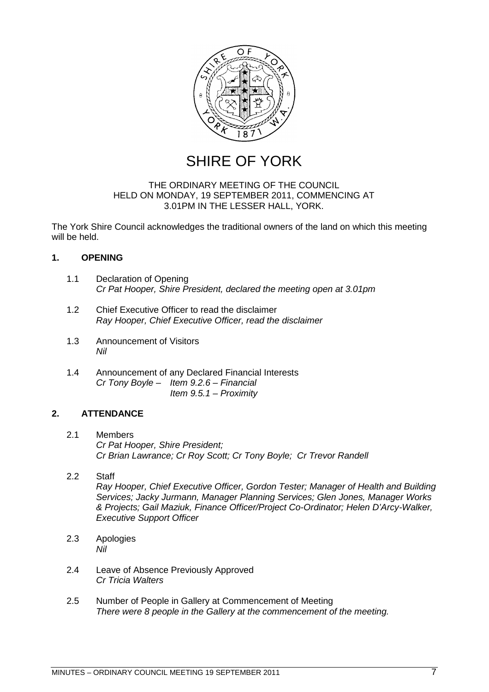

SHIRE OF YORK

### THE ORDINARY MEETING OF THE COUNCIL HELD ON MONDAY, 19 SEPTEMBER 2011, COMMENCING AT 3.01PM IN THE LESSER HALL, YORK.

The York Shire Council acknowledges the traditional owners of the land on which this meeting will be held.

### <span id="page-6-0"></span>**1. OPENING**

- <span id="page-6-1"></span>1.1 Declaration of Opening *Cr Pat Hooper, Shire President, declared the meeting open at 3.01pm*
- <span id="page-6-2"></span>1.2 Chief Executive Officer to read the disclaimer *Ray Hooper, Chief Executive Officer, read the disclaimer*
- <span id="page-6-3"></span>1.3 Announcement of Visitors *Nil*
- <span id="page-6-4"></span>1.4 Announcement of any Declared Financial Interests *Cr Tony Boyle – Item 9.2.6 – Financial Item 9.5.1 – Proximity*

### <span id="page-6-5"></span>**2. ATTENDANCE**

- <span id="page-6-6"></span>2.1 Members *Cr Pat Hooper, Shire President; Cr Brian Lawrance; Cr Roy Scott; Cr Tony Boyle; Cr Trevor Randell*
- <span id="page-6-7"></span>2.2 Staff *Ray Hooper, Chief Executive Officer, Gordon Tester; Manager of Health and Building Services; Jacky Jurmann, Manager Planning Services; Glen Jones, Manager Works & Projects; Gail Maziuk, Finance Officer/Project Co-Ordinator; Helen D'Arcy-Walker, Executive Support Officer*
- <span id="page-6-8"></span>2.3 Apologies *Nil*
- <span id="page-6-9"></span>2.4 Leave of Absence Previously Approved *Cr Tricia Walters*
- <span id="page-6-10"></span>2.5 Number of People in Gallery at Commencement of Meeting *There were 8 people in the Gallery at the commencement of the meeting.*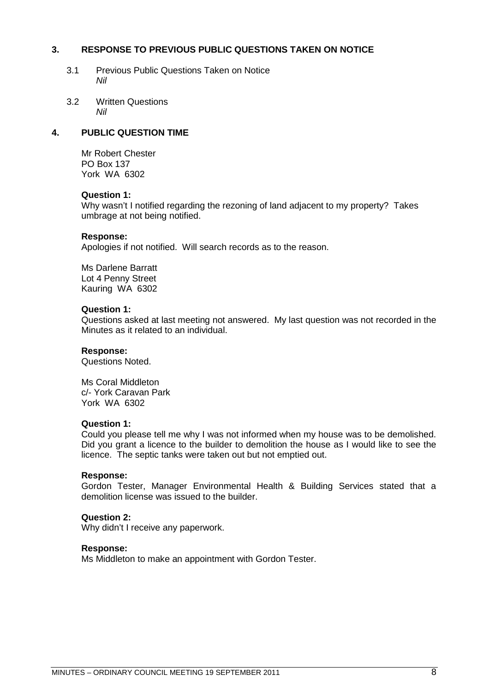### **3. RESPONSE TO PREVIOUS PUBLIC QUESTIONS TAKEN ON NOTICE**

- <span id="page-7-1"></span><span id="page-7-0"></span>3.1 Previous Public Questions Taken on Notice *Nil*
- <span id="page-7-2"></span>3.2 Written Questions *Nil*

### **4. PUBLIC QUESTION TIME**

<span id="page-7-3"></span>Mr Robert Chester PO Box 137 York WA 6302

### **Question 1:**

Why wasn't I notified regarding the rezoning of land adjacent to my property? Takes umbrage at not being notified.

### **Response:**

Apologies if not notified. Will search records as to the reason.

Ms Darlene Barratt Lot 4 Penny Street Kauring WA 6302

### **Question 1:**

Questions asked at last meeting not answered. My last question was not recorded in the Minutes as it related to an individual.

### **Response:**

Questions Noted.

Ms Coral Middleton c/- York Caravan Park York WA 6302

### **Question 1:**

Could you please tell me why I was not informed when my house was to be demolished. Did you grant a licence to the builder to demolition the house as I would like to see the licence. The septic tanks were taken out but not emptied out.

### **Response:**

Gordon Tester, Manager Environmental Health & Building Services stated that a demolition license was issued to the builder.

### **Question 2:**

Why didn't I receive any paperwork.

### **Response:**

Ms Middleton to make an appointment with Gordon Tester.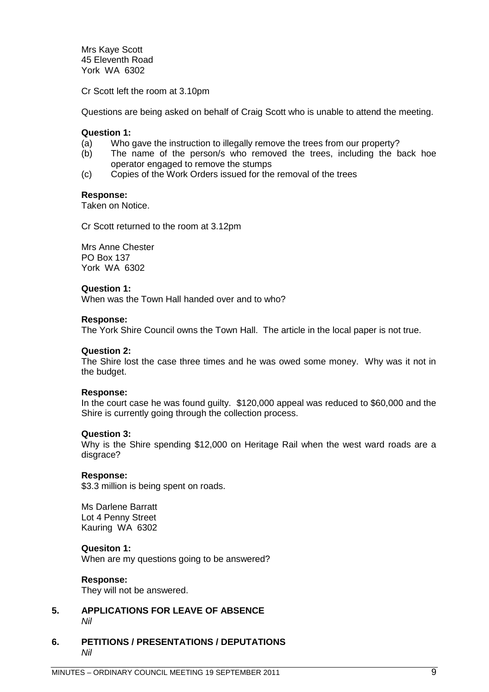Mrs Kaye Scott 45 Eleventh Road York WA 6302

Cr Scott left the room at 3.10pm

Questions are being asked on behalf of Craig Scott who is unable to attend the meeting.

### **Question 1:**

- (a) Who gave the instruction to illegally remove the trees from our property?
- (b) The name of the person/s who removed the trees, including the back hoe operator engaged to remove the stumps
- (c) Copies of the Work Orders issued for the removal of the trees

### **Response:**

Taken on Notice.

Cr Scott returned to the room at 3.12pm

Mrs Anne Chester PO Box 137 York WA 6302

#### **Question 1:**

When was the Town Hall handed over and to who?

#### **Response:**

The York Shire Council owns the Town Hall. The article in the local paper is not true.

### **Question 2:**

The Shire lost the case three times and he was owed some money. Why was it not in the budget.

### **Response:**

In the court case he was found guilty. \$120,000 appeal was reduced to \$60,000 and the Shire is currently going through the collection process.

### **Question 3:**

Why is the Shire spending \$12,000 on Heritage Rail when the west ward roads are a disgrace?

### **Response:**

\$3.3 million is being spent on roads.

Ms Darlene Barratt Lot 4 Penny Street Kauring WA 6302

### **Quesiton 1:**

When are my questions going to be answered?

#### **Response:**

<span id="page-8-0"></span>They will not be answered.

- **5. APPLICATIONS FOR LEAVE OF ABSENCE** *Nil*
- <span id="page-8-1"></span>**6. PETITIONS / PRESENTATIONS / DEPUTATIONS** *Nil*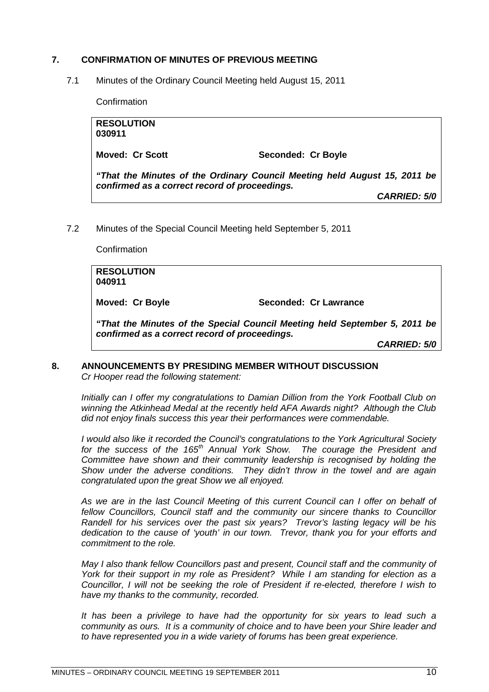### <span id="page-9-0"></span>**7. CONFIRMATION OF MINUTES OF PREVIOUS MEETING**

7.1 Minutes of the Ordinary Council Meeting held August 15, 2011

<span id="page-9-1"></span>**Confirmation** 

| <b>RESOLUTION</b><br>030911                                                                                                |                     |  |
|----------------------------------------------------------------------------------------------------------------------------|---------------------|--|
| <b>Moved: Cr Scott</b>                                                                                                     | Seconded: Cr Boyle  |  |
| "That the Minutes of the Ordinary Council Meeting held August 15, 2011 be<br>confirmed as a correct record of proceedings. |                     |  |
|                                                                                                                            | <b>CARRIED: 5/0</b> |  |
|                                                                                                                            |                     |  |

7.2 Minutes of the Special Council Meeting held September 5, 2011

<span id="page-9-2"></span>**Confirmation RESOLUTION 040911 Moved: Cr Boyle Seconded: Cr Lawrance** *"That the Minutes of the Special Council Meeting held September 5, 2011 be confirmed as a correct record of proceedings. CARRIED: 5/0*

### <span id="page-9-3"></span>**8. ANNOUNCEMENTS BY PRESIDING MEMBER WITHOUT DISCUSSION** *Cr Hooper read the following statement:*

*Initially can I offer my congratulations to Damian Dillion from the York Football Club on winning the Atkinhead Medal at the recently held AFA Awards night? Although the Club did not enjoy finals success this year their performances were commendable.*

*I would also like it recorded the Council's congratulations to the York Agricultural Society for the success of the 165th Annual York Show. The courage the President and Committee have shown and their community leadership is recognised by holding the Show under the adverse conditions. They didn't throw in the towel and are again congratulated upon the great Show we all enjoyed.*

*As we are in the last Council Meeting of this current Council can I offer on behalf of fellow Councillors, Council staff and the community our sincere thanks to Councillor Randell for his services over the past six years? Trevor's lasting legacy will be his dedication to the cause of 'youth' in our town. Trevor, thank you for your efforts and commitment to the role.*

*May I also thank fellow Councillors past and present, Council staff and the community of York for their support in my role as President? While I am standing for election as a Councillor, I will not be seeking the role of President if re-elected, therefore I wish to have my thanks to the community, recorded.*

*It has been a privilege to have had the opportunity for six years to lead such a community as ours. It is a community of choice and to have been your Shire leader and to have represented you in a wide variety of forums has been great experience.*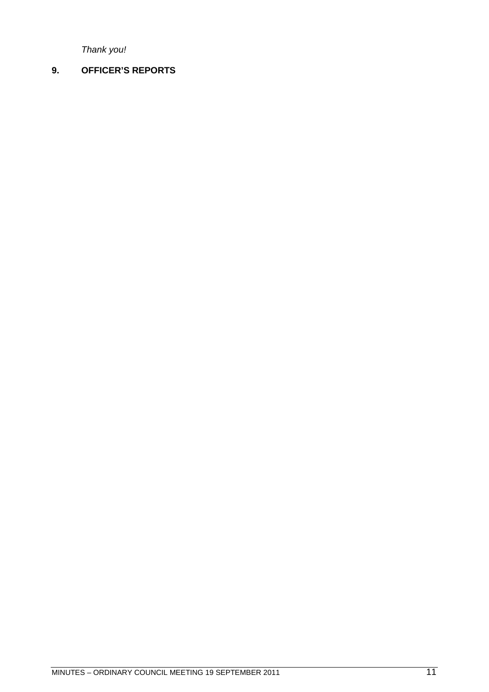<span id="page-10-0"></span>*Thank you!*

### **9. OFFICER'S REPORTS**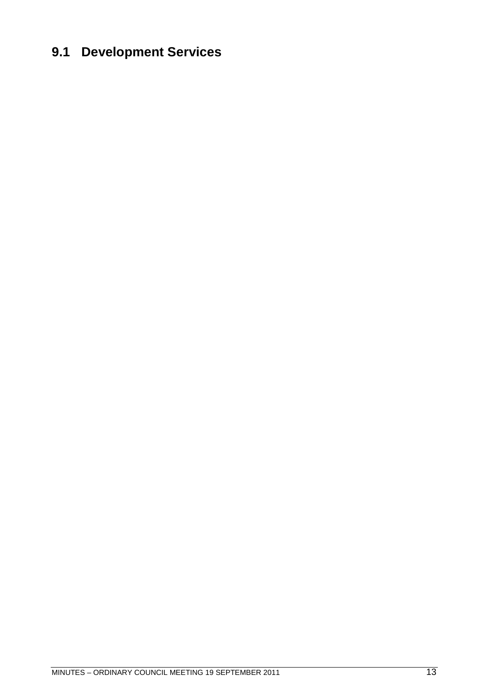# <span id="page-12-0"></span>**9.1 Development Services**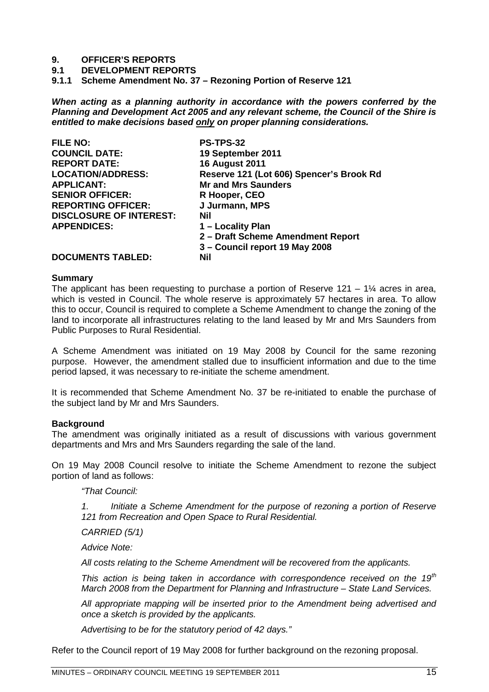### **9. OFFICER'S REPORTS**

**9.1 DEVELOPMENT REPORTS**

<span id="page-14-0"></span>**9.1.1 Scheme Amendment No. 37 – Rezoning Portion of Reserve 121**

*When acting as a planning authority in accordance with the powers conferred by the Planning and Development Act 2005 and any relevant scheme, the Council of the Shire is entitled to make decisions based only on proper planning considerations.*

| <b>FILE NO:</b>                | <b>PS-TPS-32</b>                         |
|--------------------------------|------------------------------------------|
| <b>COUNCIL DATE:</b>           | 19 September 2011                        |
| <b>REPORT DATE:</b>            | <b>16 August 2011</b>                    |
| <b>LOCATION/ADDRESS:</b>       | Reserve 121 (Lot 606) Spencer's Brook Rd |
| <b>APPLICANT:</b>              | <b>Mr and Mrs Saunders</b>               |
| <b>SENIOR OFFICER:</b>         | R Hooper, CEO                            |
| <b>REPORTING OFFICER:</b>      | J Jurmann, MPS                           |
| <b>DISCLOSURE OF INTEREST:</b> | Nil                                      |
| <b>APPENDICES:</b>             | 1 – Locality Plan                        |
|                                | 2 – Draft Scheme Amendment Report        |
|                                | 3 – Council report 19 May 2008           |
| <b>DOCUMENTS TABLED:</b>       | Nil                                      |

### **Summary**

The applicant has been requesting to purchase a portion of Reserve 121 – 1 $\frac{1}{4}$  acres in area, which is vested in Council. The whole reserve is approximately 57 hectares in area. To allow this to occur, Council is required to complete a Scheme Amendment to change the zoning of the land to incorporate all infrastructures relating to the land leased by Mr and Mrs Saunders from Public Purposes to Rural Residential.

A Scheme Amendment was initiated on 19 May 2008 by Council for the same rezoning purpose. However, the amendment stalled due to insufficient information and due to the time period lapsed, it was necessary to re-initiate the scheme amendment.

It is recommended that Scheme Amendment No. 37 be re-initiated to enable the purchase of the subject land by Mr and Mrs Saunders.

### **Background**

The amendment was originally initiated as a result of discussions with various government departments and Mrs and Mrs Saunders regarding the sale of the land.

On 19 May 2008 Council resolve to initiate the Scheme Amendment to rezone the subject portion of land as follows:

*"That Council:*

*1. Initiate a Scheme Amendment for the purpose of rezoning a portion of Reserve 121 from Recreation and Open Space to Rural Residential.*

*CARRIED (5/1)*

*Advice Note:*

*All costs relating to the Scheme Amendment will be recovered from the applicants.*

*This action is being taken in accordance with correspondence received on the 19th March 2008 from the Department for Planning and Infrastructure – State Land Services.*

*All appropriate mapping will be inserted prior to the Amendment being advertised and once a sketch is provided by the applicants.*

*Advertising to be for the statutory period of 42 days."*

Refer to the Council report of 19 May 2008 for further background on the rezoning proposal.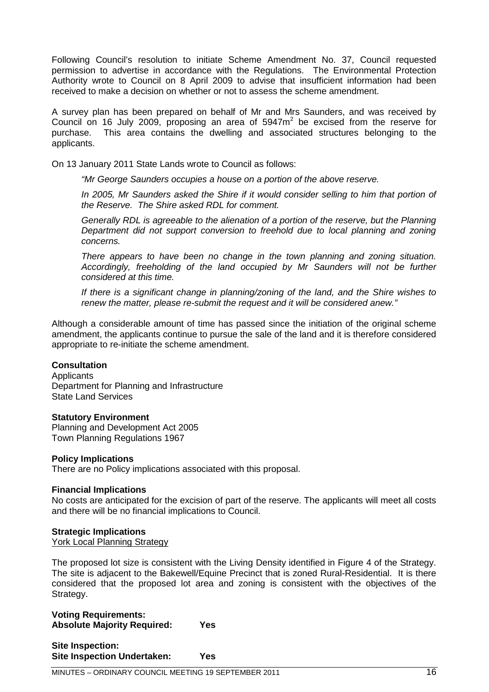Following Council's resolution to initiate Scheme Amendment No. 37, Council requested permission to advertise in accordance with the Regulations. The Environmental Protection Authority wrote to Council on 8 April 2009 to advise that insufficient information had been received to make a decision on whether or not to assess the scheme amendment.

A survey plan has been prepared on behalf of Mr and Mrs Saunders, and was received by Council on 16 July 2009, proposing an area of  $5947m<sup>2</sup>$  be excised from the reserve for purchase. This area contains the dwelling and associated structures belonging to the applicants.

On 13 January 2011 State Lands wrote to Council as follows:

*"Mr George Saunders occupies a house on a portion of the above reserve.*

*In 2005, Mr Saunders asked the Shire if it would consider selling to him that portion of the Reserve. The Shire asked RDL for comment.*

*Generally RDL is agreeable to the alienation of a portion of the reserve, but the Planning Department did not support conversion to freehold due to local planning and zoning concerns.*

*There appears to have been no change in the town planning and zoning situation. Accordingly, freeholding of the land occupied by Mr Saunders will not be further considered at this time.*

*If there is a significant change in planning/zoning of the land, and the Shire wishes to renew the matter, please re-submit the request and it will be considered anew."*

Although a considerable amount of time has passed since the initiation of the original scheme amendment, the applicants continue to pursue the sale of the land and it is therefore considered appropriate to re-initiate the scheme amendment.

### **Consultation**

**Applicants** Department for Planning and Infrastructure State Land Services

### **Statutory Environment**

Planning and Development Act 2005 Town Planning Regulations 1967

### **Policy Implications**

There are no Policy implications associated with this proposal.

### **Financial Implications**

No costs are anticipated for the excision of part of the reserve. The applicants will meet all costs and there will be no financial implications to Council.

### **Strategic Implications**

York Local Planning Strategy

The proposed lot size is consistent with the Living Density identified in Figure 4 of the Strategy. The site is adjacent to the Bakewell/Equine Precinct that is zoned Rural-Residential. It is there considered that the proposed lot area and zoning is consistent with the objectives of the Strategy.

**Voting Requirements: Absolute Majority Required: Yes**

**Site Inspection: Site Inspection Undertaken: Yes**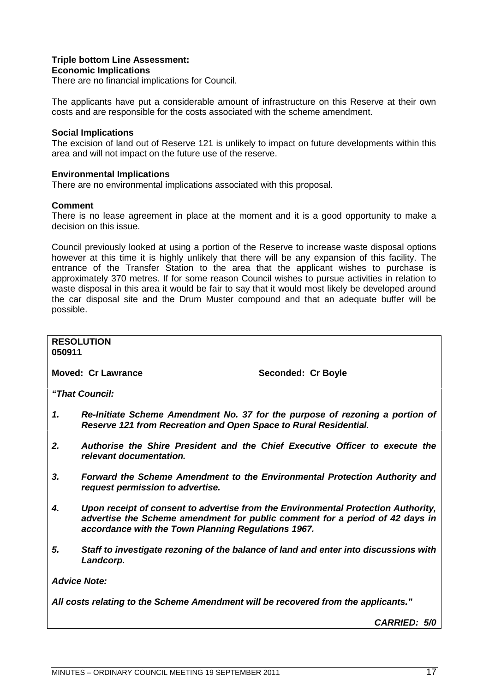### **Triple bottom Line Assessment:**

### **Economic Implications**

There are no financial implications for Council.

The applicants have put a considerable amount of infrastructure on this Reserve at their own costs and are responsible for the costs associated with the scheme amendment.

### **Social Implications**

The excision of land out of Reserve 121 is unlikely to impact on future developments within this area and will not impact on the future use of the reserve.

### **Environmental Implications**

There are no environmental implications associated with this proposal.

### **Comment**

There is no lease agreement in place at the moment and it is a good opportunity to make a decision on this issue.

Council previously looked at using a portion of the Reserve to increase waste disposal options however at this time it is highly unlikely that there will be any expansion of this facility. The entrance of the Transfer Station to the area that the applicant wishes to purchase is approximately 370 metres. If for some reason Council wishes to pursue activities in relation to waste disposal in this area it would be fair to say that it would most likely be developed around the car disposal site and the Drum Muster compound and that an adequate buffer will be possible.

### **RESOLUTION 050911 Moved: Cr Lawrance Seconded: Cr Boyle** *"That Council: 1. Re-Initiate Scheme Amendment No. 37 for the purpose of rezoning a portion of Reserve 121 from Recreation and Open Space to Rural Residential. 2. Authorise the Shire President and the Chief Executive Officer to execute the relevant documentation. 3. Forward the Scheme Amendment to the Environmental Protection Authority and request permission to advertise. 4. Upon receipt of consent to advertise from the Environmental Protection Authority, advertise the Scheme amendment for public comment for a period of 42 days in accordance with the Town Planning Regulations 1967.*

*5. Staff to investigate rezoning of the balance of land and enter into discussions with Landcorp.*

*Advice Note:*

*All costs relating to the Scheme Amendment will be recovered from the applicants."*

*CARRIED: 5/0*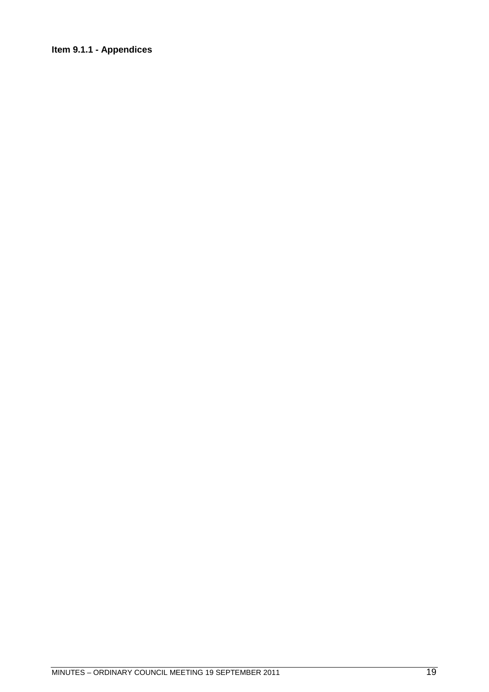### <span id="page-18-0"></span>**Item 9.1.1 - Appendices**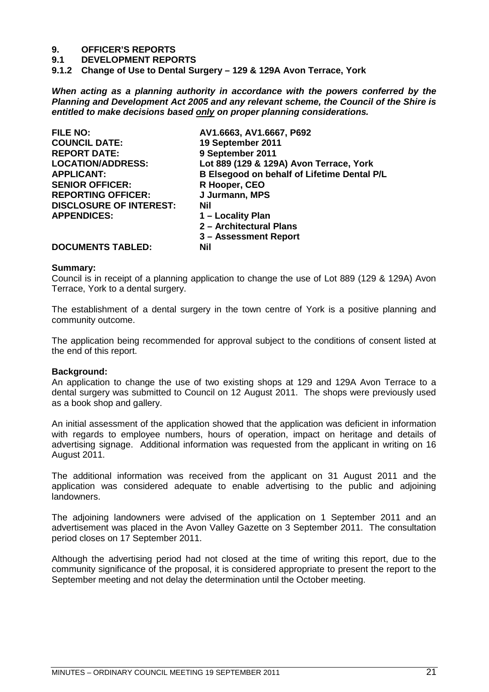# **9. OFFICER'S REPORTS**

- **9.1 DEVELOPMENT REPORTS**
- <span id="page-20-0"></span>**9.1.2 Change of Use to Dental Surgery – 129 & 129A Avon Terrace, York**

*When acting as a planning authority in accordance with the powers conferred by the Planning and Development Act 2005 and any relevant scheme, the Council of the Shire is entitled to make decisions based only on proper planning considerations.*

| <b>FILE NO:</b>                | AV1.6663, AV1.6667, P692                    |
|--------------------------------|---------------------------------------------|
| <b>COUNCIL DATE:</b>           | 19 September 2011                           |
| <b>REPORT DATE:</b>            | 9 September 2011                            |
| <b>LOCATION/ADDRESS:</b>       | Lot 889 (129 & 129A) Avon Terrace, York     |
| <b>APPLICANT:</b>              | B Elsegood on behalf of Lifetime Dental P/L |
| <b>SENIOR OFFICER:</b>         | R Hooper, CEO                               |
| <b>REPORTING OFFICER:</b>      | J Jurmann, MPS                              |
| <b>DISCLOSURE OF INTEREST:</b> | Nil                                         |
| <b>APPENDICES:</b>             | 1 – Locality Plan                           |
|                                | 2 - Architectural Plans                     |
|                                | 3 – Assessment Report                       |
| <b>DOCUMENTS TABLED:</b>       | <b>Nil</b>                                  |

### **Summary:**

Council is in receipt of a planning application to change the use of Lot 889 (129 & 129A) Avon Terrace, York to a dental surgery.

The establishment of a dental surgery in the town centre of York is a positive planning and community outcome.

The application being recommended for approval subject to the conditions of consent listed at the end of this report.

### **Background:**

An application to change the use of two existing shops at 129 and 129A Avon Terrace to a dental surgery was submitted to Council on 12 August 2011. The shops were previously used as a book shop and gallery.

An initial assessment of the application showed that the application was deficient in information with regards to employee numbers, hours of operation, impact on heritage and details of advertising signage. Additional information was requested from the applicant in writing on 16 August 2011.

The additional information was received from the applicant on 31 August 2011 and the application was considered adequate to enable advertising to the public and adjoining landowners.

The adjoining landowners were advised of the application on 1 September 2011 and an advertisement was placed in the Avon Valley Gazette on 3 September 2011. The consultation period closes on 17 September 2011.

Although the advertising period had not closed at the time of writing this report, due to the community significance of the proposal, it is considered appropriate to present the report to the September meeting and not delay the determination until the October meeting.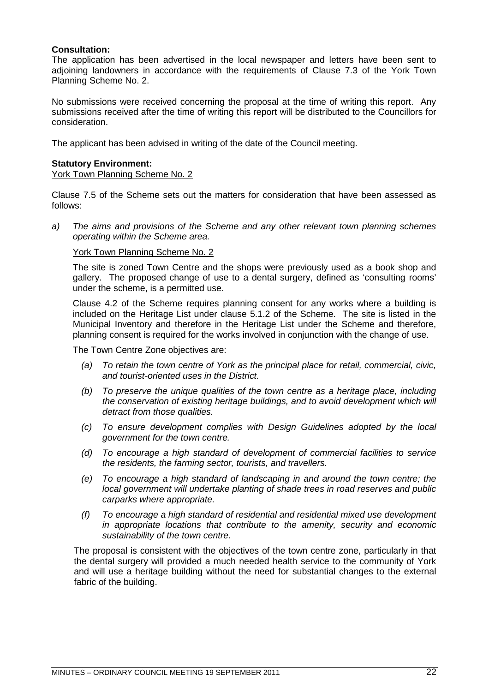### **Consultation:**

The application has been advertised in the local newspaper and letters have been sent to adjoining landowners in accordance with the requirements of Clause 7.3 of the York Town Planning Scheme No. 2.

No submissions were received concerning the proposal at the time of writing this report. Any submissions received after the time of writing this report will be distributed to the Councillors for consideration.

The applicant has been advised in writing of the date of the Council meeting.

### **Statutory Environment:**

York Town Planning Scheme No. 2

Clause 7.5 of the Scheme sets out the matters for consideration that have been assessed as follows:

*a) The aims and provisions of the Scheme and any other relevant town planning schemes operating within the Scheme area.*

### York Town Planning Scheme No. 2

The site is zoned Town Centre and the shops were previously used as a book shop and gallery. The proposed change of use to a dental surgery, defined as 'consulting rooms' under the scheme, is a permitted use.

Clause 4.2 of the Scheme requires planning consent for any works where a building is included on the Heritage List under clause 5.1.2 of the Scheme. The site is listed in the Municipal Inventory and therefore in the Heritage List under the Scheme and therefore, planning consent is required for the works involved in conjunction with the change of use.

The Town Centre Zone objectives are:

- *(a) To retain the town centre of York as the principal place for retail, commercial, civic, and tourist-oriented uses in the District.*
- *(b) To preserve the unique qualities of the town centre as a heritage place, including the conservation of existing heritage buildings, and to avoid development which will detract from those qualities.*
- *(c) To ensure development complies with Design Guidelines adopted by the local government for the town centre.*
- *(d) To encourage a high standard of development of commercial facilities to service the residents, the farming sector, tourists, and travellers.*
- *(e) To encourage a high standard of landscaping in and around the town centre; the local government will undertake planting of shade trees in road reserves and public carparks where appropriate.*
- *(f) To encourage a high standard of residential and residential mixed use development in appropriate locations that contribute to the amenity, security and economic sustainability of the town centre.*

The proposal is consistent with the objectives of the town centre zone, particularly in that the dental surgery will provided a much needed health service to the community of York and will use a heritage building without the need for substantial changes to the external fabric of the building.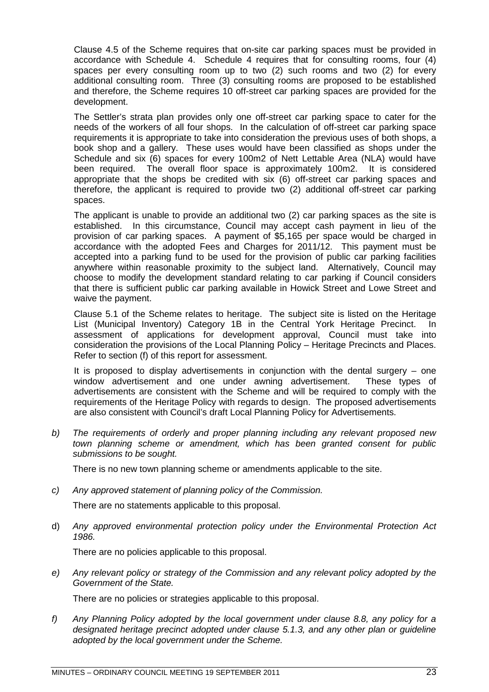Clause 4.5 of the Scheme requires that on-site car parking spaces must be provided in accordance with Schedule 4. Schedule 4 requires that for consulting rooms, four (4) spaces per every consulting room up to two (2) such rooms and two (2) for every additional consulting room. Three (3) consulting rooms are proposed to be established and therefore, the Scheme requires 10 off-street car parking spaces are provided for the development.

The Settler's strata plan provides only one off-street car parking space to cater for the needs of the workers of all four shops. In the calculation of off-street car parking space requirements it is appropriate to take into consideration the previous uses of both shops, a book shop and a gallery. These uses would have been classified as shops under the Schedule and six (6) spaces for every 100m2 of Nett Lettable Area (NLA) would have been required. The overall floor space is approximately 100m2. It is considered appropriate that the shops be credited with six (6) off-street car parking spaces and therefore, the applicant is required to provide two (2) additional off-street car parking spaces.

The applicant is unable to provide an additional two (2) car parking spaces as the site is established. In this circumstance, Council may accept cash payment in lieu of the provision of car parking spaces. A payment of \$5,165 per space would be charged in accordance with the adopted Fees and Charges for 2011/12. This payment must be accepted into a parking fund to be used for the provision of public car parking facilities anywhere within reasonable proximity to the subject land. Alternatively, Council may choose to modify the development standard relating to car parking if Council considers that there is sufficient public car parking available in Howick Street and Lowe Street and waive the payment.

Clause 5.1 of the Scheme relates to heritage. The subject site is listed on the Heritage List (Municipal Inventory) Category 1B in the Central York Heritage Precinct. In assessment of applications for development approval, Council must take into consideration the provisions of the Local Planning Policy – Heritage Precincts and Places. Refer to section (f) of this report for assessment.

It is proposed to display advertisements in conjunction with the dental surgery – one window advertisement and one under awning advertisement. These types of advertisements are consistent with the Scheme and will be required to comply with the requirements of the Heritage Policy with regards to design. The proposed advertisements are also consistent with Council's draft Local Planning Policy for Advertisements.

*b) The requirements of orderly and proper planning including any relevant proposed new town planning scheme or amendment, which has been granted consent for public submissions to be sought.*

There is no new town planning scheme or amendments applicable to the site.

*c) Any approved statement of planning policy of the Commission.*

There are no statements applicable to this proposal.

d) *Any approved environmental protection policy under the Environmental Protection Act 1986.*

There are no policies applicable to this proposal.

*e) Any relevant policy or strategy of the Commission and any relevant policy adopted by the Government of the State.*

There are no policies or strategies applicable to this proposal.

*f) Any Planning Policy adopted by the local government under clause 8.8, any policy for a designated heritage precinct adopted under clause 5.1.3, and any other plan or guideline adopted by the local government under the Scheme.*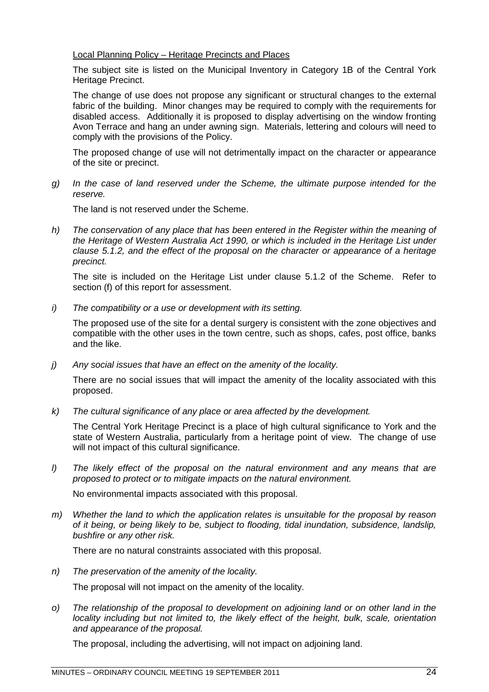### Local Planning Policy – Heritage Precincts and Places

The subject site is listed on the Municipal Inventory in Category 1B of the Central York Heritage Precinct.

The change of use does not propose any significant or structural changes to the external fabric of the building. Minor changes may be required to comply with the requirements for disabled access. Additionally it is proposed to display advertising on the window fronting Avon Terrace and hang an under awning sign. Materials, lettering and colours will need to comply with the provisions of the Policy.

The proposed change of use will not detrimentally impact on the character or appearance of the site or precinct.

*g) In the case of land reserved under the Scheme, the ultimate purpose intended for the reserve.*

The land is not reserved under the Scheme.

*h) The conservation of any place that has been entered in the Register within the meaning of the Heritage of Western Australia Act 1990, or which is included in the Heritage List under clause 5.1.2, and the effect of the proposal on the character or appearance of a heritage precinct.*

The site is included on the Heritage List under clause 5.1.2 of the Scheme. Refer to section (f) of this report for assessment.

*i) The compatibility or a use or development with its setting.*

The proposed use of the site for a dental surgery is consistent with the zone objectives and compatible with the other uses in the town centre, such as shops, cafes, post office, banks and the like.

*j) Any social issues that have an effect on the amenity of the locality.*

There are no social issues that will impact the amenity of the locality associated with this proposed.

*k) The cultural significance of any place or area affected by the development.*

The Central York Heritage Precinct is a place of high cultural significance to York and the state of Western Australia, particularly from a heritage point of view. The change of use will not impact of this cultural significance.

*l) The likely effect of the proposal on the natural environment and any means that are proposed to protect or to mitigate impacts on the natural environment.*

No environmental impacts associated with this proposal.

*m) Whether the land to which the application relates is unsuitable for the proposal by reason of it being, or being likely to be, subject to flooding, tidal inundation, subsidence, landslip, bushfire or any other risk.*

There are no natural constraints associated with this proposal.

- *n) The preservation of the amenity of the locality.* The proposal will not impact on the amenity of the locality.
- *o) The relationship of the proposal to development on adjoining land or on other land in the locality including but not limited to, the likely effect of the height, bulk, scale, orientation and appearance of the proposal.*

The proposal, including the advertising, will not impact on adjoining land.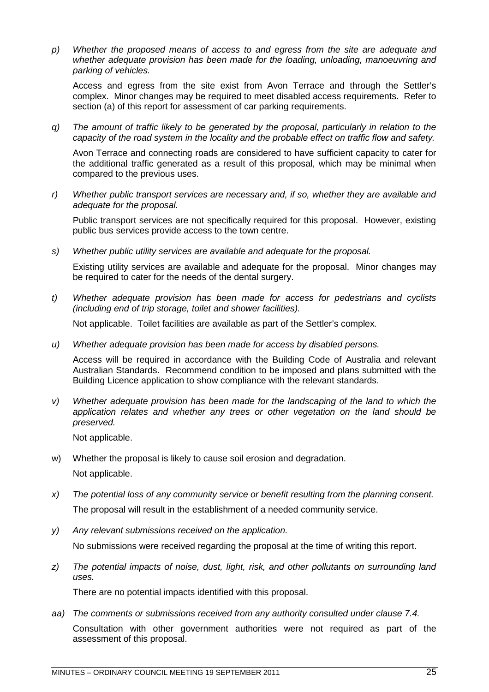*p) Whether the proposed means of access to and egress from the site are adequate and whether adequate provision has been made for the loading, unloading, manoeuvring and parking of vehicles.*

Access and egress from the site exist from Avon Terrace and through the Settler's complex. Minor changes may be required to meet disabled access requirements. Refer to section (a) of this report for assessment of car parking requirements.

*q) The amount of traffic likely to be generated by the proposal, particularly in relation to the capacity of the road system in the locality and the probable effect on traffic flow and safety.*

Avon Terrace and connecting roads are considered to have sufficient capacity to cater for the additional traffic generated as a result of this proposal, which may be minimal when compared to the previous uses.

*r) Whether public transport services are necessary and, if so, whether they are available and adequate for the proposal.*

Public transport services are not specifically required for this proposal. However, existing public bus services provide access to the town centre.

*s) Whether public utility services are available and adequate for the proposal.*

Existing utility services are available and adequate for the proposal. Minor changes may be required to cater for the needs of the dental surgery.

*t) Whether adequate provision has been made for access for pedestrians and cyclists (including end of trip storage, toilet and shower facilities).*

Not applicable. Toilet facilities are available as part of the Settler's complex.

*u) Whether adequate provision has been made for access by disabled persons.*

Access will be required in accordance with the Building Code of Australia and relevant Australian Standards. Recommend condition to be imposed and plans submitted with the Building Licence application to show compliance with the relevant standards.

*v) Whether adequate provision has been made for the landscaping of the land to which the application relates and whether any trees or other vegetation on the land should be preserved.*

Not applicable.

- w) Whether the proposal is likely to cause soil erosion and degradation. Not applicable.
- *x) The potential loss of any community service or benefit resulting from the planning consent.* The proposal will result in the establishment of a needed community service.
- *y) Any relevant submissions received on the application.* No submissions were received regarding the proposal at the time of writing this report.
- *z) The potential impacts of noise, dust, light, risk, and other pollutants on surrounding land uses.*

There are no potential impacts identified with this proposal.

*aa) The comments or submissions received from any authority consulted under clause 7.4.* Consultation with other government authorities were not required as part of the assessment of this proposal.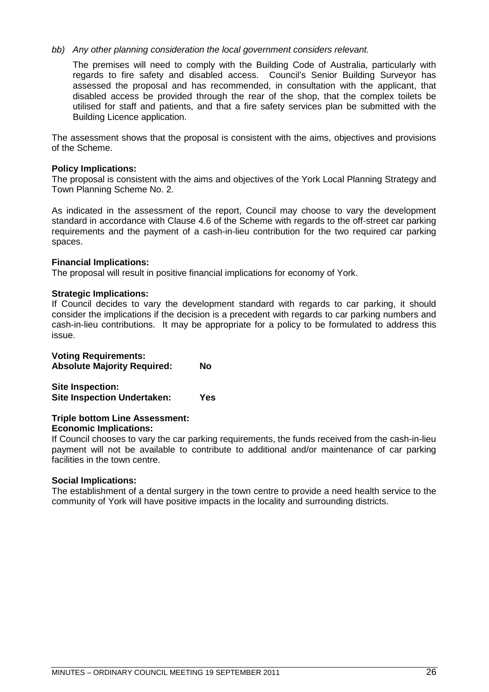### *bb) Any other planning consideration the local government considers relevant.*

The premises will need to comply with the Building Code of Australia, particularly with regards to fire safety and disabled access. Council's Senior Building Surveyor has assessed the proposal and has recommended, in consultation with the applicant, that disabled access be provided through the rear of the shop, that the complex toilets be utilised for staff and patients, and that a fire safety services plan be submitted with the Building Licence application.

The assessment shows that the proposal is consistent with the aims, objectives and provisions of the Scheme.

### **Policy Implications:**

The proposal is consistent with the aims and objectives of the York Local Planning Strategy and Town Planning Scheme No. 2.

As indicated in the assessment of the report, Council may choose to vary the development standard in accordance with Clause 4.6 of the Scheme with regards to the off-street car parking requirements and the payment of a cash-in-lieu contribution for the two required car parking spaces.

### **Financial Implications:**

The proposal will result in positive financial implications for economy of York.

### **Strategic Implications:**

If Council decides to vary the development standard with regards to car parking, it should consider the implications if the decision is a precedent with regards to car parking numbers and cash-in-lieu contributions. It may be appropriate for a policy to be formulated to address this issue.

### **Voting Requirements:**

**Absolute Majority Required: No**

**Site Inspection: Site Inspection Undertaken: Yes**

### **Triple bottom Line Assessment:**

### **Economic Implications:**

If Council chooses to vary the car parking requirements, the funds received from the cash-in-lieu payment will not be available to contribute to additional and/or maintenance of car parking facilities in the town centre.

### **Social Implications:**

The establishment of a dental surgery in the town centre to provide a need health service to the community of York will have positive impacts in the locality and surrounding districts.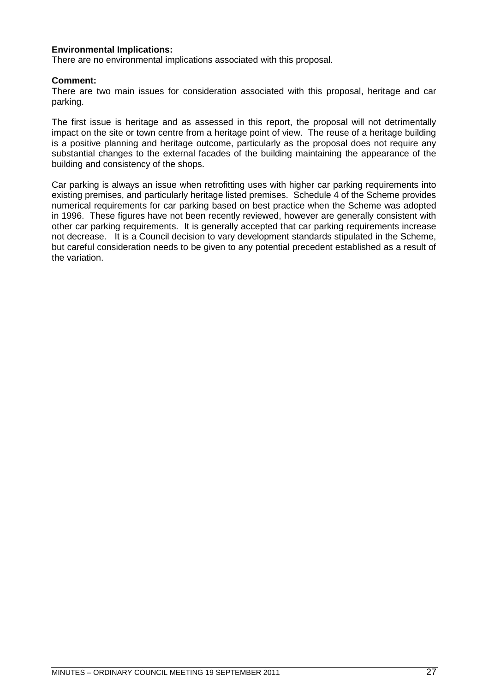### **Environmental Implications:**

There are no environmental implications associated with this proposal.

### **Comment:**

There are two main issues for consideration associated with this proposal, heritage and car parking.

The first issue is heritage and as assessed in this report, the proposal will not detrimentally impact on the site or town centre from a heritage point of view. The reuse of a heritage building is a positive planning and heritage outcome, particularly as the proposal does not require any substantial changes to the external facades of the building maintaining the appearance of the building and consistency of the shops.

Car parking is always an issue when retrofitting uses with higher car parking requirements into existing premises, and particularly heritage listed premises. Schedule 4 of the Scheme provides numerical requirements for car parking based on best practice when the Scheme was adopted in 1996. These figures have not been recently reviewed, however are generally consistent with other car parking requirements. It is generally accepted that car parking requirements increase not decrease. It is a Council decision to vary development standards stipulated in the Scheme, but careful consideration needs to be given to any potential precedent established as a result of the variation.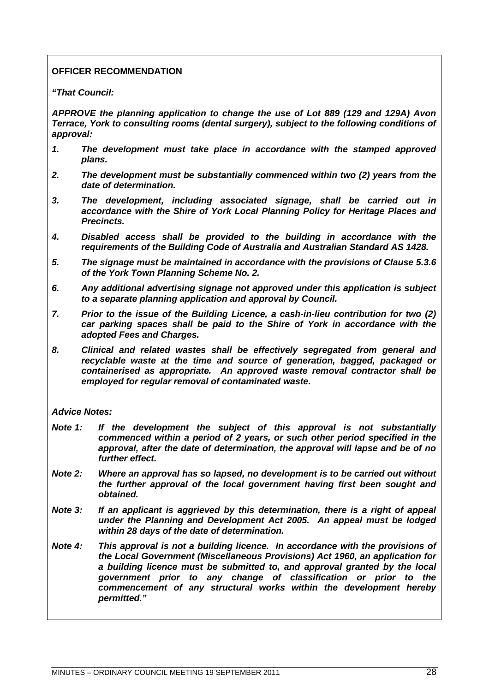### **OFFICER RECOMMENDATION**

*"That Council:*

*APPROVE the planning application to change the use of Lot 889 (129 and 129A) Avon Terrace, York to consulting rooms (dental surgery), subject to the following conditions of approval:*

- *1. The development must take place in accordance with the stamped approved plans.*
- *2. The development must be substantially commenced within two (2) years from the date of determination.*
- *3. The development, including associated signage, shall be carried out in accordance with the Shire of York Local Planning Policy for Heritage Places and Precincts.*
- *4. Disabled access shall be provided to the building in accordance with the requirements of the Building Code of Australia and Australian Standard AS 1428.*
- *5. The signage must be maintained in accordance with the provisions of Clause 5.3.6 of the York Town Planning Scheme No. 2.*
- *6. Any additional advertising signage not approved under this application is subject to a separate planning application and approval by Council.*
- *7. Prior to the issue of the Building Licence, a cash-in-lieu contribution for two (2) car parking spaces shall be paid to the Shire of York in accordance with the adopted Fees and Charges.*
- *8. Clinical and related wastes shall be effectively segregated from general and recyclable waste at the time and source of generation, bagged, packaged or containerised as appropriate. An approved waste removal contractor shall be employed for regular removal of contaminated waste.*

### *Advice Notes:*

- *Note 1: If the development the subject of this approval is not substantially commenced within a period of 2 years, or such other period specified in the approval, after the date of determination, the approval will lapse and be of no further effect.*
- *Note 2: Where an approval has so lapsed, no development is to be carried out without the further approval of the local government having first been sought and obtained.*
- *Note 3: If an applicant is aggrieved by this determination, there is a right of appeal under the Planning and Development Act 2005. An appeal must be lodged within 28 days of the date of determination.*
- *Note 4: This approval is not a building licence. In accordance with the provisions of the Local Government (Miscellaneous Provisions) Act 1960, an application for a building licence must be submitted to, and approval granted by the local government prior to any change of classification or prior to the commencement of any structural works within the development hereby permitted."*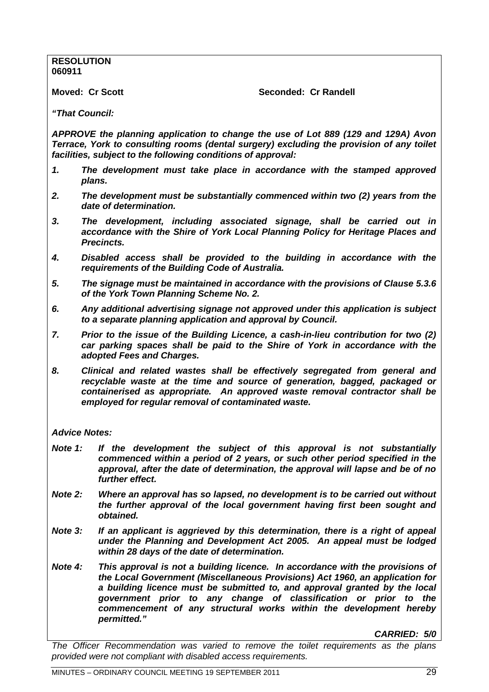**RESOLUTION 060911**

**Moved: Cr Scott Seconded: Cr Randell** 

*"That Council:*

*APPROVE the planning application to change the use of Lot 889 (129 and 129A) Avon Terrace, York to consulting rooms (dental surgery) excluding the provision of any toilet facilities, subject to the following conditions of approval:*

- *1. The development must take place in accordance with the stamped approved plans.*
- *2. The development must be substantially commenced within two (2) years from the date of determination.*
- *3. The development, including associated signage, shall be carried out in accordance with the Shire of York Local Planning Policy for Heritage Places and Precincts.*
- *4. Disabled access shall be provided to the building in accordance with the requirements of the Building Code of Australia.*
- *5. The signage must be maintained in accordance with the provisions of Clause 5.3.6 of the York Town Planning Scheme No. 2.*
- *6. Any additional advertising signage not approved under this application is subject to a separate planning application and approval by Council.*
- *7. Prior to the issue of the Building Licence, a cash-in-lieu contribution for two (2) car parking spaces shall be paid to the Shire of York in accordance with the adopted Fees and Charges.*
- *8. Clinical and related wastes shall be effectively segregated from general and recyclable waste at the time and source of generation, bagged, packaged or containerised as appropriate. An approved waste removal contractor shall be employed for regular removal of contaminated waste.*

*Advice Notes:*

- *Note 1: If the development the subject of this approval is not substantially commenced within a period of 2 years, or such other period specified in the approval, after the date of determination, the approval will lapse and be of no further effect.*
- *Note 2: Where an approval has so lapsed, no development is to be carried out without the further approval of the local government having first been sought and obtained.*
- *Note 3: If an applicant is aggrieved by this determination, there is a right of appeal under the Planning and Development Act 2005. An appeal must be lodged within 28 days of the date of determination.*
- *Note 4: This approval is not a building licence. In accordance with the provisions of the Local Government (Miscellaneous Provisions) Act 1960, an application for a building licence must be submitted to, and approval granted by the local government prior to any change of classification or prior to the commencement of any structural works within the development hereby permitted."*

*CARRIED: 5/0*

*The Officer Recommendation was varied to remove the toilet requirements as the plans provided were not compliant with disabled access requirements.*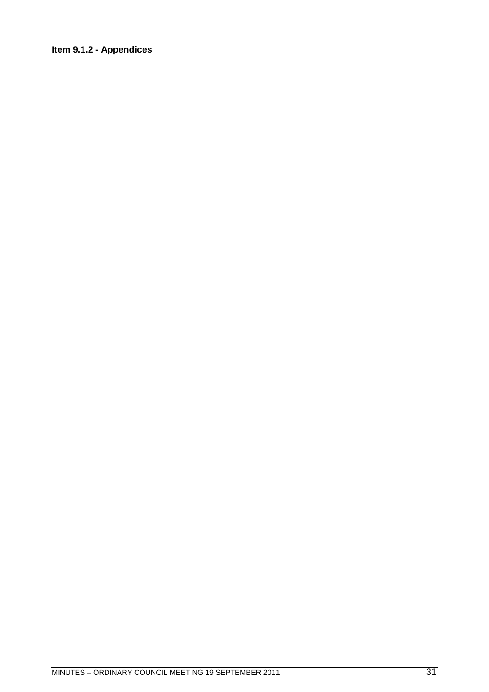### **Item 9.1.2 - Appendices**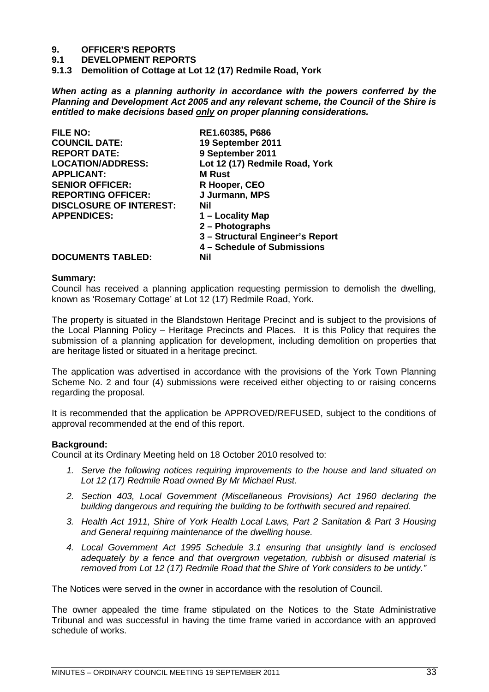### **9. OFFICER'S REPORTS**

**9.1 DEVELOPMENT REPORTS**

<span id="page-32-0"></span>**9.1.3 Demolition of Cottage at Lot 12 (17) Redmile Road, York**

*When acting as a planning authority in accordance with the powers conferred by the Planning and Development Act 2005 and any relevant scheme, the Council of the Shire is entitled to make decisions based only on proper planning considerations.*

| <b>FILE NO:</b>                | RE1.60385, P686                  |
|--------------------------------|----------------------------------|
| <b>COUNCIL DATE:</b>           | 19 September 2011                |
| <b>REPORT DATE:</b>            | 9 September 2011                 |
| <b>LOCATION/ADDRESS:</b>       | Lot 12 (17) Redmile Road, York   |
| <b>APPLICANT:</b>              | <b>M</b> Rust                    |
| <b>SENIOR OFFICER:</b>         | R Hooper, CEO                    |
| <b>REPORTING OFFICER:</b>      | J Jurmann, MPS                   |
| <b>DISCLOSURE OF INTEREST:</b> | Nil                              |
| <b>APPENDICES:</b>             | 1 – Locality Map                 |
|                                | 2 - Photographs                  |
|                                | 3 - Structural Engineer's Report |
|                                | 4 - Schedule of Submissions      |
| DOCUMENTS TARI ED.             | Mil                              |

### **DOCUMENTS TABLED: Nil**

#### **Summary:**

Council has received a planning application requesting permission to demolish the dwelling, known as 'Rosemary Cottage' at Lot 12 (17) Redmile Road, York.

The property is situated in the Blandstown Heritage Precinct and is subject to the provisions of the Local Planning Policy – Heritage Precincts and Places. It is this Policy that requires the submission of a planning application for development, including demolition on properties that are heritage listed or situated in a heritage precinct.

The application was advertised in accordance with the provisions of the York Town Planning Scheme No. 2 and four (4) submissions were received either objecting to or raising concerns regarding the proposal.

It is recommended that the application be APPROVED/REFUSED, subject to the conditions of approval recommended at the end of this report.

### **Background:**

Council at its Ordinary Meeting held on 18 October 2010 resolved to:

- *1. Serve the following notices requiring improvements to the house and land situated on Lot 12 (17) Redmile Road owned By Mr Michael Rust.*
- *2. Section 403, Local Government (Miscellaneous Provisions) Act 1960 declaring the building dangerous and requiring the building to be forthwith secured and repaired.*
- *3. Health Act 1911, Shire of York Health Local Laws, Part 2 Sanitation & Part 3 Housing and General requiring maintenance of the dwelling house.*
- *4. Local Government Act 1995 Schedule 3.1 ensuring that unsightly land is enclosed adequately by a fence and that overgrown vegetation, rubbish or disused material is removed from Lot 12 (17) Redmile Road that the Shire of York considers to be untidy."*

The Notices were served in the owner in accordance with the resolution of Council.

The owner appealed the time frame stipulated on the Notices to the State Administrative Tribunal and was successful in having the time frame varied in accordance with an approved schedule of works.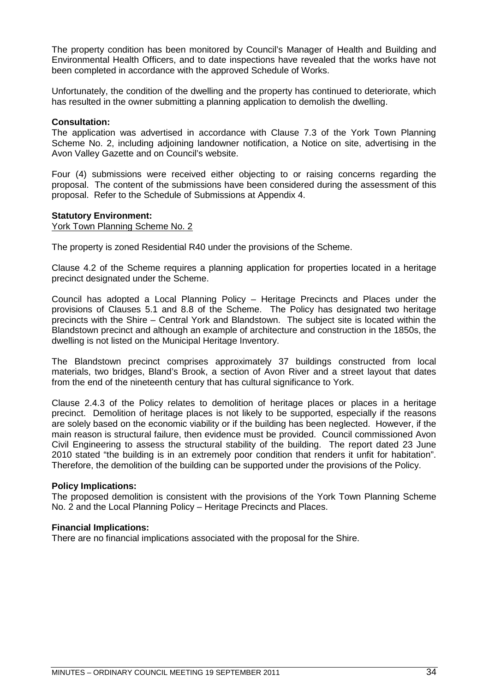The property condition has been monitored by Council's Manager of Health and Building and Environmental Health Officers, and to date inspections have revealed that the works have not been completed in accordance with the approved Schedule of Works.

Unfortunately, the condition of the dwelling and the property has continued to deteriorate, which has resulted in the owner submitting a planning application to demolish the dwelling.

### **Consultation:**

The application was advertised in accordance with Clause 7.3 of the York Town Planning Scheme No. 2, including adjoining landowner notification, a Notice on site, advertising in the Avon Valley Gazette and on Council's website.

Four (4) submissions were received either objecting to or raising concerns regarding the proposal. The content of the submissions have been considered during the assessment of this proposal. Refer to the Schedule of Submissions at Appendix 4.

### **Statutory Environment:**

York Town Planning Scheme No. 2

The property is zoned Residential R40 under the provisions of the Scheme.

Clause 4.2 of the Scheme requires a planning application for properties located in a heritage precinct designated under the Scheme.

Council has adopted a Local Planning Policy – Heritage Precincts and Places under the provisions of Clauses 5.1 and 8.8 of the Scheme. The Policy has designated two heritage precincts with the Shire – Central York and Blandstown. The subject site is located within the Blandstown precinct and although an example of architecture and construction in the 1850s, the dwelling is not listed on the Municipal Heritage Inventory.

The Blandstown precinct comprises approximately 37 buildings constructed from local materials, two bridges, Bland's Brook, a section of Avon River and a street layout that dates from the end of the nineteenth century that has cultural significance to York.

Clause 2.4.3 of the Policy relates to demolition of heritage places or places in a heritage precinct. Demolition of heritage places is not likely to be supported, especially if the reasons are solely based on the economic viability or if the building has been neglected. However, if the main reason is structural failure, then evidence must be provided. Council commissioned Avon Civil Engineering to assess the structural stability of the building. The report dated 23 June 2010 stated "the building is in an extremely poor condition that renders it unfit for habitation". Therefore, the demolition of the building can be supported under the provisions of the Policy.

### **Policy Implications:**

The proposed demolition is consistent with the provisions of the York Town Planning Scheme No. 2 and the Local Planning Policy – Heritage Precincts and Places.

### **Financial Implications:**

There are no financial implications associated with the proposal for the Shire.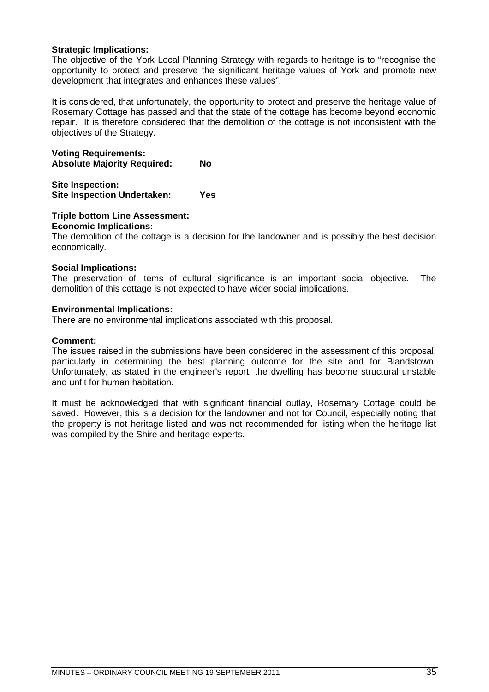### **Strategic Implications:**

The objective of the York Local Planning Strategy with regards to heritage is to "recognise the opportunity to protect and preserve the significant heritage values of York and promote new development that integrates and enhances these values".

It is considered, that unfortunately, the opportunity to protect and preserve the heritage value of Rosemary Cottage has passed and that the state of the cottage has become beyond economic repair. It is therefore considered that the demolition of the cottage is not inconsistent with the objectives of the Strategy.

**Voting Requirements: Absolute Majority Required: No**

**Site Inspection: Site Inspection Undertaken: Yes**

### **Triple bottom Line Assessment:**

### **Economic Implications:**

The demolition of the cottage is a decision for the landowner and is possibly the best decision economically.

### **Social Implications:**

The preservation of items of cultural significance is an important social objective. The demolition of this cottage is not expected to have wider social implications.

### **Environmental Implications:**

There are no environmental implications associated with this proposal.

### **Comment:**

The issues raised in the submissions have been considered in the assessment of this proposal, particularly in determining the best planning outcome for the site and for Blandstown. Unfortunately, as stated in the engineer's report, the dwelling has become structural unstable and unfit for human habitation.

It must be acknowledged that with significant financial outlay, Rosemary Cottage could be saved. However, this is a decision for the landowner and not for Council, especially noting that the property is not heritage listed and was not recommended for listing when the heritage list was compiled by the Shire and heritage experts.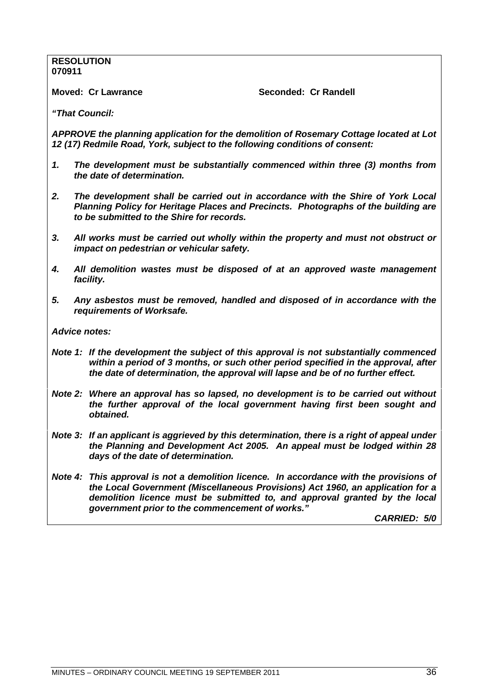### **RESOLUTION 070911**

**Moved: Cr Lawrance Critical Condetive Seconded: Cr Randell** 

*"That Council:*

*APPROVE the planning application for the demolition of Rosemary Cottage located at Lot 12 (17) Redmile Road, York, subject to the following conditions of consent:*

- *1. The development must be substantially commenced within three (3) months from the date of determination.*
- *2. The development shall be carried out in accordance with the Shire of York Local Planning Policy for Heritage Places and Precincts. Photographs of the building are to be submitted to the Shire for records.*
- *3. All works must be carried out wholly within the property and must not obstruct or impact on pedestrian or vehicular safety.*
- *4. All demolition wastes must be disposed of at an approved waste management facility.*
- *5. Any asbestos must be removed, handled and disposed of in accordance with the requirements of Worksafe.*

*Advice notes:*

- *Note 1: If the development the subject of this approval is not substantially commenced within a period of 3 months, or such other period specified in the approval, after the date of determination, the approval will lapse and be of no further effect.*
- *Note 2: Where an approval has so lapsed, no development is to be carried out without the further approval of the local government having first been sought and obtained.*
- *Note 3: If an applicant is aggrieved by this determination, there is a right of appeal under the Planning and Development Act 2005. An appeal must be lodged within 28 days of the date of determination.*
- *Note 4: This approval is not a demolition licence. In accordance with the provisions of the Local Government (Miscellaneous Provisions) Act 1960, an application for a demolition licence must be submitted to, and approval granted by the local government prior to the commencement of works."*

*CARRIED: 5/0*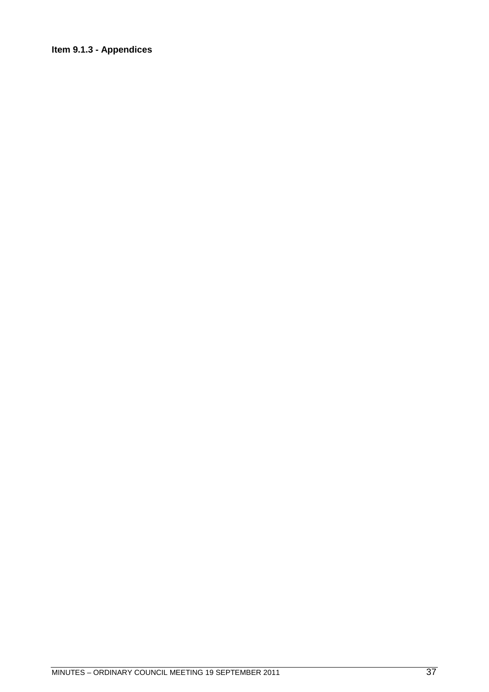# **Item 9.1.3 - Appendices**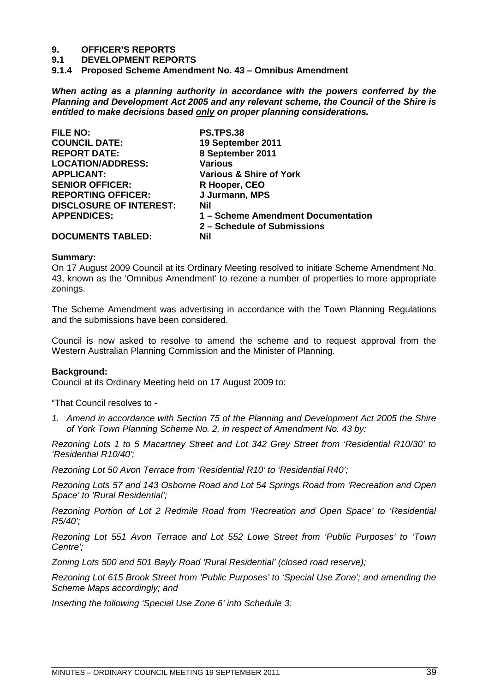## **9. OFFICER'S REPORTS**

**9.1 DEVELOPMENT REPORTS**

**9.1.4 Proposed Scheme Amendment No. 43 – Omnibus Amendment**

*When acting as a planning authority in accordance with the powers conferred by the Planning and Development Act 2005 and any relevant scheme, the Council of the Shire is entitled to make decisions based only on proper planning considerations.*

| <b>FILE NO:</b>                | <b>PS.TPS.38</b>                   |
|--------------------------------|------------------------------------|
| <b>COUNCIL DATE:</b>           | 19 September 2011                  |
| <b>REPORT DATE:</b>            | 8 September 2011                   |
| <b>LOCATION/ADDRESS:</b>       | <b>Various</b>                     |
| <b>APPLICANT:</b>              | Various & Shire of York            |
| <b>SENIOR OFFICER:</b>         | R Hooper, CEO                      |
| <b>REPORTING OFFICER:</b>      | J Jurmann, MPS                     |
| <b>DISCLOSURE OF INTEREST:</b> | Nil                                |
| <b>APPENDICES:</b>             | 1 - Scheme Amendment Documentation |
|                                | 2 – Schedule of Submissions        |
| <b>DOCUMENTS TABLED:</b>       | Nil                                |

#### **Summary:**

On 17 August 2009 Council at its Ordinary Meeting resolved to initiate Scheme Amendment No. 43, known as the 'Omnibus Amendment' to rezone a number of properties to more appropriate zonings.

The Scheme Amendment was advertising in accordance with the Town Planning Regulations and the submissions have been considered.

Council is now asked to resolve to amend the scheme and to request approval from the Western Australian Planning Commission and the Minister of Planning.

### **Background:**

Council at its Ordinary Meeting held on 17 August 2009 to:

"That Council resolves to -

*1. Amend in accordance with Section 75 of the Planning and Development Act 2005 the Shire of York Town Planning Scheme No. 2, in respect of Amendment No. 43 by:*

*Rezoning Lots 1 to 5 Macartney Street and Lot 342 Grey Street from 'Residential R10/30' to 'Residential R10/40';*

*Rezoning Lot 50 Avon Terrace from 'Residential R10' to 'Residential R40';*

*Rezoning Lots 57 and 143 Osborne Road and Lot 54 Springs Road from 'Recreation and Open Space' to 'Rural Residential';*

*Rezoning Portion of Lot 2 Redmile Road from 'Recreation and Open Space' to 'Residential R5/40';*

*Rezoning Lot 551 Avon Terrace and Lot 552 Lowe Street from 'Public Purposes' to 'Town Centre';*

*Zoning Lots 500 and 501 Bayly Road 'Rural Residential' (closed road reserve);*

*Rezoning Lot 615 Brook Street from 'Public Purposes' to 'Special Use Zone'; and amending the Scheme Maps accordingly; and*

*Inserting the following 'Special Use Zone 6' into Schedule 3:*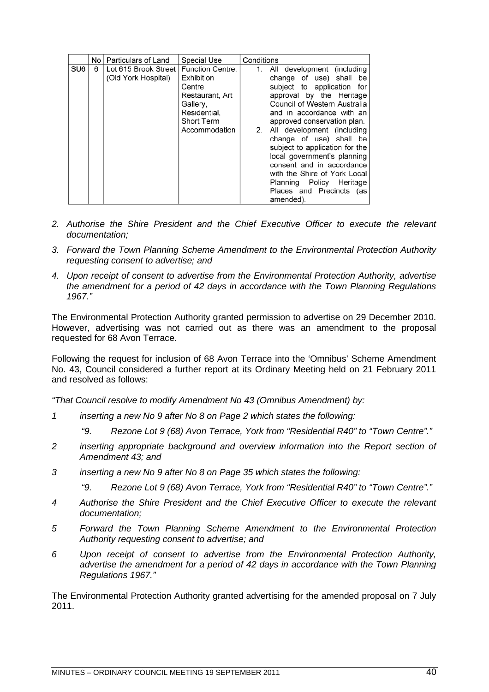|                 |   | No   Particulars of Land                      | <b>Special Use</b>                                                                                                             | Conditions                                                                                                                                                                                                                                                                                                                                                                                                                                                                       |
|-----------------|---|-----------------------------------------------|--------------------------------------------------------------------------------------------------------------------------------|----------------------------------------------------------------------------------------------------------------------------------------------------------------------------------------------------------------------------------------------------------------------------------------------------------------------------------------------------------------------------------------------------------------------------------------------------------------------------------|
| SU <sub>6</sub> | 6 | Lot 615 Brook Street  <br>(Old York Hospital) | Function Centre,<br>Exhibition<br>Centre,<br>Restaurant, Art<br>Gallery,<br>Residential.<br><b>Short Term</b><br>Accommodation | All development (including<br>1.<br>change of use) shall be<br>subject to application for<br>approval by the Heritage<br>Council of Western Australia<br>and in accordance with an<br>approved conservation plan.<br>2. All development (including<br>change of use) shall be<br>subject to application for the<br>local government's planning<br>consent and in accordance<br>with the Shire of York Local<br>Planning Policy Heritage<br>Places and Precincts (as<br>amended). |

- *2. Authorise the Shire President and the Chief Executive Officer to execute the relevant documentation;*
- *3. Forward the Town Planning Scheme Amendment to the Environmental Protection Authority requesting consent to advertise; and*
- *4. Upon receipt of consent to advertise from the Environmental Protection Authority, advertise the amendment for a period of 42 days in accordance with the Town Planning Regulations 1967."*

The Environmental Protection Authority granted permission to advertise on 29 December 2010. However, advertising was not carried out as there was an amendment to the proposal requested for 68 Avon Terrace.

Following the request for inclusion of 68 Avon Terrace into the 'Omnibus' Scheme Amendment No. 43, Council considered a further report at its Ordinary Meeting held on 21 February 2011 and resolved as follows:

*"That Council resolve to modify Amendment No 43 (Omnibus Amendment) by:*

- *1 inserting a new No 9 after No 8 on Page 2 which states the following:*
	- *"9. Rezone Lot 9 (68) Avon Terrace, York from "Residential R40" to "Town Centre"."*
- *2 inserting appropriate background and overview information into the Report section of Amendment 43; and*
- *3 inserting a new No 9 after No 8 on Page 35 which states the following:*
	- *"9. Rezone Lot 9 (68) Avon Terrace, York from "Residential R40" to "Town Centre"."*
- *4 Authorise the Shire President and the Chief Executive Officer to execute the relevant documentation;*
- *5 Forward the Town Planning Scheme Amendment to the Environmental Protection Authority requesting consent to advertise; and*
- *6 Upon receipt of consent to advertise from the Environmental Protection Authority, advertise the amendment for a period of 42 days in accordance with the Town Planning Regulations 1967."*

The Environmental Protection Authority granted advertising for the amended proposal on 7 July 2011.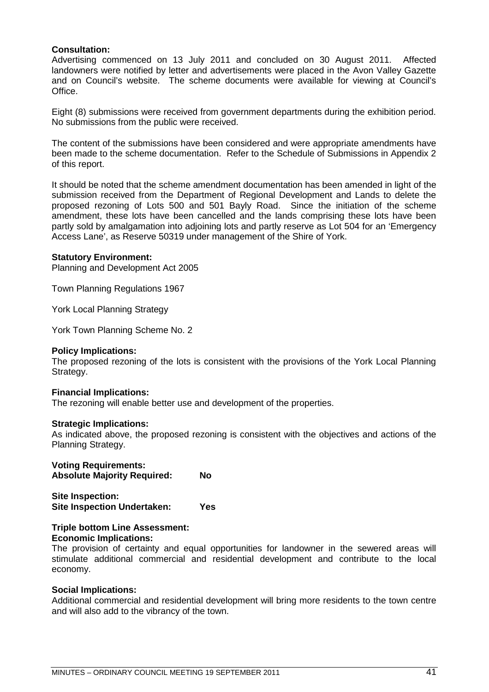## **Consultation:**

Advertising commenced on 13 July 2011 and concluded on 30 August 2011. Affected landowners were notified by letter and advertisements were placed in the Avon Valley Gazette and on Council's website. The scheme documents were available for viewing at Council's Office.

Eight (8) submissions were received from government departments during the exhibition period. No submissions from the public were received.

The content of the submissions have been considered and were appropriate amendments have been made to the scheme documentation. Refer to the Schedule of Submissions in Appendix 2 of this report.

It should be noted that the scheme amendment documentation has been amended in light of the submission received from the Department of Regional Development and Lands to delete the proposed rezoning of Lots 500 and 501 Bayly Road. Since the initiation of the scheme amendment, these lots have been cancelled and the lands comprising these lots have been partly sold by amalgamation into adjoining lots and partly reserve as Lot 504 for an 'Emergency Access Lane', as Reserve 50319 under management of the Shire of York.

### **Statutory Environment:**

Planning and Development Act 2005

Town Planning Regulations 1967

York Local Planning Strategy

York Town Planning Scheme No. 2

### **Policy Implications:**

The proposed rezoning of the lots is consistent with the provisions of the York Local Planning Strategy.

### **Financial Implications:**

The rezoning will enable better use and development of the properties.

### **Strategic Implications:**

As indicated above, the proposed rezoning is consistent with the objectives and actions of the Planning Strategy.

## **Voting Requirements:**

**Absolute Majority Required: No**

**Site Inspection: Site Inspection Undertaken: Yes**

#### **Triple bottom Line Assessment: Economic Implications:**

The provision of certainty and equal opportunities for landowner in the sewered areas will stimulate additional commercial and residential development and contribute to the local economy.

### **Social Implications:**

Additional commercial and residential development will bring more residents to the town centre and will also add to the vibrancy of the town.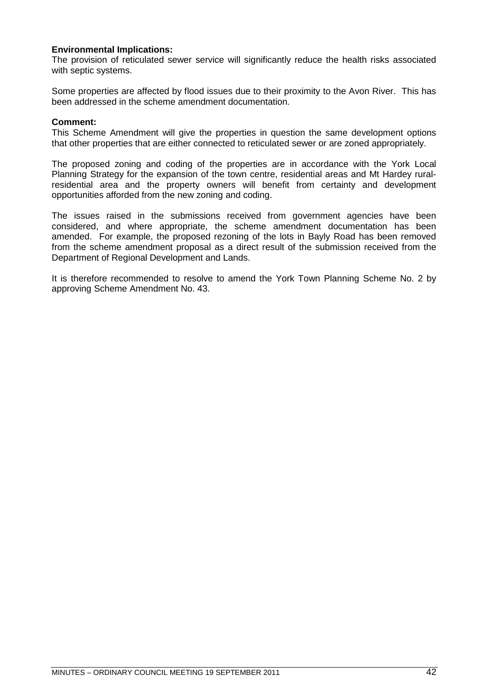## **Environmental Implications:**

The provision of reticulated sewer service will significantly reduce the health risks associated with septic systems.

Some properties are affected by flood issues due to their proximity to the Avon River. This has been addressed in the scheme amendment documentation.

## **Comment:**

This Scheme Amendment will give the properties in question the same development options that other properties that are either connected to reticulated sewer or are zoned appropriately.

The proposed zoning and coding of the properties are in accordance with the York Local Planning Strategy for the expansion of the town centre, residential areas and Mt Hardey ruralresidential area and the property owners will benefit from certainty and development opportunities afforded from the new zoning and coding.

The issues raised in the submissions received from government agencies have been considered, and where appropriate, the scheme amendment documentation has been amended. For example, the proposed rezoning of the lots in Bayly Road has been removed from the scheme amendment proposal as a direct result of the submission received from the Department of Regional Development and Lands.

It is therefore recommended to resolve to amend the York Town Planning Scheme No. 2 by approving Scheme Amendment No. 43.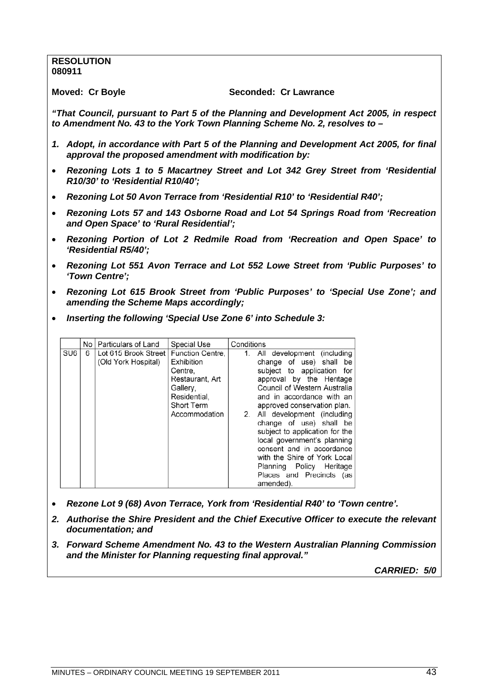## **RESOLUTION 080911**

#### **Moved: Cr Boyle Seconded: Cr Lawrance**

*"That Council, pursuant to Part 5 of the Planning and Development Act 2005, in respect to Amendment No. 43 to the York Town Planning Scheme No. 2, resolves to –*

- *1. Adopt, in accordance with Part 5 of the Planning and Development Act 2005, for final approval the proposed amendment with modification by:*
- *Rezoning Lots 1 to 5 Macartney Street and Lot 342 Grey Street from 'Residential R10/30' to 'Residential R10/40';*
- *Rezoning Lot 50 Avon Terrace from 'Residential R10' to 'Residential R40';*
- *Rezoning Lots 57 and 143 Osborne Road and Lot 54 Springs Road from 'Recreation and Open Space' to 'Rural Residential';*
- *Rezoning Portion of Lot 2 Redmile Road from 'Recreation and Open Space' to 'Residential R5/40';*
- *Rezoning Lot 551 Avon Terrace and Lot 552 Lowe Street from 'Public Purposes' to 'Town Centre';*
- *Rezoning Lot 615 Brook Street from 'Public Purposes' to 'Special Use Zone'; and amending the Scheme Maps accordingly;*
- *Inserting the following 'Special Use Zone 6' into Schedule 3:*

|                 |   | No   Particulars of Land                    | Special Use                                                                                                             | Conditions                                                                                                                                                                                                                                                                                                                                                                                                                                                                       |
|-----------------|---|---------------------------------------------|-------------------------------------------------------------------------------------------------------------------------|----------------------------------------------------------------------------------------------------------------------------------------------------------------------------------------------------------------------------------------------------------------------------------------------------------------------------------------------------------------------------------------------------------------------------------------------------------------------------------|
| SU <sub>6</sub> | 6 | Lot 615 Brook Street<br>(Old York Hospital) | Function Centre,<br>Exhibition<br>Centre.<br>Restaurant, Art<br>Gallery,<br>Residential,<br>Short Term<br>Accommodation | All development (including<br>1.<br>change of use) shall be<br>subject to application for<br>approval by the Heritage<br>Council of Western Australia<br>and in accordance with an<br>approved conservation plan.<br>2. All development (including<br>change of use) shall be<br>subject to application for the<br>local government's planning<br>consent and in accordance<br>with the Shire of York Local<br>Planning Policy Heritage<br>Places and Precincts (as<br>amended). |

- *Rezone Lot 9 (68) Avon Terrace, York from 'Residential R40' to 'Town centre'.*
- *2. Authorise the Shire President and the Chief Executive Officer to execute the relevant documentation; and*
- *3. Forward Scheme Amendment No. 43 to the Western Australian Planning Commission and the Minister for Planning requesting final approval."*

*CARRIED: 5/0*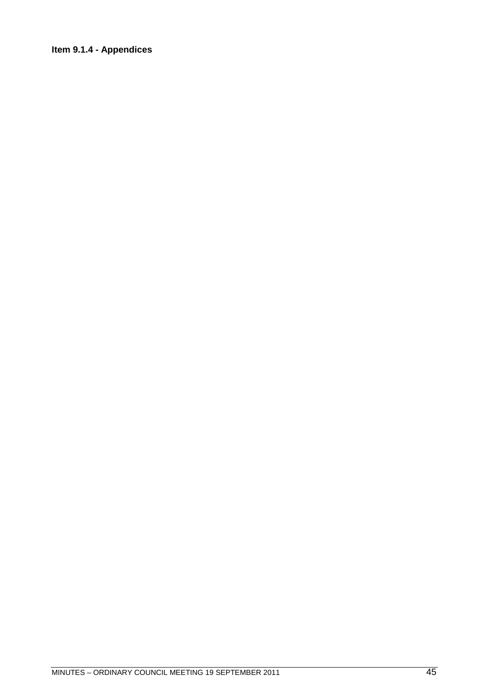## **Item 9.1.4 - Appendices**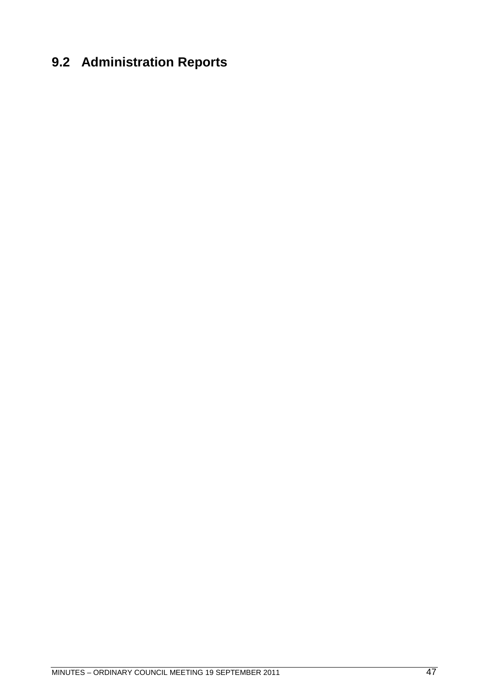# **9.2 Administration Reports**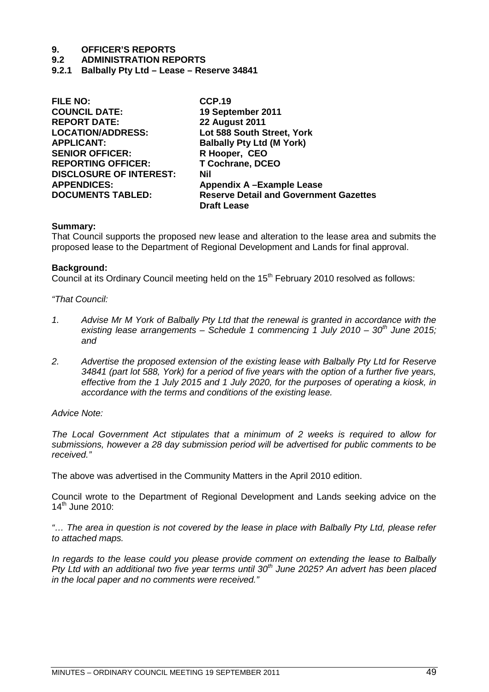# **9. OFFICER'S REPORTS**

## **9.2 ADMINISTRATION REPORTS**

**9.2.1 Balbally Pty Ltd – Lease – Reserve 34841**

| <b>FILE NO:</b>                | <b>CCP.19</b>                                 |
|--------------------------------|-----------------------------------------------|
| <b>COUNCIL DATE:</b>           | 19 September 2011                             |
| <b>REPORT DATE:</b>            | <b>22 August 2011</b>                         |
| <b>LOCATION/ADDRESS:</b>       | Lot 588 South Street, York                    |
| <b>APPLICANT:</b>              | <b>Balbally Pty Ltd (M York)</b>              |
| <b>SENIOR OFFICER:</b>         | R Hooper, CEO                                 |
| <b>REPORTING OFFICER:</b>      | <b>T Cochrane, DCEO</b>                       |
| <b>DISCLOSURE OF INTEREST:</b> | <b>Nil</b>                                    |
| <b>APPENDICES:</b>             | Appendix A-Example Lease                      |
| <b>DOCUMENTS TABLED:</b>       | <b>Reserve Detail and Government Gazettes</b> |
|                                | <b>Draft Lease</b>                            |
|                                |                                               |

## **Summary:**

That Council supports the proposed new lease and alteration to the lease area and submits the proposed lease to the Department of Regional Development and Lands for final approval.

## **Background:**

Council at its Ordinary Council meeting held on the  $15<sup>th</sup>$  February 2010 resolved as follows:

## *"That Council:*

- *1. Advise Mr M York of Balbally Pty Ltd that the renewal is granted in accordance with the existing lease arrangements – Schedule 1 commencing 1 July 2010 – 30th June 2015; and*
- *2. Advertise the proposed extension of the existing lease with Balbally Pty Ltd for Reserve 34841 (part lot 588, York) for a period of five years with the option of a further five years, effective from the 1 July 2015 and 1 July 2020, for the purposes of operating a kiosk, in accordance with the terms and conditions of the existing lease.*

### *Advice Note:*

*The Local Government Act stipulates that a minimum of 2 weeks is required to allow for submissions, however a 28 day submission period will be advertised for public comments to be received."*

The above was advertised in the Community Matters in the April 2010 edition.

Council wrote to the Department of Regional Development and Lands seeking advice on the  $14^{th}$  June 2010:

*"… The area in question is not covered by the lease in place with Balbally Pty Ltd, please refer to attached maps.*

*In regards to the lease could you please provide comment on extending the lease to Balbally Pty Ltd with an additional two five year terms until 30th June 2025? An advert has been placed in the local paper and no comments were received."*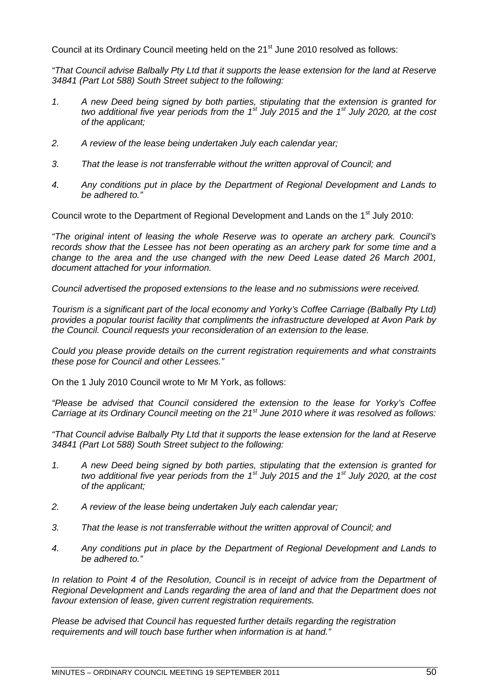Council at its Ordinary Council meeting held on the 21<sup>st</sup> June 2010 resolved as follows:

*"That Council advise Balbally Pty Ltd that it supports the lease extension for the land at Reserve 34841 (Part Lot 588) South Street subject to the following:*

- *1. A new Deed being signed by both parties, stipulating that the extension is granted for two additional five year periods from the 1st July 2015 and the 1st July 2020, at the cost of the applicant;*
- *2. A review of the lease being undertaken July each calendar year;*
- *3. That the lease is not transferrable without the written approval of Council; and*
- *4. Any conditions put in place by the Department of Regional Development and Lands to be adhered to."*

Council wrote to the Department of Regional Development and Lands on the 1<sup>st</sup> July 2010:

*"The original intent of leasing the whole Reserve was to operate an archery park. Council's records show that the Lessee has not been operating as an archery park for some time and a change to the area and the use changed with the new Deed Lease dated 26 March 2001, document attached for your information.*

*Council advertised the proposed extensions to the lease and no submissions were received.*

*Tourism is a significant part of the local economy and Yorky's Coffee Carriage (Balbally Pty Ltd) provides a popular tourist facility that compliments the infrastructure developed at Avon Park by the Council. Council requests your reconsideration of an extension to the lease.*

*Could you please provide details on the current registration requirements and what constraints these pose for Council and other Lessees."*

On the 1 July 2010 Council wrote to Mr M York, as follows:

*"Please be advised that Council considered the extension to the lease for Yorky's Coffee Carriage at its Ordinary Council meeting on the 21st June 2010 where it was resolved as follows:*

*"That Council advise Balbally Pty Ltd that it supports the lease extension for the land at Reserve 34841 (Part Lot 588) South Street subject to the following:*

- *1. A new Deed being signed by both parties, stipulating that the extension is granted for two additional five year periods from the 1st July 2015 and the 1st July 2020, at the cost of the applicant;*
- *2. A review of the lease being undertaken July each calendar year;*
- *3. That the lease is not transferrable without the written approval of Council; and*
- *4. Any conditions put in place by the Department of Regional Development and Lands to be adhered to."*

*In relation to Point 4 of the Resolution, Council is in receipt of advice from the Department of Regional Development and Lands regarding the area of land and that the Department does not favour extension of lease, given current registration requirements.*

*Please be advised that Council has requested further details regarding the registration requirements and will touch base further when information is at hand."*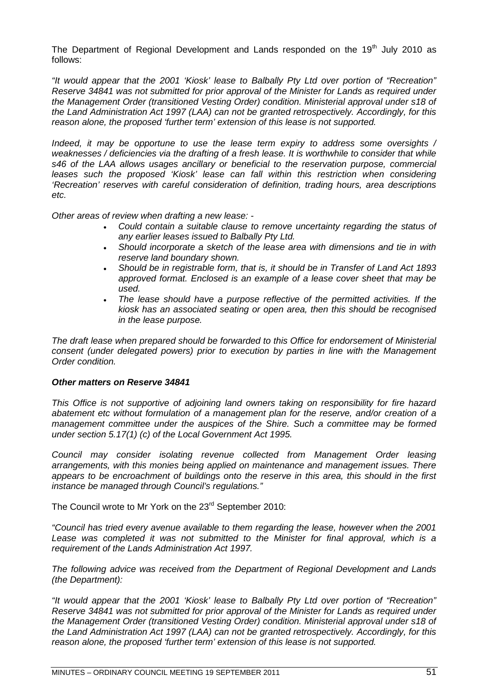The Department of Regional Development and Lands responded on the  $19<sup>th</sup>$  July 2010 as follows:

*"It would appear that the 2001 'Kiosk' lease to Balbally Pty Ltd over portion of "Recreation" Reserve 34841 was not submitted for prior approval of the Minister for Lands as required under the Management Order (transitioned Vesting Order) condition. Ministerial approval under s18 of the Land Administration Act 1997 (LAA) can not be granted retrospectively. Accordingly, for this reason alone, the proposed 'further term' extension of this lease is not supported.*

*Indeed, it may be opportune to use the lease term expiry to address some oversights / weaknesses / deficiencies via the drafting of a fresh lease. It is worthwhile to consider that while s46 of the LAA allows usages ancillary or beneficial to the reservation purpose, commercial leases such the proposed 'Kiosk' lease can fall within this restriction when considering 'Recreation' reserves with careful consideration of definition, trading hours, area descriptions etc.*

*Other areas of review when drafting a new lease: -*

- *Could contain a suitable clause to remove uncertainty regarding the status of any earlier leases issued to Balbally Pty Ltd.*
- *Should incorporate a sketch of the lease area with dimensions and tie in with reserve land boundary shown.*
- *Should be in registrable form, that is, it should be in Transfer of Land Act 1893 approved format. Enclosed is an example of a lease cover sheet that may be used.*
- *The lease should have a purpose reflective of the permitted activities. If the kiosk has an associated seating or open area, then this should be recognised in the lease purpose.*

*The draft lease when prepared should be forwarded to this Office for endorsement of Ministerial consent (under delegated powers) prior to execution by parties in line with the Management Order condition.*

## *Other matters on Reserve 34841*

*This Office is not supportive of adjoining land owners taking on responsibility for fire hazard abatement etc without formulation of a management plan for the reserve, and/or creation of a management committee under the auspices of the Shire. Such a committee may be formed under section 5.17(1) (c) of the Local Government Act 1995.*

*Council may consider isolating revenue collected from Management Order leasing arrangements, with this monies being applied on maintenance and management issues. There appears to be encroachment of buildings onto the reserve in this area, this should in the first instance be managed through Council's regulations."*

The Council wrote to Mr York on the 23<sup>rd</sup> September 2010:

*"Council has tried every avenue available to them regarding the lease, however when the 2001 Lease was completed it was not submitted to the Minister for final approval, which is a requirement of the Lands Administration Act 1997.*

*The following advice was received from the Department of Regional Development and Lands (the Department):*

*"It would appear that the 2001 'Kiosk' lease to Balbally Pty Ltd over portion of "Recreation" Reserve 34841 was not submitted for prior approval of the Minister for Lands as required under the Management Order (transitioned Vesting Order) condition. Ministerial approval under s18 of the Land Administration Act 1997 (LAA) can not be granted retrospectively. Accordingly, for this reason alone, the proposed 'further term' extension of this lease is not supported.*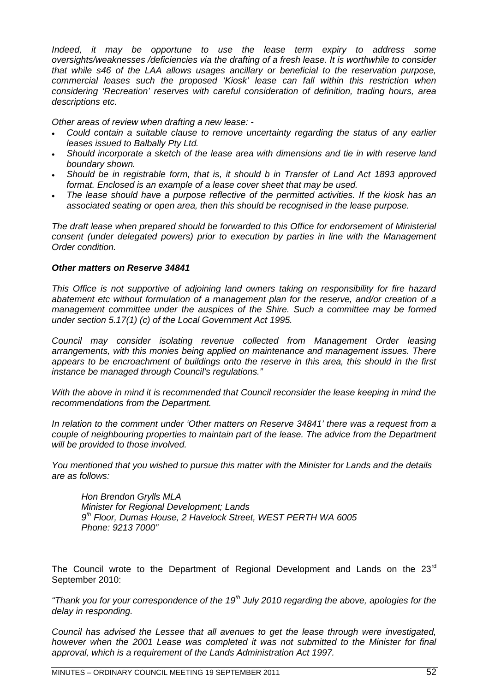*Indeed, it may be opportune to use the lease term expiry to address some oversights/weaknesses /deficiencies via the drafting of a fresh lease. It is worthwhile to consider that while s46 of the LAA allows usages ancillary or beneficial to the reservation purpose, commercial leases such the proposed 'Kiosk' lease can fall within this restriction when considering 'Recreation' reserves with careful consideration of definition, trading hours, area descriptions etc.*

*Other areas of review when drafting a new lease: -*

- *Could contain a suitable clause to remove uncertainty regarding the status of any earlier leases issued to Balbally Pty Ltd.*
- *Should incorporate a sketch of the lease area with dimensions and tie in with reserve land boundary shown.*
- *Should be in registrable form, that is, it should b in Transfer of Land Act 1893 approved format. Enclosed is an example of a lease cover sheet that may be used.*
- *The lease should have a purpose reflective of the permitted activities. If the kiosk has an associated seating or open area, then this should be recognised in the lease purpose.*

*The draft lease when prepared should be forwarded to this Office for endorsement of Ministerial consent (under delegated powers) prior to execution by parties in line with the Management Order condition.*

## *Other matters on Reserve 34841*

*This Office is not supportive of adjoining land owners taking on responsibility for fire hazard abatement etc without formulation of a management plan for the reserve, and/or creation of a management committee under the auspices of the Shire. Such a committee may be formed under section 5.17(1) (c) of the Local Government Act 1995.*

*Council may consider isolating revenue collected from Management Order leasing arrangements, with this monies being applied on maintenance and management issues. There appears to be encroachment of buildings onto the reserve in this area, this should in the first instance be managed through Council's regulations."*

*With the above in mind it is recommended that Council reconsider the lease keeping in mind the recommendations from the Department.*

*In relation to the comment under 'Other matters on Reserve 34841' there was a request from a couple of neighbouring properties to maintain part of the lease. The advice from the Department will be provided to those involved.*

*You mentioned that you wished to pursue this matter with the Minister for Lands and the details are as follows:*

*Hon Brendon Grylls MLA Minister for Regional Development; Lands 9 th Floor, Dumas House, 2 Havelock Street, WEST PERTH WA 6005 Phone: 9213 7000"*

The Council wrote to the Department of Regional Development and Lands on the  $23<sup>rd</sup>$ September 2010:

*"Thank you for your correspondence of the 19th July 2010 regarding the above, apologies for the delay in responding.*

*Council has advised the Lessee that all avenues to get the lease through were investigated, however when the 2001 Lease was completed it was not submitted to the Minister for final approval, which is a requirement of the Lands Administration Act 1997.*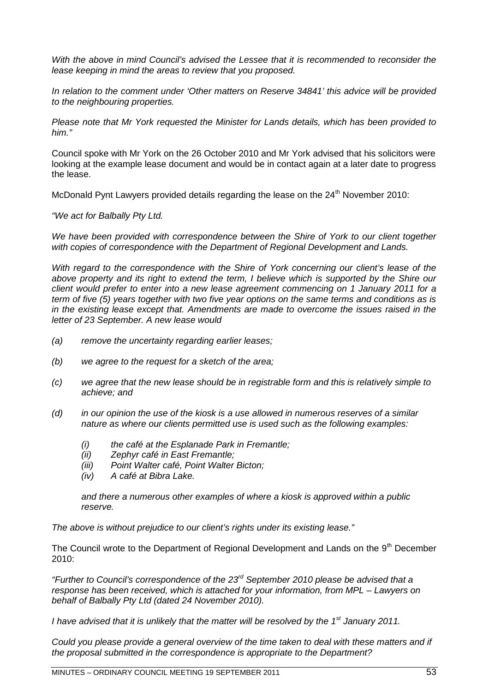*With the above in mind Council's advised the Lessee that it is recommended to reconsider the lease keeping in mind the areas to review that you proposed.*

*In relation to the comment under 'Other matters on Reserve 34841' this advice will be provided to the neighbouring properties.*

*Please note that Mr York requested the Minister for Lands details, which has been provided to him."*

Council spoke with Mr York on the 26 October 2010 and Mr York advised that his solicitors were looking at the example lease document and would be in contact again at a later date to progress the lease.

McDonald Pynt Lawyers provided details regarding the lease on the 24<sup>th</sup> November 2010:

*"We act for Balbally Pty Ltd.*

*We have been provided with correspondence between the Shire of York to our client together with copies of correspondence with the Department of Regional Development and Lands.*

*With regard to the correspondence with the Shire of York concerning our client's lease of the above property and its right to extend the term, I believe which is supported by the Shire our client would prefer to enter into a new lease agreement commencing on 1 January 2011 for a term of five (5) years together with two five year options on the same terms and conditions as is in the existing lease except that. Amendments are made to overcome the issues raised in the letter of 23 September. A new lease would*

- *(a) remove the uncertainty regarding earlier leases;*
- *(b) we agree to the request for a sketch of the area;*
- *(c) we agree that the new lease should be in registrable form and this is relatively simple to achieve; and*
- *(d) in our opinion the use of the kiosk is a use allowed in numerous reserves of a similar nature as where our clients permitted use is used such as the following examples:*
	- *(i) the café at the Esplanade Park in Fremantle;*
	- *(ii) Zephyr café in East Fremantle;*
	- *(iii) Point Walter café, Point Walter Bicton;*
	- *(iv) A café at Bibra Lake.*

*and there a numerous other examples of where a kiosk is approved within a public reserve.*

*The above is without prejudice to our client's rights under its existing lease."*

The Council wrote to the Department of Regional Development and Lands on the 9<sup>th</sup> December  $2010<sup>1</sup>$ 

*"Further to Council's correspondence of the 23rd September 2010 please be advised that a response has been received, which is attached for your information, from MPL – Lawyers on behalf of Balbally Pty Ltd (dated 24 November 2010).*

*I have advised that it is unlikely that the matter will be resolved by the 1st January 2011.*

*Could you please provide a general overview of the time taken to deal with these matters and if the proposal submitted in the correspondence is appropriate to the Department?*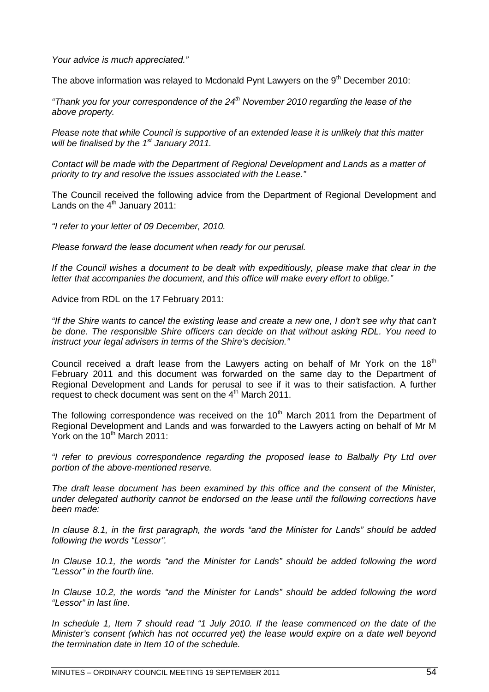*Your advice is much appreciated."*

The above information was relayed to Mcdonald Pynt Lawyers on the  $9<sup>th</sup>$  December 2010:

*"Thank you for your correspondence of the 24th November 2010 regarding the lease of the above property.*

*Please note that while Council is supportive of an extended lease it is unlikely that this matter will be finalised by the 1st January 2011.*

*Contact will be made with the Department of Regional Development and Lands as a matter of priority to try and resolve the issues associated with the Lease."*

The Council received the following advice from the Department of Regional Development and Lands on the  $4<sup>th</sup>$  January 2011:

*"I refer to your letter of 09 December, 2010.*

*Please forward the lease document when ready for our perusal.*

*If the Council wishes a document to be dealt with expeditiously, please make that clear in the letter that accompanies the document, and this office will make every effort to oblige."*

Advice from RDL on the 17 February 2011:

*"If the Shire wants to cancel the existing lease and create a new one, I don't see why that can't be done. The responsible Shire officers can decide on that without asking RDL. You need to instruct your legal advisers in terms of the Shire's decision."*

Council received a draft lease from the Lawyers acting on behalf of Mr York on the  $18<sup>th</sup>$ February 2011 and this document was forwarded on the same day to the Department of Regional Development and Lands for perusal to see if it was to their satisfaction. A further request to check document was sent on the  $4<sup>th</sup>$  March 2011.

The following correspondence was received on the  $10<sup>th</sup>$  March 2011 from the Department of Regional Development and Lands and was forwarded to the Lawyers acting on behalf of Mr M York on the  $10^{th}$  March 2011:

*"I refer to previous correspondence regarding the proposed lease to Balbally Pty Ltd over portion of the above-mentioned reserve.*

*The draft lease document has been examined by this office and the consent of the Minister, under delegated authority cannot be endorsed on the lease until the following corrections have been made:*

*In clause 8.1, in the first paragraph, the words "and the Minister for Lands" should be added following the words "Lessor".*

*In Clause 10.1, the words "and the Minister for Lands" should be added following the word "Lessor" in the fourth line.*

*In Clause 10.2, the words "and the Minister for Lands" should be added following the word "Lessor" in last line.*

*In schedule 1, Item 7 should read "1 July 2010. If the lease commenced on the date of the Minister's consent (which has not occurred yet) the lease would expire on a date well beyond the termination date in Item 10 of the schedule.*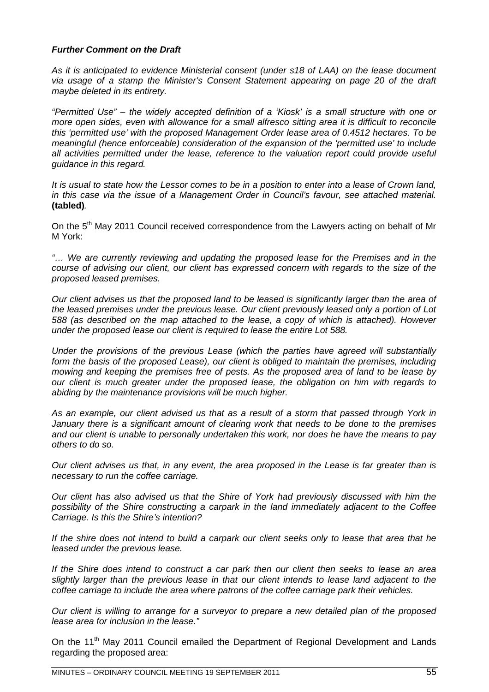## *Further Comment on the Draft*

*As it is anticipated to evidence Ministerial consent (under s18 of LAA) on the lease document via usage of a stamp the Minister's Consent Statement appearing on page 20 of the draft maybe deleted in its entirety.*

*"Permitted Use" – the widely accepted definition of a 'Kiosk' is a small structure with one or more open sides, even with allowance for a small alfresco sitting area it is difficult to reconcile this 'permitted use' with the proposed Management Order lease area of 0.4512 hectares. To be meaningful (hence enforceable) consideration of the expansion of the 'permitted use' to include all activities permitted under the lease, reference to the valuation report could provide useful guidance in this regard.*

*It is usual to state how the Lessor comes to be in a position to enter into a lease of Crown land, in this case via the issue of a Management Order in Council's favour, see attached material.* **(tabled)***.*

On the 5<sup>th</sup> May 2011 Council received correspondence from the Lawyers acting on behalf of Mr M York:

*"… We are currently reviewing and updating the proposed lease for the Premises and in the course of advising our client, our client has expressed concern with regards to the size of the proposed leased premises.*

*Our client advises us that the proposed land to be leased is significantly larger than the area of the leased premises under the previous lease. Our client previously leased only a portion of Lot 588 (as described on the map attached to the lease, a copy of which is attached). However under the proposed lease our client is required to lease the entire Lot 588.*

*Under the provisions of the previous Lease (which the parties have agreed will substantially form the basis of the proposed Lease), our client is obliged to maintain the premises, including mowing and keeping the premises free of pests. As the proposed area of land to be lease by our client is much greater under the proposed lease, the obligation on him with regards to abiding by the maintenance provisions will be much higher.*

*As an example, our client advised us that as a result of a storm that passed through York in January there is a significant amount of clearing work that needs to be done to the premises and our client is unable to personally undertaken this work, nor does he have the means to pay others to do so.*

*Our client advises us that, in any event, the area proposed in the Lease is far greater than is necessary to run the coffee carriage.*

*Our client has also advised us that the Shire of York had previously discussed with him the possibility of the Shire constructing a carpark in the land immediately adjacent to the Coffee Carriage. Is this the Shire's intention?*

*If the shire does not intend to build a carpark our client seeks only to lease that area that he leased under the previous lease.*

*If the Shire does intend to construct a car park then our client then seeks to lease an area slightly larger than the previous lease in that our client intends to lease land adjacent to the coffee carriage to include the area where patrons of the coffee carriage park their vehicles.*

*Our client is willing to arrange for a surveyor to prepare a new detailed plan of the proposed lease area for inclusion in the lease."*

On the 11<sup>th</sup> May 2011 Council emailed the Department of Regional Development and Lands regarding the proposed area: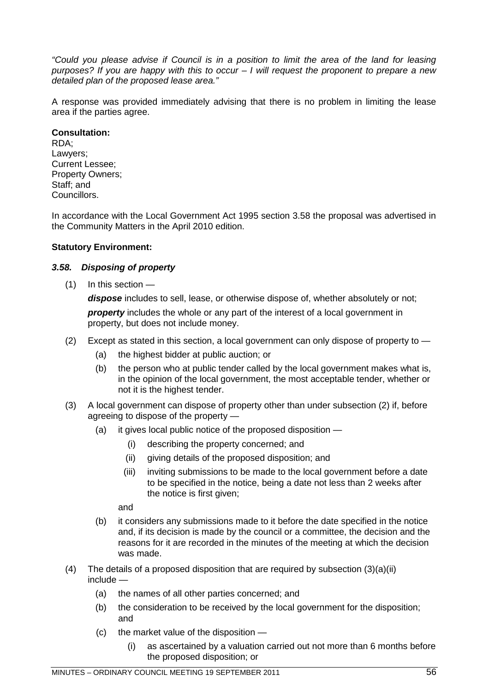*"Could you please advise if Council is in a position to limit the area of the land for leasing purposes? If you are happy with this to occur – I will request the proponent to prepare a new detailed plan of the proposed lease area."*

A response was provided immediately advising that there is no problem in limiting the lease area if the parties agree.

## **Consultation:**

RDA; Lawyers: Current Lessee; Property Owners; Staff; and Councillors.

In accordance with the Local Government Act 1995 section 3.58 the proposal was advertised in the Community Matters in the April 2010 edition.

## **Statutory Environment:**

## *3.58. Disposing of property*

(1) In this section —

*dispose* includes to sell, lease, or otherwise dispose of, whether absolutely or not; **property** includes the whole or any part of the interest of a local government in property, but does not include money.

- (2) Except as stated in this section, a local government can only dispose of property to
	- (a) the highest bidder at public auction; or
	- (b) the person who at public tender called by the local government makes what is, in the opinion of the local government, the most acceptable tender, whether or not it is the highest tender.
- (3) A local government can dispose of property other than under subsection (2) if, before agreeing to dispose of the property —
	- (a) it gives local public notice of the proposed disposition
		- (i) describing the property concerned; and
		- (ii) giving details of the proposed disposition; and
		- (iii) inviting submissions to be made to the local government before a date to be specified in the notice, being a date not less than 2 weeks after the notice is first given;

and

- (b) it considers any submissions made to it before the date specified in the notice and, if its decision is made by the council or a committee, the decision and the reasons for it are recorded in the minutes of the meeting at which the decision was made.
- (4) The details of a proposed disposition that are required by subsection  $(3)(a)(ii)$ include —
	- (a) the names of all other parties concerned; and
	- (b) the consideration to be received by the local government for the disposition; and
	- (c) the market value of the disposition
		- (i) as ascertained by a valuation carried out not more than 6 months before the proposed disposition; or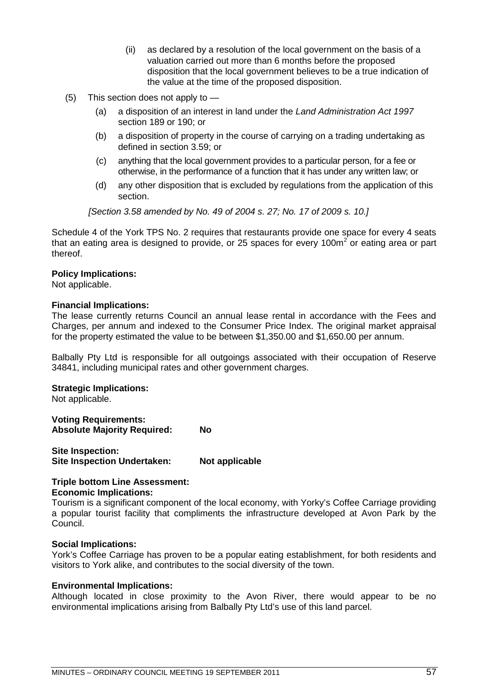- (ii) as declared by a resolution of the local government on the basis of a valuation carried out more than 6 months before the proposed disposition that the local government believes to be a true indication of the value at the time of the proposed disposition.
- (5) This section does not apply to
	- (a) a disposition of an interest in land under the *Land Administration Act 1997* section 189 or 190; or
	- (b) a disposition of property in the course of carrying on a trading undertaking as defined in section 3.59; or
	- (c) anything that the local government provides to a particular person, for a fee or otherwise, in the performance of a function that it has under any written law; or
	- (d) any other disposition that is excluded by regulations from the application of this section.

*[Section 3.58 amended by No. 49 of 2004 s. 27; No. 17 of 2009 s. 10.]*

Schedule 4 of the York TPS No. 2 requires that restaurants provide one space for every 4 seats that an eating area is designed to provide, or 25 spaces for every 100m<sup>2</sup> or eating area or part thereof.

## **Policy Implications:**

Not applicable.

## **Financial Implications:**

The lease currently returns Council an annual lease rental in accordance with the Fees and Charges, per annum and indexed to the Consumer Price Index. The original market appraisal for the property estimated the value to be between \$1,350.00 and \$1,650.00 per annum.

Balbally Pty Ltd is responsible for all outgoings associated with their occupation of Reserve 34841, including municipal rates and other government charges.

### **Strategic Implications:**

Not applicable.

**Voting Requirements: Absolute Majority Required: No**

**Site Inspection: Site Inspection Undertaken: Not applicable**

## **Triple bottom Line Assessment: Economic Implications:**

Tourism is a significant component of the local economy, with Yorky's Coffee Carriage providing a popular tourist facility that compliments the infrastructure developed at Avon Park by the Council.

### **Social Implications:**

York's Coffee Carriage has proven to be a popular eating establishment, for both residents and visitors to York alike, and contributes to the social diversity of the town.

### **Environmental Implications:**

Although located in close proximity to the Avon River, there would appear to be no environmental implications arising from Balbally Pty Ltd's use of this land parcel.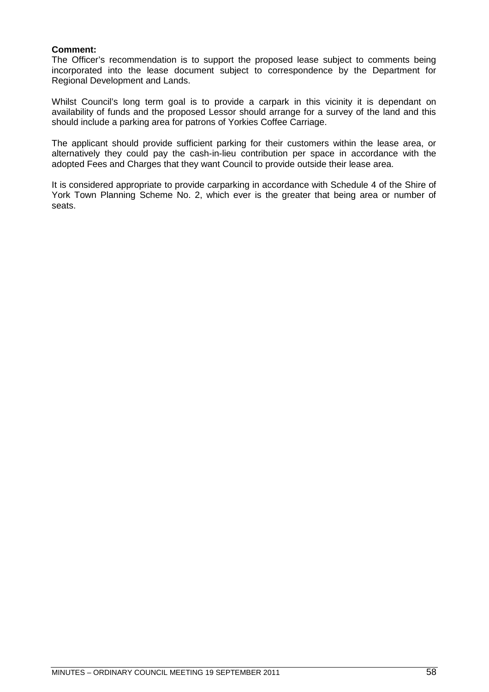## **Comment:**

The Officer's recommendation is to support the proposed lease subject to comments being incorporated into the lease document subject to correspondence by the Department for Regional Development and Lands.

Whilst Council's long term goal is to provide a carpark in this vicinity it is dependant on availability of funds and the proposed Lessor should arrange for a survey of the land and this should include a parking area for patrons of Yorkies Coffee Carriage.

The applicant should provide sufficient parking for their customers within the lease area, or alternatively they could pay the cash-in-lieu contribution per space in accordance with the adopted Fees and Charges that they want Council to provide outside their lease area.

It is considered appropriate to provide carparking in accordance with Schedule 4 of the Shire of York Town Planning Scheme No. 2, which ever is the greater that being area or number of seats.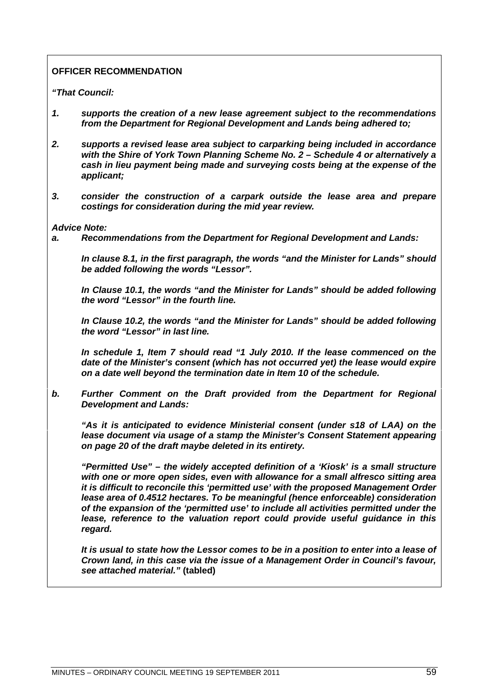## **OFFICER RECOMMENDATION**

*"That Council:*

- *1. supports the creation of a new lease agreement subject to the recommendations from the Department for Regional Development and Lands being adhered to;*
- *2. supports a revised lease area subject to carparking being included in accordance with the Shire of York Town Planning Scheme No. 2 – Schedule 4 or alternatively a cash in lieu payment being made and surveying costs being at the expense of the applicant;*
- *3. consider the construction of a carpark outside the lease area and prepare costings for consideration during the mid year review.*

## *Advice Note:*

*a. Recommendations from the Department for Regional Development and Lands:*

*In clause 8.1, in the first paragraph, the words "and the Minister for Lands" should be added following the words "Lessor".*

*In Clause 10.1, the words "and the Minister for Lands" should be added following the word "Lessor" in the fourth line.*

*In Clause 10.2, the words "and the Minister for Lands" should be added following the word "Lessor" in last line.*

*In schedule 1, Item 7 should read "1 July 2010. If the lease commenced on the date of the Minister's consent (which has not occurred yet) the lease would expire on a date well beyond the termination date in Item 10 of the schedule.*

*b. Further Comment on the Draft provided from the Department for Regional Development and Lands:*

*"As it is anticipated to evidence Ministerial consent (under s18 of LAA) on the lease document via usage of a stamp the Minister's Consent Statement appearing on page 20 of the draft maybe deleted in its entirety.*

*"Permitted Use" – the widely accepted definition of a 'Kiosk' is a small structure with one or more open sides, even with allowance for a small alfresco sitting area it is difficult to reconcile this 'permitted use' with the proposed Management Order lease area of 0.4512 hectares. To be meaningful (hence enforceable) consideration of the expansion of the 'permitted use' to include all activities permitted under the lease, reference to the valuation report could provide useful guidance in this regard.*

*It is usual to state how the Lessor comes to be in a position to enter into a lease of Crown land, in this case via the issue of a Management Order in Council's favour, see attached material."* **(tabled)**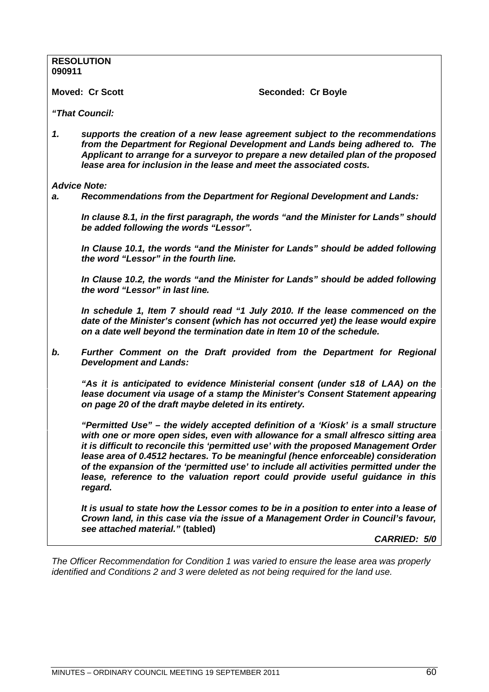|        | <b>RESOLUTION</b>                                                                                                                                                                                                                                                                                                                                                                                                                                                                                                                           |
|--------|---------------------------------------------------------------------------------------------------------------------------------------------------------------------------------------------------------------------------------------------------------------------------------------------------------------------------------------------------------------------------------------------------------------------------------------------------------------------------------------------------------------------------------------------|
| 090911 |                                                                                                                                                                                                                                                                                                                                                                                                                                                                                                                                             |
|        | <b>Moved: Cr Scott</b><br>Seconded: Cr Boyle                                                                                                                                                                                                                                                                                                                                                                                                                                                                                                |
|        |                                                                                                                                                                                                                                                                                                                                                                                                                                                                                                                                             |
|        | "That Council:                                                                                                                                                                                                                                                                                                                                                                                                                                                                                                                              |
| 1.     | supports the creation of a new lease agreement subject to the recommendations<br>from the Department for Regional Development and Lands being adhered to. The<br>Applicant to arrange for a surveyor to prepare a new detailed plan of the proposed<br>lease area for inclusion in the lease and meet the associated costs.                                                                                                                                                                                                                 |
|        | <b>Advice Note:</b>                                                                                                                                                                                                                                                                                                                                                                                                                                                                                                                         |
| a.     | Recommendations from the Department for Regional Development and Lands:                                                                                                                                                                                                                                                                                                                                                                                                                                                                     |
|        | In clause 8.1, in the first paragraph, the words "and the Minister for Lands" should<br>be added following the words "Lessor".                                                                                                                                                                                                                                                                                                                                                                                                              |
|        | In Clause 10.1, the words "and the Minister for Lands" should be added following<br>the word "Lessor" in the fourth line.                                                                                                                                                                                                                                                                                                                                                                                                                   |
|        | In Clause 10.2, the words "and the Minister for Lands" should be added following<br>the word "Lessor" in last line.                                                                                                                                                                                                                                                                                                                                                                                                                         |
|        | In schedule 1, Item 7 should read "1 July 2010. If the lease commenced on the<br>date of the Minister's consent (which has not occurred yet) the lease would expire<br>on a date well beyond the termination date in Item 10 of the schedule.                                                                                                                                                                                                                                                                                               |
| b.     | Further Comment on the Draft provided from the Department for Regional<br><b>Development and Lands:</b>                                                                                                                                                                                                                                                                                                                                                                                                                                     |
|        | "As it is anticipated to evidence Ministerial consent (under s18 of LAA) on the<br>lease document via usage of a stamp the Minister's Consent Statement appearing<br>on page 20 of the draft maybe deleted in its entirety.                                                                                                                                                                                                                                                                                                                 |
|        | "Permitted Use" – the widely accepted definition of a 'Kiosk' is a small structure<br>with one or more open sides, even with allowance for a small alfresco sitting area<br>it is difficult to reconcile this 'permitted use' with the proposed Management Order<br>lease area of 0.4512 hectares. To be meaningful (hence enforceable) consideration<br>of the expansion of the 'permitted use' to include all activities permitted under the<br>lease, reference to the valuation report could provide useful guidance in this<br>regard. |
|        | It is usual to state how the Lessor comes to be in a position to enter into a lease of<br>Crown land, in this case via the issue of a Management Order in Council's favour,<br>see attached material." (tabled)                                                                                                                                                                                                                                                                                                                             |
|        | <b>CARRIED: 5/0</b>                                                                                                                                                                                                                                                                                                                                                                                                                                                                                                                         |

*The Officer Recommendation for Condition 1 was varied to ensure the lease area was properly identified and Conditions 2 and 3 were deleted as not being required for the land use.*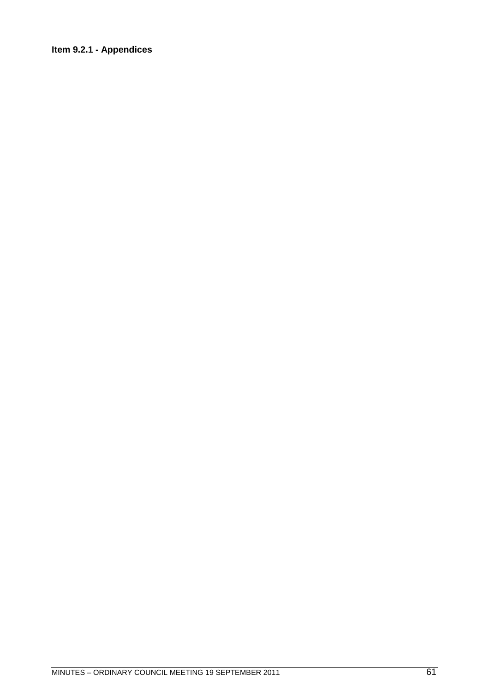## **Item 9.2.1 - Appendices**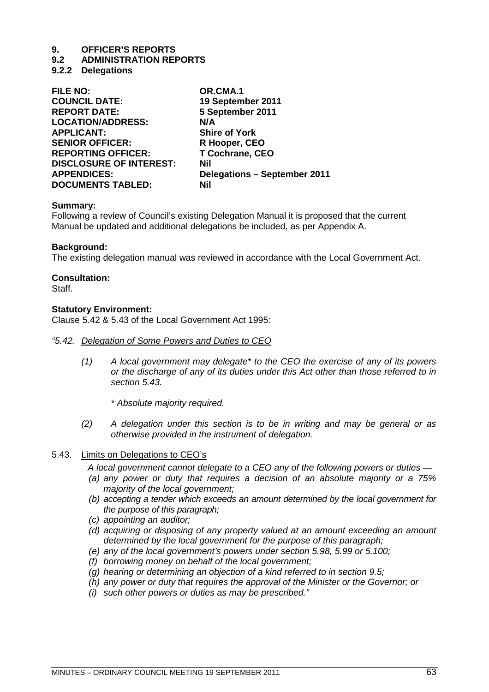# **9. OFFICER'S REPORTS**

## **9.2 ADMINISTRATION REPORTS**

## **9.2.2 Delegations**

| OR.CMA.1                            |
|-------------------------------------|
| 19 September 2011                   |
| 5 September 2011                    |
| N/A                                 |
| <b>Shire of York</b>                |
| R Hooper, CEO                       |
| T Cochrane, CEO                     |
| Nil                                 |
| <b>Delegations - September 2011</b> |
| Nil                                 |
|                                     |

## **Summary:**

Following a review of Council's existing Delegation Manual it is proposed that the current Manual be updated and additional delegations be included, as per Appendix A.

## **Background:**

The existing delegation manual was reviewed in accordance with the Local Government Act.

## **Consultation:**

Staff.

## **Statutory Environment:**

Clause 5.42 & 5.43 of the Local Government Act 1995:

### *"5.42. Delegation of Some Powers and Duties to CEO*

*(1) A local government may delegate\* to the CEO the exercise of any of its powers or the discharge of any of its duties under this Act other than those referred to in section 5.43.*

*\* Absolute majority required.*

*(2) A delegation under this section is to be in writing and may be general or as otherwise provided in the instrument of delegation.*

## 5.43. Limits on Delegations to CEO's

*A local government cannot delegate to a CEO any of the following powers or duties —*

- *(a) any power or duty that requires a decision of an absolute majority or a 75% majority of the local government;*
- *(b) accepting a tender which exceeds an amount determined by the local government for the purpose of this paragraph;*
- *(c) appointing an auditor;*
- *(d) acquiring or disposing of any property valued at an amount exceeding an amount determined by the local government for the purpose of this paragraph;*
- *(e) any of the local government's powers under section 5.98, 5.99 or 5.100;*
- *(f) borrowing money on behalf of the local government;*
- *(g) hearing or determining an objection of a kind referred to in section 9.5;*
- *(h) any power or duty that requires the approval of the Minister or the Governor; or*
- *(i) such other powers or duties as may be prescribed."*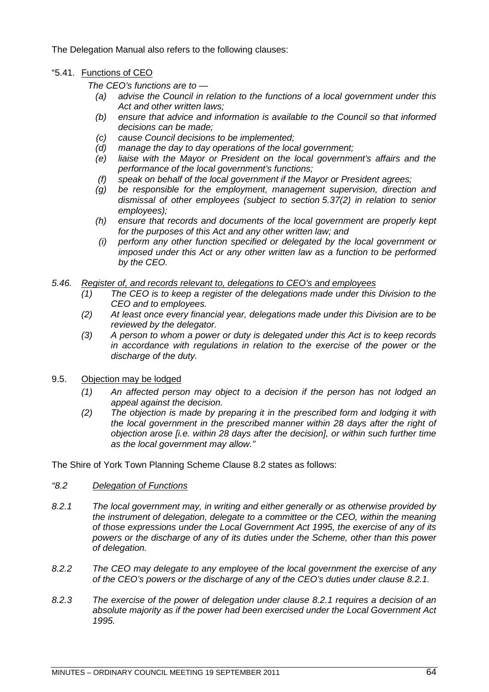The Delegation Manual also refers to the following clauses:

## "5.41. Functions of CEO

*The CEO's functions are to —*

- *(a) advise the Council in relation to the functions of a local government under this Act and other written laws;*
- *(b) ensure that advice and information is available to the Council so that informed decisions can be made;*
- *(c) cause Council decisions to be implemented;*
- *(d) manage the day to day operations of the local government;*
- *(e) liaise with the Mayor or President on the local government's affairs and the performance of the local government's functions;*
- *(f) speak on behalf of the local government if the Mayor or President agrees;*
- *(g) be responsible for the employment, management supervision, direction and dismissal of other employees (subject to section 5.37(2) in relation to senior employees);*
- *(h) ensure that records and documents of the local government are properly kept for the purposes of this Act and any other written law; and*
- *(i) perform any other function specified or delegated by the local government or imposed under this Act or any other written law as a function to be performed by the CEO.*

## *5.46. Register of, and records relevant to, delegations to CEO's and employees*

- *(1) The CEO is to keep a register of the delegations made under this Division to the CEO and to employees.*
- *(2) At least once every financial year, delegations made under this Division are to be reviewed by the delegator.*
- *(3) A person to whom a power or duty is delegated under this Act is to keep records in accordance with regulations in relation to the exercise of the power or the discharge of the duty.*
- 9.5. Objection may be lodged
	- *(1) An affected person may object to a decision if the person has not lodged an appeal against the decision.*
	- *(2) The objection is made by preparing it in the prescribed form and lodging it with the local government in the prescribed manner within 28 days after the right of objection arose [i.e. within 28 days after the decision], or within such further time as the local government may allow."*

The Shire of York Town Planning Scheme Clause 8.2 states as follows:

- *"8.2 Delegation of Functions*
- *8.2.1 The local government may, in writing and either generally or as otherwise provided by the instrument of delegation, delegate to a committee or the CEO, within the meaning of those expressions under the Local Government Act 1995, the exercise of any of its powers or the discharge of any of its duties under the Scheme, other than this power of delegation.*
- *8.2.2 The CEO may delegate to any employee of the local government the exercise of any of the CEO's powers or the discharge of any of the CEO's duties under clause 8.2.1.*
- *8.2.3 The exercise of the power of delegation under clause 8.2.1 requires a decision of an absolute majority as if the power had been exercised under the Local Government Act 1995.*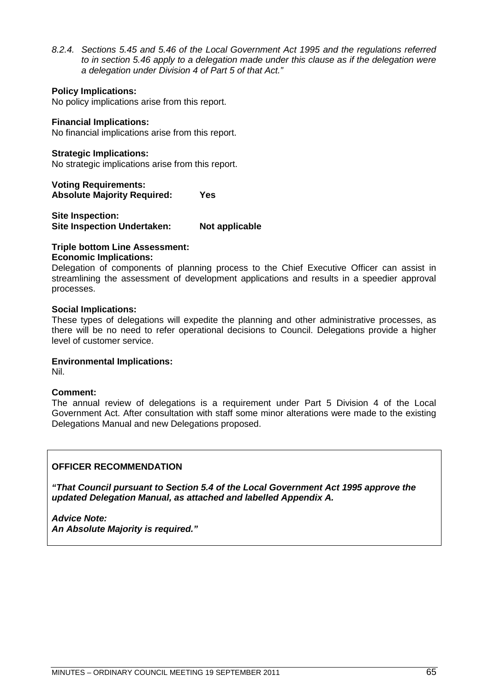*8.2.4. Sections 5.45 and 5.46 of the Local Government Act 1995 and the regulations referred to in section 5.46 apply to a delegation made under this clause as if the delegation were a delegation under Division 4 of Part 5 of that Act."*

## **Policy Implications:**

No policy implications arise from this report.

## **Financial Implications:**

No financial implications arise from this report.

## **Strategic Implications:**

No strategic implications arise from this report.

**Voting Requirements: Absolute Majority Required: Yes**

**Site Inspection: Site Inspection Undertaken: Not applicable**

## **Triple bottom Line Assessment:**

## **Economic Implications:**

Delegation of components of planning process to the Chief Executive Officer can assist in streamlining the assessment of development applications and results in a speedier approval processes.

## **Social Implications:**

These types of delegations will expedite the planning and other administrative processes, as there will be no need to refer operational decisions to Council. Delegations provide a higher level of customer service.

### **Environmental Implications:**

Nil.

## **Comment:**

The annual review of delegations is a requirement under Part 5 Division 4 of the Local Government Act. After consultation with staff some minor alterations were made to the existing Delegations Manual and new Delegations proposed.

## **OFFICER RECOMMENDATION**

*"That Council pursuant to Section 5.4 of the Local Government Act 1995 approve the updated Delegation Manual, as attached and labelled Appendix A.*

*Advice Note: An Absolute Majority is required."*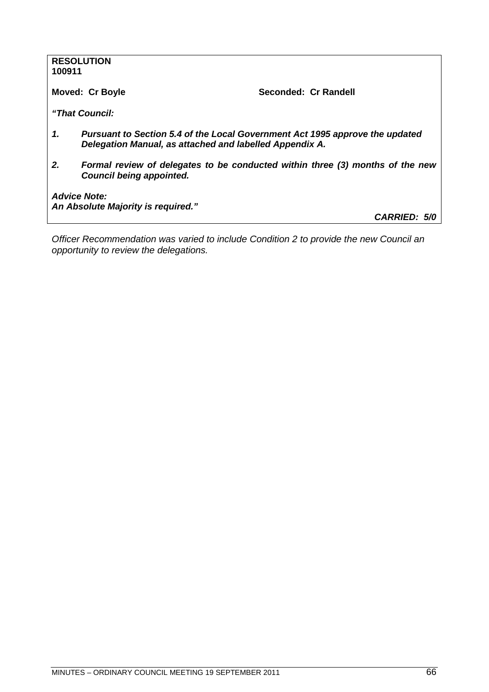| 100911                                                                                                                                        | <b>RESOLUTION</b>                                                                                                |                      |
|-----------------------------------------------------------------------------------------------------------------------------------------------|------------------------------------------------------------------------------------------------------------------|----------------------|
| <b>Moved: Cr Boyle</b>                                                                                                                        |                                                                                                                  | Seconded: Cr Randell |
|                                                                                                                                               | "That Council:                                                                                                   |                      |
| 1.<br>Pursuant to Section 5.4 of the Local Government Act 1995 approve the updated<br>Delegation Manual, as attached and labelled Appendix A. |                                                                                                                  |                      |
| 2.                                                                                                                                            | Formal review of delegates to be conducted within three (3) months of the new<br><b>Council being appointed.</b> |                      |
| <b>Advice Note:</b>                                                                                                                           |                                                                                                                  |                      |
|                                                                                                                                               | An Absolute Majority is required."                                                                               | <b>CARRIED: 5/0</b>  |

*Officer Recommendation was varied to include Condition 2 to provide the new Council an opportunity to review the delegations.*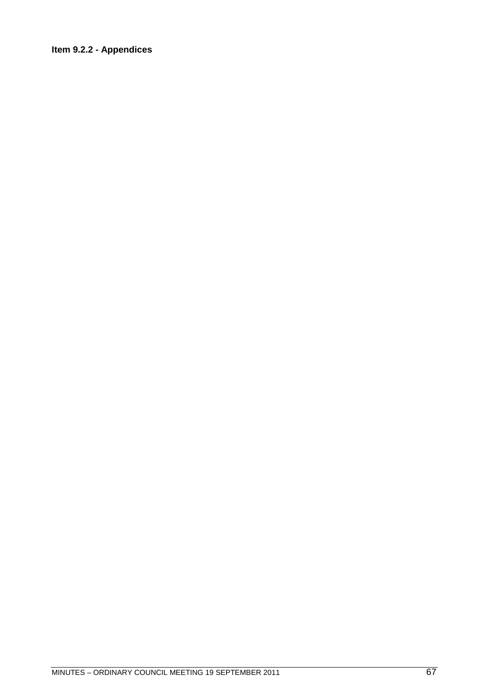# **Item 9.2.2 - Appendices**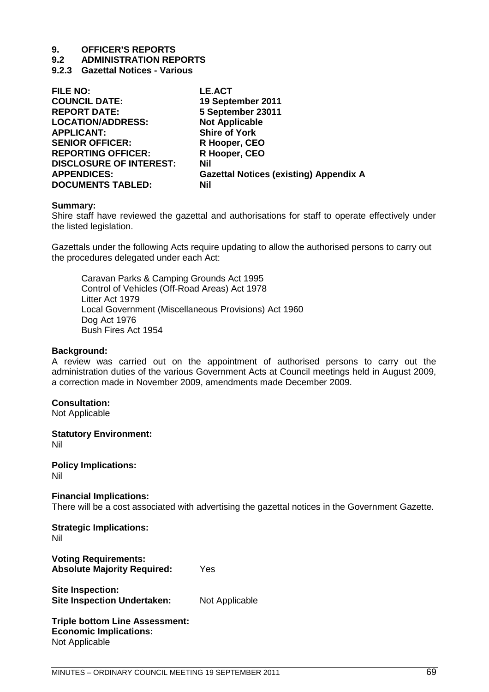# **9. OFFICER'S REPORTS**

**9.2 ADMINISTRATION REPORTS**

**9.2.3 Gazettal Notices - Various**

| <b>FILE NO:</b>                | <b>LE.ACT</b>                                 |
|--------------------------------|-----------------------------------------------|
| <b>COUNCIL DATE:</b>           | 19 September 2011                             |
| <b>REPORT DATE:</b>            | 5 September 23011                             |
| <b>LOCATION/ADDRESS:</b>       | <b>Not Applicable</b>                         |
| <b>APPLICANT:</b>              | <b>Shire of York</b>                          |
| <b>SENIOR OFFICER:</b>         | R Hooper, CEO                                 |
| <b>REPORTING OFFICER:</b>      | R Hooper, CEO                                 |
| <b>DISCLOSURE OF INTEREST:</b> | Nil                                           |
| <b>APPENDICES:</b>             | <b>Gazettal Notices (existing) Appendix A</b> |
| <b>DOCUMENTS TABLED:</b>       | Nil                                           |

### **Summary:**

Shire staff have reviewed the gazettal and authorisations for staff to operate effectively under the listed legislation.

Gazettals under the following Acts require updating to allow the authorised persons to carry out the procedures delegated under each Act:

Caravan Parks & Camping Grounds Act 1995 Control of Vehicles (Off-Road Areas) Act 1978 Litter Act 1979 Local Government (Miscellaneous Provisions) Act 1960 Dog Act 1976 Bush Fires Act 1954

### **Background:**

A review was carried out on the appointment of authorised persons to carry out the administration duties of the various Government Acts at Council meetings held in August 2009, a correction made in November 2009, amendments made December 2009.

## **Consultation:**

Not Applicable

**Statutory Environment:** Nil

**Policy Implications:** Nil

**Financial Implications:** There will be a cost associated with advertising the gazettal notices in the Government Gazette.

**Strategic Implications:** Nil

**Voting Requirements: Absolute Majority Required:** Yes

**Site Inspection: Site Inspection Undertaken:** Not Applicable

**Triple bottom Line Assessment: Economic Implications:** Not Applicable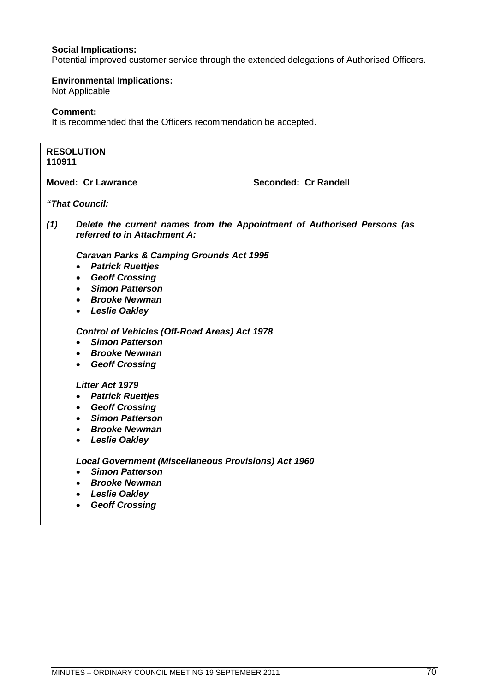## **Social Implications:**

Potential improved customer service through the extended delegations of Authorised Officers.

## **Environmental Implications:**

Not Applicable

## **Comment:**

It is recommended that the Officers recommendation be accepted.

### **RESOLUTION 110911**

**Moved: Cr Lawrance Cr Andrew Conded: Seconded: Cr Randell** 

*"That Council:*

*(1) Delete the current names from the Appointment of Authorised Persons (as referred to in Attachment A:*

*Caravan Parks & Camping Grounds Act 1995*

- *Patrick Ruettjes*
- *Geoff Crossing*
- *Simon Patterson*
- *Brooke Newman*
- *Leslie Oakley*

*Control of Vehicles (Off-Road Areas) Act 1978*

- *Simon Patterson*
- *Brooke Newman*
- *Geoff Crossing*

### *Litter Act 1979*

- *Patrick Ruettjes*
- *Geoff Crossing*
- *Simon Patterson*
- *Brooke Newman*
- *Leslie Oakley*

*Local Government (Miscellaneous Provisions) Act 1960*

- *Simon Patterson*
- *Brooke Newman*
- *Leslie Oakley*
- *Geoff Crossing*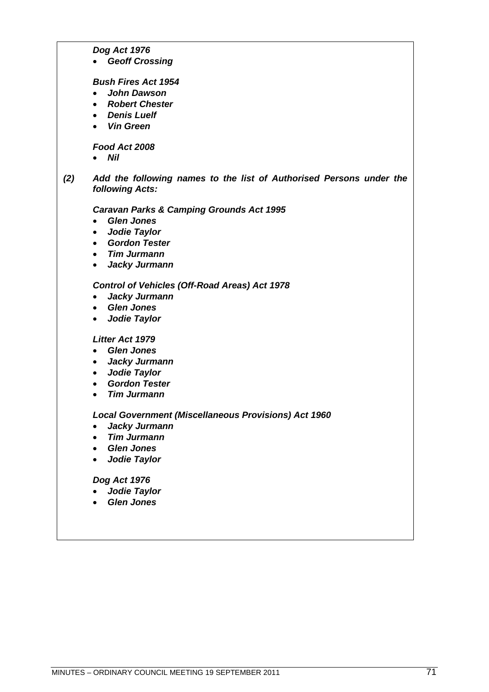### *Dog Act 1976*

*Geoff Crossing*

#### *Bush Fires Act 1954*

- *John Dawson*
- *Robert Chester*
- *Denis Luelf*
- *Vin Green*

### *Food Act 2008*

*Nil*

*(2) Add the following names to the list of Authorised Persons under the following Acts:*

*Caravan Parks & Camping Grounds Act 1995*

- *Glen Jones*
- *Jodie Taylor*
- *Gordon Tester*
- *Tim Jurmann*
- *Jacky Jurmann*

## *Control of Vehicles (Off-Road Areas) Act 1978*

- *Jacky Jurmann*
- *Glen Jones*
- *Jodie Taylor*

### *Litter Act 1979*

- *Glen Jones*
- *Jacky Jurmann*
- *Jodie Taylor*
- *Gordon Tester*
- *Tim Jurmann*

### *Local Government (Miscellaneous Provisions) Act 1960*

- *Jacky Jurmann*
- *Tim Jurmann*
- *Glen Jones*
- *Jodie Taylor*

#### *Dog Act 1976*

- *Jodie Taylor*
- *Glen Jones*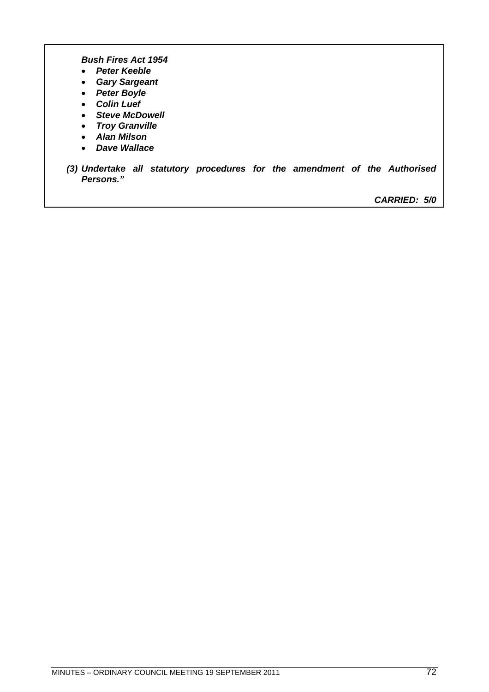*Bush Fires Act 1954*

- *Peter Keeble*
- *Gary Sargeant*
- *Peter Boyle*
- *Colin Luef*
- *Steve McDowell*
- *Troy Granville*
- *Alan Milson*
- *Dave Wallace*
- *(3) Undertake all statutory procedures for the amendment of the Authorised Persons."*

*CARRIED: 5/0*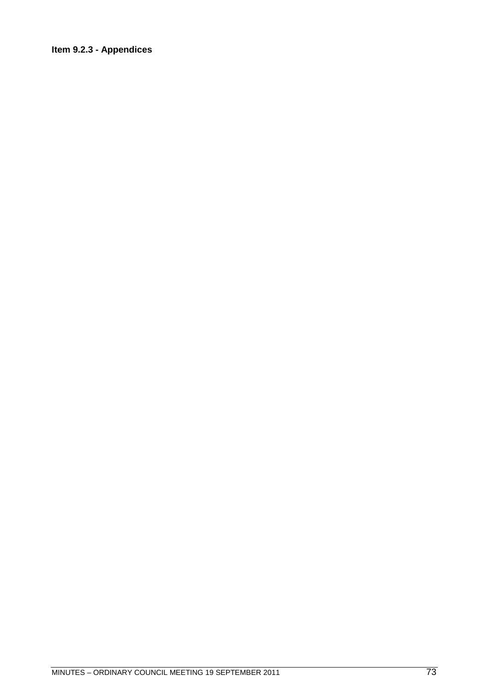# Item 9.2.3 - Appendices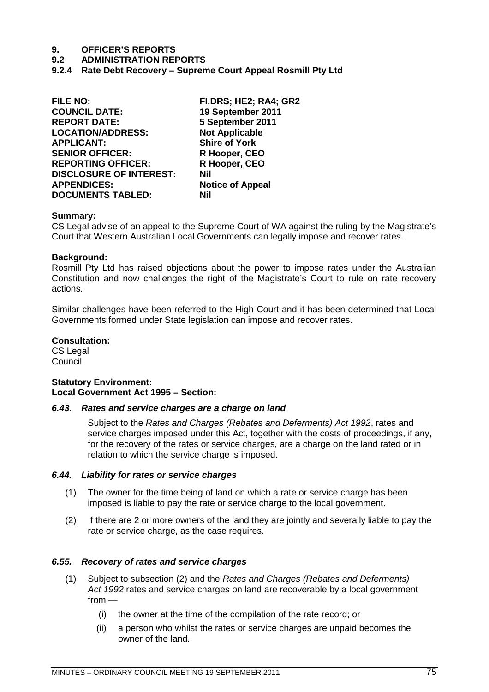# **9.2 ADMINISTRATION REPORTS**

**9.2.4 Rate Debt Recovery – Supreme Court Appeal Rosmill Pty Ltd**

| <b>FILE NO:</b>                | FI.DRS; HE2; RA4; GR2   |
|--------------------------------|-------------------------|
| <b>COUNCIL DATE:</b>           | 19 September 2011       |
| <b>REPORT DATE:</b>            | 5 September 2011        |
| <b>LOCATION/ADDRESS:</b>       | <b>Not Applicable</b>   |
| <b>APPLICANT:</b>              | <b>Shire of York</b>    |
| <b>SENIOR OFFICER:</b>         | R Hooper, CEO           |
| <b>REPORTING OFFICER:</b>      | R Hooper, CEO           |
| <b>DISCLOSURE OF INTEREST:</b> | Nil                     |
| <b>APPENDICES:</b>             | <b>Notice of Appeal</b> |
| <b>DOCUMENTS TABLED:</b>       | Nil                     |
|                                |                         |

# **Summary:**

CS Legal advise of an appeal to the Supreme Court of WA against the ruling by the Magistrate's Court that Western Australian Local Governments can legally impose and recover rates.

# **Background:**

Rosmill Pty Ltd has raised objections about the power to impose rates under the Australian Constitution and now challenges the right of the Magistrate's Court to rule on rate recovery actions.

Similar challenges have been referred to the High Court and it has been determined that Local Governments formed under State legislation can impose and recover rates.

# **Consultation:**

CS Legal **Council** 

# **Statutory Environment: Local Government Act 1995 – Section:**

# *6.43. Rates and service charges are a charge on land*

Subject to the *Rates and Charges (Rebates and Deferments) Act 1992*, rates and service charges imposed under this Act, together with the costs of proceedings, if any, for the recovery of the rates or service charges, are a charge on the land rated or in relation to which the service charge is imposed.

# *6.44. Liability for rates or service charges*

- (1) The owner for the time being of land on which a rate or service charge has been imposed is liable to pay the rate or service charge to the local government.
- (2) If there are 2 or more owners of the land they are jointly and severally liable to pay the rate or service charge, as the case requires.

# *6.55. Recovery of rates and service charges*

- (1) Subject to subsection (2) and the *Rates and Charges (Rebates and Deferments) Act 1992* rates and service charges on land are recoverable by a local government from —
	- (i) the owner at the time of the compilation of the rate record; or
	- (ii) a person who whilst the rates or service charges are unpaid becomes the owner of the land.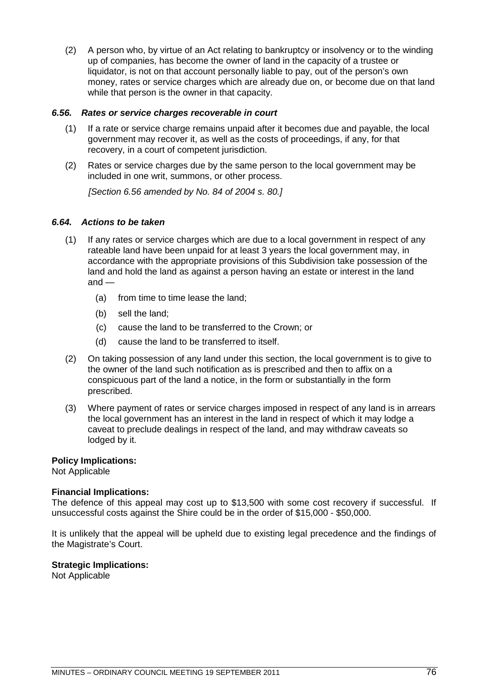(2) A person who, by virtue of an Act relating to bankruptcy or insolvency or to the winding up of companies, has become the owner of land in the capacity of a trustee or liquidator, is not on that account personally liable to pay, out of the person's own money, rates or service charges which are already due on, or become due on that land while that person is the owner in that capacity.

# *6.56. Rates or service charges recoverable in court*

- (1) If a rate or service charge remains unpaid after it becomes due and payable, the local government may recover it, as well as the costs of proceedings, if any, for that recovery, in a court of competent jurisdiction.
- (2) Rates or service charges due by the same person to the local government may be included in one writ, summons, or other process.

*[Section 6.56 amended by No. 84 of 2004 s. 80.]*

# *6.64. Actions to be taken*

- (1) If any rates or service charges which are due to a local government in respect of any rateable land have been unpaid for at least 3 years the local government may, in accordance with the appropriate provisions of this Subdivision take possession of the land and hold the land as against a person having an estate or interest in the land and —
	- (a) from time to time lease the land;
	- (b) sell the land;
	- (c) cause the land to be transferred to the Crown; or
	- (d) cause the land to be transferred to itself.
- (2) On taking possession of any land under this section, the local government is to give to the owner of the land such notification as is prescribed and then to affix on a conspicuous part of the land a notice, in the form or substantially in the form prescribed.
- (3) Where payment of rates or service charges imposed in respect of any land is in arrears the local government has an interest in the land in respect of which it may lodge a caveat to preclude dealings in respect of the land, and may withdraw caveats so lodged by it.

# **Policy Implications:**

Not Applicable

# **Financial Implications:**

The defence of this appeal may cost up to \$13,500 with some cost recovery if successful. If unsuccessful costs against the Shire could be in the order of \$15,000 - \$50,000.

It is unlikely that the appeal will be upheld due to existing legal precedence and the findings of the Magistrate's Court.

# **Strategic Implications:**

Not Applicable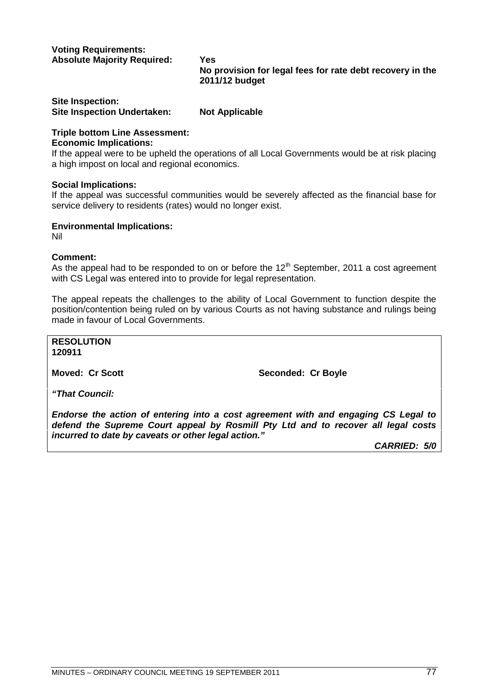# **Voting Requirements: Absolute Majority Required: Yes**

**No provision for legal fees for rate debt recovery in the 2011/12 budget**

# **Site Inspection: Site Inspection Undertaken: Not Applicable**

# **Triple bottom Line Assessment:**

# **Economic Implications:**

If the appeal were to be upheld the operations of all Local Governments would be at risk placing a high impost on local and regional economics.

# **Social Implications:**

If the appeal was successful communities would be severely affected as the financial base for service delivery to residents (rates) would no longer exist.

# **Environmental Implications:**

Nil

# **Comment:**

As the appeal had to be responded to on or before the 12<sup>th</sup> September, 2011 a cost agreement with CS Legal was entered into to provide for legal representation.

The appeal repeats the challenges to the ability of Local Government to function despite the position/contention being ruled on by various Courts as not having substance and rulings being made in favour of Local Governments.

**RESOLUTION 120911**

**Moved: Cr Scott** Seconded: Cr Boyle

*"That Council:*

*Endorse the action of entering into a cost agreement with and engaging CS Legal to defend the Supreme Court appeal by Rosmill Pty Ltd and to recover all legal costs incurred to date by caveats or other legal action."*

*CARRIED: 5/0*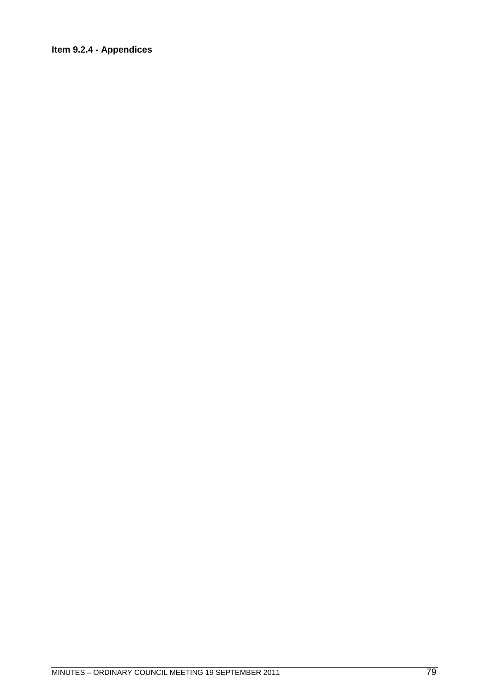# Item 9.2.4 - Appendices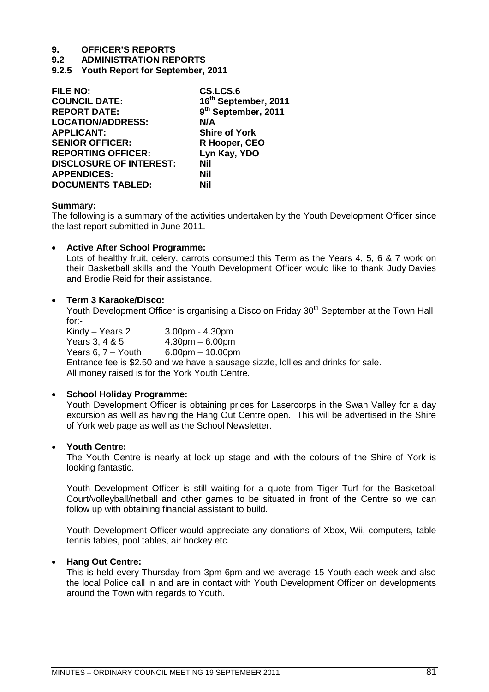# **9.2 ADMINISTRATION REPORTS**

**9.2.5 Youth Report for September, 2011**

| <b>FILE NO:</b>                | CS.LCS.6                        |
|--------------------------------|---------------------------------|
| <b>COUNCIL DATE:</b>           | 16th September, 2011            |
| <b>REPORT DATE:</b>            | 9 <sup>th</sup> September, 2011 |
| <b>LOCATION/ADDRESS:</b>       | N/A                             |
| <b>APPLICANT:</b>              | <b>Shire of York</b>            |
| <b>SENIOR OFFICER:</b>         | R Hooper, CEO                   |
| <b>REPORTING OFFICER:</b>      | Lyn Kay, YDO                    |
| <b>DISCLOSURE OF INTEREST:</b> | Nil                             |
| <b>APPENDICES:</b>             | Nil                             |
| <b>DOCUMENTS TABLED:</b>       | Nil                             |

# **Summary:**

The following is a summary of the activities undertaken by the Youth Development Officer since the last report submitted in June 2011.

# **Active After School Programme:**

Lots of healthy fruit, celery, carrots consumed this Term as the Years 4, 5, 6 & 7 work on their Basketball skills and the Youth Development Officer would like to thank Judy Davies and Brodie Reid for their assistance.

# **Term 3 Karaoke/Disco:**

Youth Development Officer is organising a Disco on Friday 30<sup>th</sup> September at the Town Hall for:-<br>Kindy – Years 2

3.00pm - 4.30pm Years 3, 4 & 5 4.30pm – 6.00pm Years 6, 7 – Youth 6.00pm – 10.00pm Entrance fee is \$2.50 and we have a sausage sizzle, lollies and drinks for sale. All money raised is for the York Youth Centre.

# **School Holiday Programme:**

Youth Development Officer is obtaining prices for Lasercorps in the Swan Valley for a day excursion as well as having the Hang Out Centre open. This will be advertised in the Shire of York web page as well as the School Newsletter.

# **Youth Centre:**

The Youth Centre is nearly at lock up stage and with the colours of the Shire of York is looking fantastic.

Youth Development Officer is still waiting for a quote from Tiger Turf for the Basketball Court/volleyball/netball and other games to be situated in front of the Centre so we can follow up with obtaining financial assistant to build.

Youth Development Officer would appreciate any donations of Xbox, Wii, computers, table tennis tables, pool tables, air hockey etc.

# **Hang Out Centre:**

This is held every Thursday from 3pm-6pm and we average 15 Youth each week and also the local Police call in and are in contact with Youth Development Officer on developments around the Town with regards to Youth.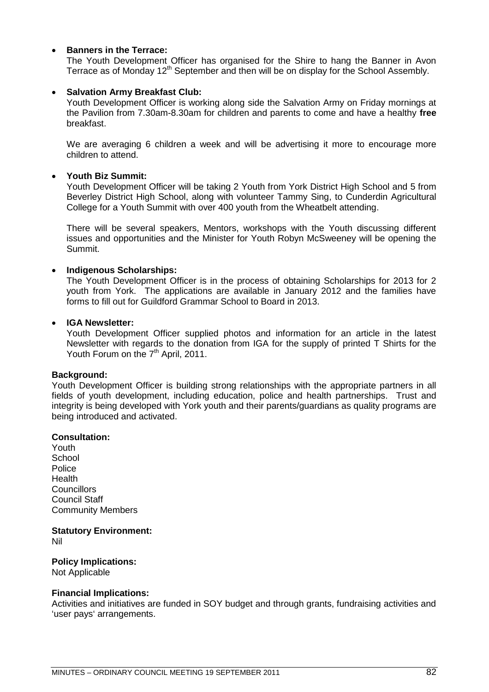# **Banners in the Terrace:**

The Youth Development Officer has organised for the Shire to hang the Banner in Avon Terrace as of Monday 12<sup>th</sup> September and then will be on display for the School Assembly.

# **Salvation Army Breakfast Club:**

Youth Development Officer is working along side the Salvation Army on Friday mornings at the Pavilion from 7.30am-8.30am for children and parents to come and have a healthy **free** breakfast.

We are averaging 6 children a week and will be advertising it more to encourage more children to attend.

# **Youth Biz Summit:**

Youth Development Officer will be taking 2 Youth from York District High School and 5 from Beverley District High School, along with volunteer Tammy Sing, to Cunderdin Agricultural College for a Youth Summit with over 400 youth from the Wheatbelt attending.

There will be several speakers, Mentors, workshops with the Youth discussing different issues and opportunities and the Minister for Youth Robyn McSweeney will be opening the Summit.

# **Indigenous Scholarships:**

The Youth Development Officer is in the process of obtaining Scholarships for 2013 for 2 youth from York. The applications are available in January 2012 and the families have forms to fill out for Guildford Grammar School to Board in 2013.

# **IGA Newsletter:**

Youth Development Officer supplied photos and information for an article in the latest Newsletter with regards to the donation from IGA for the supply of printed T Shirts for the Youth Forum on the 7<sup>th</sup> April, 2011.

# **Background:**

Youth Development Officer is building strong relationships with the appropriate partners in all fields of youth development, including education, police and health partnerships. Trust and integrity is being developed with York youth and their parents/guardians as quality programs are being introduced and activated.

# **Consultation:**

Youth **School Police Health Councillors** Council Staff Community Members

# **Statutory Environment:**

Nil

# **Policy Implications:**

Not Applicable

# **Financial Implications:**

Activities and initiatives are funded in SOY budget and through grants, fundraising activities and 'user pays' arrangements.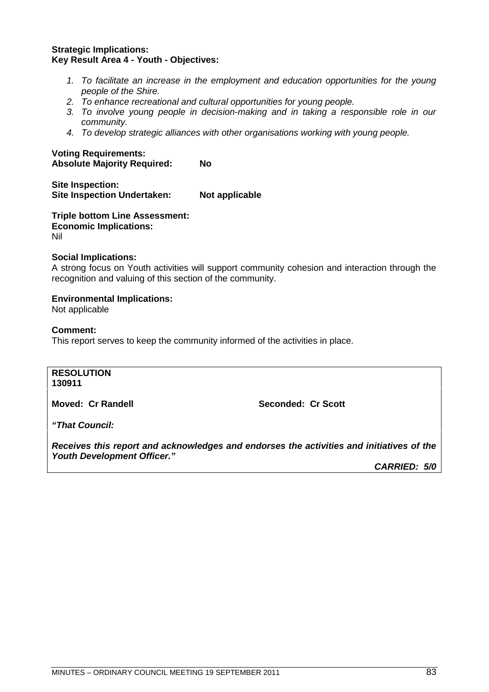# **Strategic Implications: Key Result Area 4 - Youth - Objectives:**

- *1. To facilitate an increase in the employment and education opportunities for the young people of the Shire.*
- *2. To enhance recreational and cultural opportunities for young people.*
- *3. To involve young people in decision-making and in taking a responsible role in our community.*
- *4. To develop strategic alliances with other organisations working with young people.*

# **Voting Requirements: Absolute Majority Required: No**

**Site Inspection: Site Inspection Undertaken: Not applicable** 

**Triple bottom Line Assessment: Economic Implications:** Nil

# **Social Implications:**

A strong focus on Youth activities will support community cohesion and interaction through the recognition and valuing of this section of the community.

# **Environmental Implications:**

Not applicable

# **Comment:**

This report serves to keep the community informed of the activities in place.

# **RESOLUTION**

**130911**

**Moved: Cr Randell Seconded: Cr Scott** 

*"That Council:*

*Receives this report and acknowledges and endorses the activities and initiatives of the Youth Development Officer."*

*CARRIED: 5/0*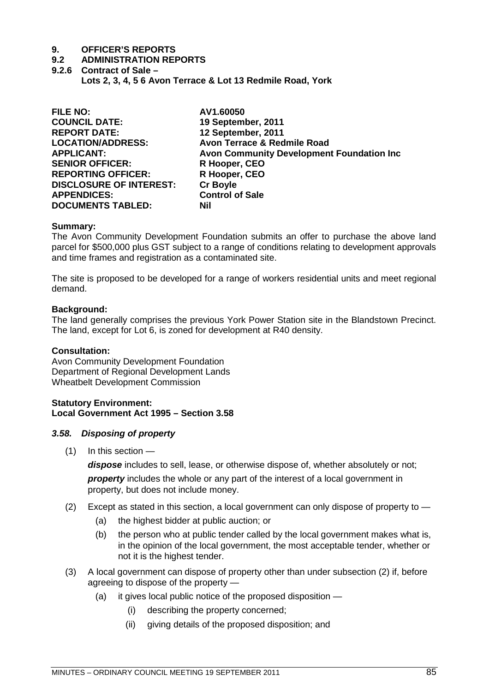- **9.2 ADMINISTRATION REPORTS**
- **9.2.6 Contract of Sale – Lots 2, 3, 4, 5 6 Avon Terrace & Lot 13 Redmile Road, York**

| <b>FILE NO:</b>                | AV1.60050                                         |
|--------------------------------|---------------------------------------------------|
| <b>COUNCIL DATE:</b>           | 19 September, 2011                                |
| <b>REPORT DATE:</b>            | 12 September, 2011                                |
| <b>LOCATION/ADDRESS:</b>       | Avon Terrace & Redmile Road                       |
| <b>APPLICANT:</b>              | <b>Avon Community Development Foundation Inc.</b> |
| <b>SENIOR OFFICER:</b>         | R Hooper, CEO                                     |
| <b>REPORTING OFFICER:</b>      | R Hooper, CEO                                     |
| <b>DISCLOSURE OF INTEREST:</b> | <b>Cr Boyle</b>                                   |
| <b>APPENDICES:</b>             | <b>Control of Sale</b>                            |
| <b>DOCUMENTS TABLED:</b>       | Nil                                               |
|                                |                                                   |

# **Summary:**

The Avon Community Development Foundation submits an offer to purchase the above land parcel for \$500,000 plus GST subject to a range of conditions relating to development approvals and time frames and registration as a contaminated site.

The site is proposed to be developed for a range of workers residential units and meet regional demand.

# **Background:**

The land generally comprises the previous York Power Station site in the Blandstown Precinct. The land, except for Lot 6, is zoned for development at R40 density.

# **Consultation:**

Avon Community Development Foundation Department of Regional Development Lands Wheatbelt Development Commission

# **Statutory Environment: Local Government Act 1995 – Section 3.58**

# *3.58. Disposing of property*

(1) In this section —

*dispose* includes to sell, lease, or otherwise dispose of, whether absolutely or not; *property* includes the whole or any part of the interest of a local government in property, but does not include money.

- (2) Except as stated in this section, a local government can only dispose of property to
	- (a) the highest bidder at public auction; or
	- (b) the person who at public tender called by the local government makes what is, in the opinion of the local government, the most acceptable tender, whether or not it is the highest tender.
- (3) A local government can dispose of property other than under subsection (2) if, before agreeing to dispose of the property —
	- (a) it gives local public notice of the proposed disposition
		- (i) describing the property concerned;
		- (ii) giving details of the proposed disposition; and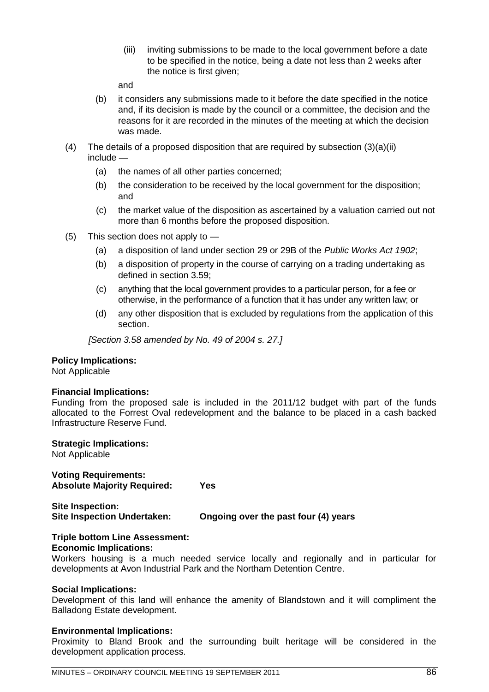(iii) inviting submissions to be made to the local government before a date to be specified in the notice, being a date not less than 2 weeks after the notice is first given;

and

- (b) it considers any submissions made to it before the date specified in the notice and, if its decision is made by the council or a committee, the decision and the reasons for it are recorded in the minutes of the meeting at which the decision was made.
- (4) The details of a proposed disposition that are required by subsection (3)(a)(ii) include —
	- (a) the names of all other parties concerned;
	- (b) the consideration to be received by the local government for the disposition; and
	- (c) the market value of the disposition as ascertained by a valuation carried out not more than 6 months before the proposed disposition.
- (5) This section does not apply to
	- (a) a disposition of land under section 29 or 29B of the *Public Works Act 1902*;
	- (b) a disposition of property in the course of carrying on a trading undertaking as defined in section 3.59;
	- (c) anything that the local government provides to a particular person, for a fee or otherwise, in the performance of a function that it has under any written law; or
	- (d) any other disposition that is excluded by regulations from the application of this section.

*[Section 3.58 amended by No. 49 of 2004 s. 27.]*

# **Policy Implications:**

Not Applicable

# **Financial Implications:**

Funding from the proposed sale is included in the 2011/12 budget with part of the funds allocated to the Forrest Oval redevelopment and the balance to be placed in a cash backed Infrastructure Reserve Fund.

# **Strategic Implications:**

Not Applicable

**Voting Requirements: Absolute Majority Required: Yes**

**Site Inspection: Site Inspection Undertaken: Ongoing over the past four (4) years**

# **Triple bottom Line Assessment:**

# **Economic Implications:**

Workers housing is a much needed service locally and regionally and in particular for developments at Avon Industrial Park and the Northam Detention Centre.

# **Social Implications:**

Development of this land will enhance the amenity of Blandstown and it will compliment the Balladong Estate development.

# **Environmental Implications:**

Proximity to Bland Brook and the surrounding built heritage will be considered in the development application process.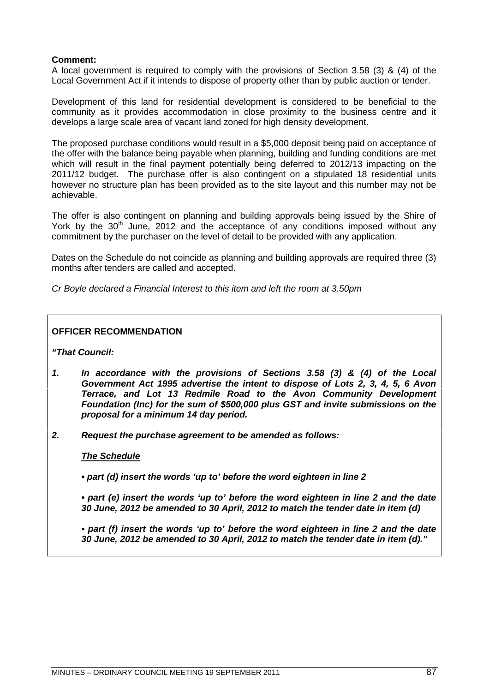# **Comment:**

A local government is required to comply with the provisions of Section 3.58 (3) & (4) of the Local Government Act if it intends to dispose of property other than by public auction or tender.

Development of this land for residential development is considered to be beneficial to the community as it provides accommodation in close proximity to the business centre and it develops a large scale area of vacant land zoned for high density development.

The proposed purchase conditions would result in a \$5,000 deposit being paid on acceptance of the offer with the balance being payable when planning, building and funding conditions are met which will result in the final payment potentially being deferred to 2012/13 impacting on the 2011/12 budget. The purchase offer is also contingent on a stipulated 18 residential units however no structure plan has been provided as to the site layout and this number may not be achievable.

The offer is also contingent on planning and building approvals being issued by the Shire of York by the  $30<sup>th</sup>$  June, 2012 and the acceptance of any conditions imposed without any commitment by the purchaser on the level of detail to be provided with any application.

Dates on the Schedule do not coincide as planning and building approvals are required three (3) months after tenders are called and accepted.

*Cr Boyle declared a Financial Interest to this item and left the room at 3.50pm*

# **OFFICER RECOMMENDATION**

*"That Council:*

- *1. In accordance with the provisions of Sections 3.58 (3) & (4) of the Local Government Act 1995 advertise the intent to dispose of Lots 2, 3, 4, 5, 6 Avon Terrace, and Lot 13 Redmile Road to the Avon Community Development Foundation (Inc) for the sum of \$500,000 plus GST and invite submissions on the proposal for a minimum 14 day period.*
- *2. Request the purchase agreement to be amended as follows:*

# *The Schedule*

*• part (d) insert the words 'up to' before the word eighteen in line 2*

*• part (e) insert the words 'up to' before the word eighteen in line 2 and the date 30 June, 2012 be amended to 30 April, 2012 to match the tender date in item (d)*

*• part (f) insert the words 'up to' before the word eighteen in line 2 and the date 30 June, 2012 be amended to 30 April, 2012 to match the tender date in item (d)."*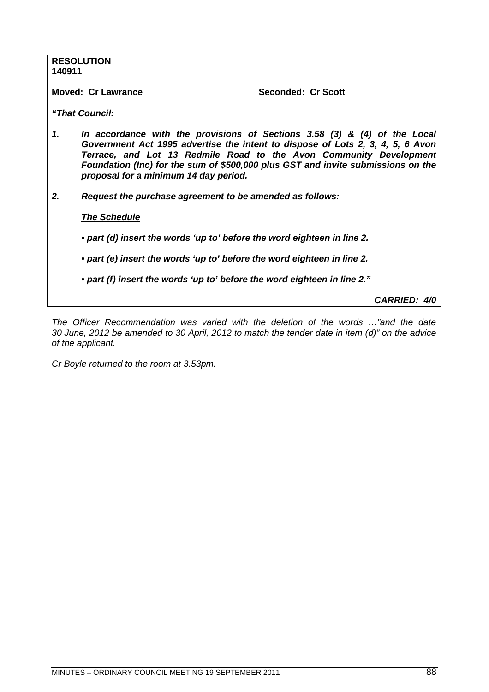| 140911 | <b>RESOLUTION</b>                                                                                                                                                                                                                                                                                                                                              |
|--------|----------------------------------------------------------------------------------------------------------------------------------------------------------------------------------------------------------------------------------------------------------------------------------------------------------------------------------------------------------------|
|        | <b>Moved: Cr Lawrance</b><br>Seconded: Cr Scott                                                                                                                                                                                                                                                                                                                |
|        | "That Council:                                                                                                                                                                                                                                                                                                                                                 |
| 1.     | In accordance with the provisions of Sections 3.58 (3) & (4) of the Local<br>Government Act 1995 advertise the intent to dispose of Lots 2, 3, 4, 5, 6 Avon<br>Terrace, and Lot 13 Redmile Road to the Avon Community Development<br>Foundation (Inc) for the sum of \$500,000 plus GST and invite submissions on the<br>proposal for a minimum 14 day period. |
| 2.     | Request the purchase agreement to be amended as follows:                                                                                                                                                                                                                                                                                                       |
|        | <b>The Schedule</b>                                                                                                                                                                                                                                                                                                                                            |
|        | • part (d) insert the words 'up to' before the word eighteen in line 2.                                                                                                                                                                                                                                                                                        |
|        | • part (e) insert the words 'up to' before the word eighteen in line 2.                                                                                                                                                                                                                                                                                        |
|        | • part (f) insert the words 'up to' before the word eighteen in line 2."                                                                                                                                                                                                                                                                                       |
|        |                                                                                                                                                                                                                                                                                                                                                                |

*CARRIED: 4/0*

*The Officer Recommendation was varied with the deletion of the words …"and the date 30 June, 2012 be amended to 30 April, 2012 to match the tender date in item (d)" on the advice of the applicant.*

*Cr Boyle returned to the room at 3.53pm.*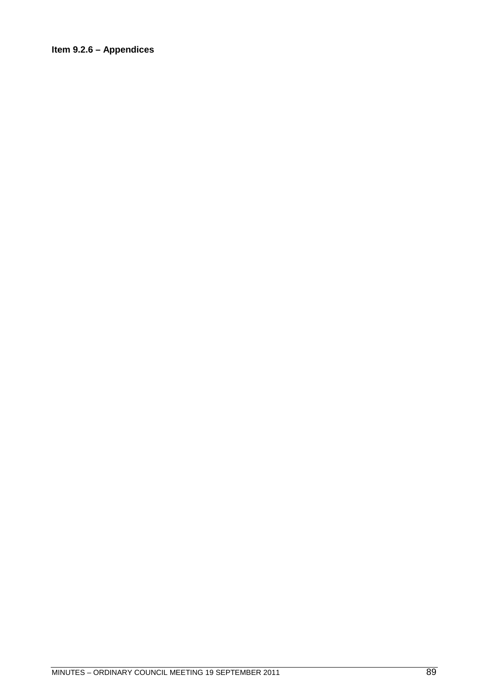# Item 9.2.6 - Appendices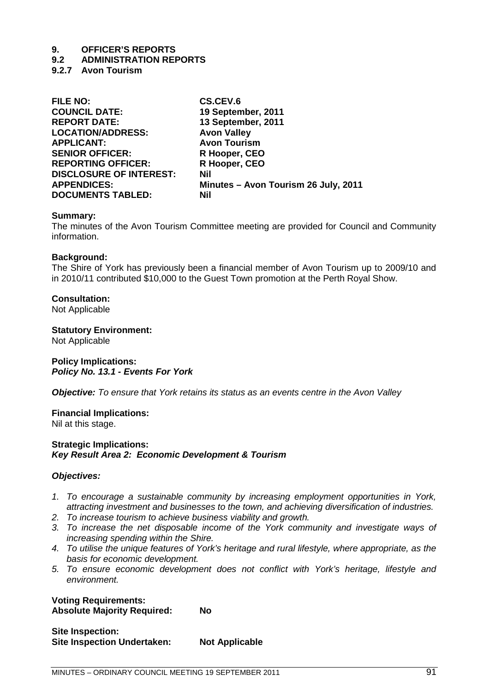# **9.2 ADMINISTRATION REPORTS**

**9.2.7 Avon Tourism**

| <b>FILE NO:</b>                | CS.CEV.6                             |
|--------------------------------|--------------------------------------|
| <b>COUNCIL DATE:</b>           | 19 September, 2011                   |
| <b>REPORT DATE:</b>            | 13 September, 2011                   |
| <b>LOCATION/ADDRESS:</b>       | <b>Avon Valley</b>                   |
| <b>APPLICANT:</b>              | <b>Avon Tourism</b>                  |
| <b>SENIOR OFFICER:</b>         | R Hooper, CEO                        |
| <b>REPORTING OFFICER:</b>      | R Hooper, CEO                        |
| <b>DISCLOSURE OF INTEREST:</b> | Nil                                  |
| <b>APPENDICES:</b>             | Minutes - Avon Tourism 26 July, 2011 |
| <b>DOCUMENTS TABLED:</b>       | Nil                                  |

# **Summary:**

The minutes of the Avon Tourism Committee meeting are provided for Council and Community information.

# **Background:**

The Shire of York has previously been a financial member of Avon Tourism up to 2009/10 and in 2010/11 contributed \$10,000 to the Guest Town promotion at the Perth Royal Show.

# **Consultation:**

Not Applicable

# **Statutory Environment:**

Not Applicable

**Policy Implications:** *Policy No. 13.1 - Events For York*

*Objective: To ensure that York retains its status as an events centre in the Avon Valley*

# **Financial Implications:**

Nil at this stage.

# **Strategic Implications:** *Key Result Area 2: Economic Development & Tourism*

# *Objectives:*

- *1. To encourage a sustainable community by increasing employment opportunities in York, attracting investment and businesses to the town, and achieving diversification of industries.*
- *2. To increase tourism to achieve business viability and growth.*
- *3. To increase the net disposable income of the York community and investigate ways of increasing spending within the Shire.*
- *4. To utilise the unique features of York's heritage and rural lifestyle, where appropriate, as the basis for economic development.*
- *5. To ensure economic development does not conflict with York's heritage, lifestyle and environment.*

**Voting Requirements: Absolute Majority Required: No**

| Site Inspection:                   |                       |
|------------------------------------|-----------------------|
| <b>Site Inspection Undertaken:</b> | <b>Not Applicable</b> |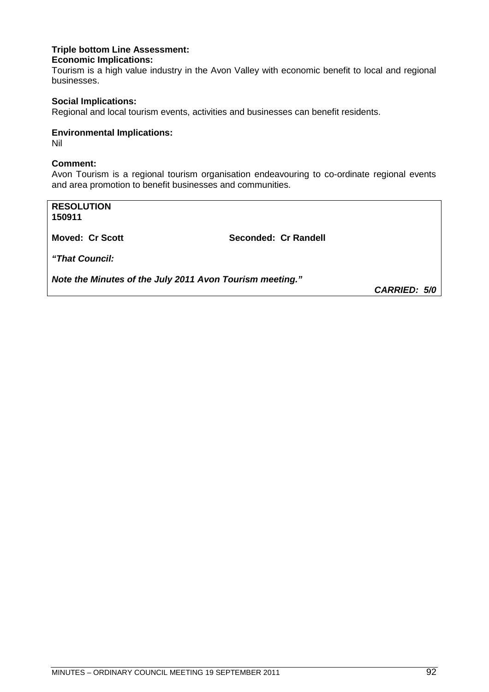# **Triple bottom Line Assessment: Economic Implications:**

Tourism is a high value industry in the Avon Valley with economic benefit to local and regional businesses.

# **Social Implications:**

Regional and local tourism events, activities and businesses can benefit residents.

# **Environmental Implications:**

Nil

# **Comment:**

Avon Tourism is a regional tourism organisation endeavouring to co-ordinate regional events and area promotion to benefit businesses and communities.

**RESOLUTION 150911 Moved: Cr Scott** Seconded: Cr Randell *"That Council: Note the Minutes of the July 2011 Avon Tourism meeting."*

*CARRIED: 5/0*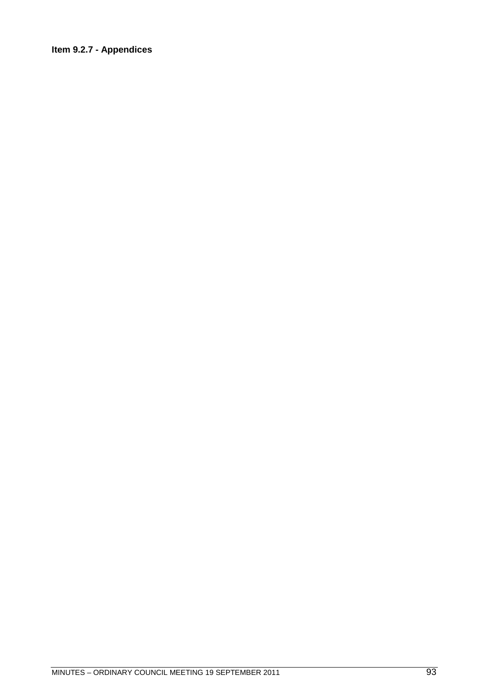# Item 9.2.7 - Appendices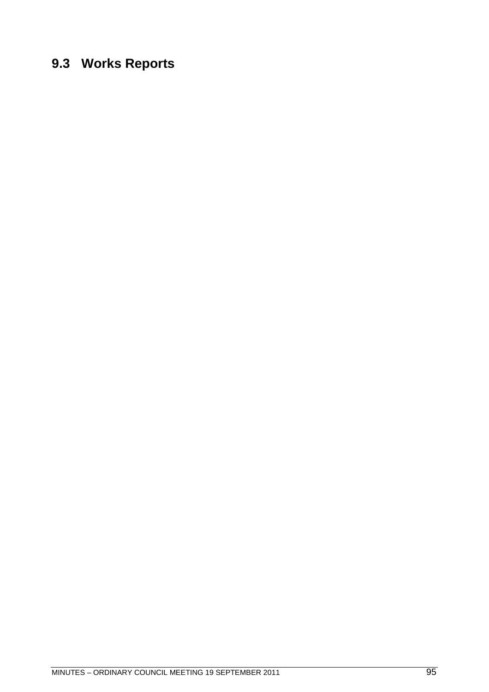# **9.3 Works Reports**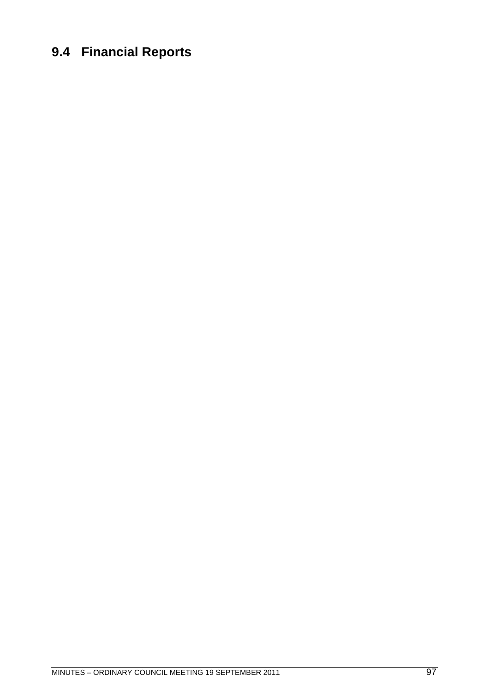# **9.4 Financial Reports**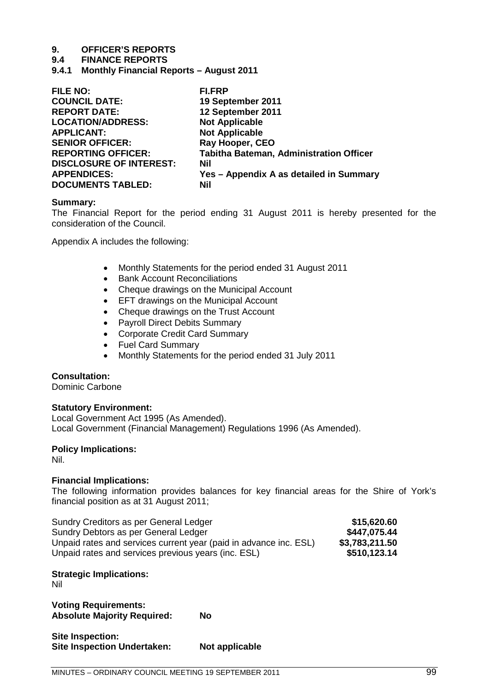# **9.4 FINANCE REPORTS**

**9.4.1 Monthly Financial Reports – August 2011**

| <b>FI.FRP</b>                                  |
|------------------------------------------------|
| 19 September 2011                              |
| 12 September 2011                              |
| <b>Not Applicable</b>                          |
| <b>Not Applicable</b>                          |
| Ray Hooper, CEO                                |
| <b>Tabitha Bateman, Administration Officer</b> |
| Nil                                            |
| Yes - Appendix A as detailed in Summary        |
| Nil                                            |
|                                                |

# **Summary:**

The Financial Report for the period ending 31 August 2011 is hereby presented for the consideration of the Council.

Appendix A includes the following:

- Monthly Statements for the period ended 31 August 2011
- Bank Account Reconciliations
- Cheque drawings on the Municipal Account
- **EFT drawings on the Municipal Account**
- Cheque drawings on the Trust Account
- Payroll Direct Debits Summary
- Corporate Credit Card Summary
- Fuel Card Summary
- Monthly Statements for the period ended 31 July 2011

# **Consultation:**

Dominic Carbone

# **Statutory Environment:**

Local Government Act 1995 (As Amended). Local Government (Financial Management) Regulations 1996 (As Amended).

# **Policy Implications:**

Nil.

# **Financial Implications:**

The following information provides balances for key financial areas for the Shire of York's financial position as at 31 August 2011;

| Sundry Creditors as per General Ledger                            | \$15,620.60    |
|-------------------------------------------------------------------|----------------|
| Sundry Debtors as per General Ledger                              | \$447,075.44   |
| Unpaid rates and services current year (paid in advance inc. ESL) | \$3,783,211.50 |
| Unpaid rates and services previous years (inc. ESL)               | \$510,123.14   |

# **Strategic Implications:**

Nil

**Voting Requirements: Absolute Majority Required: No**

| Site Inspection:                   |                |
|------------------------------------|----------------|
| <b>Site Inspection Undertaken:</b> | Not applicable |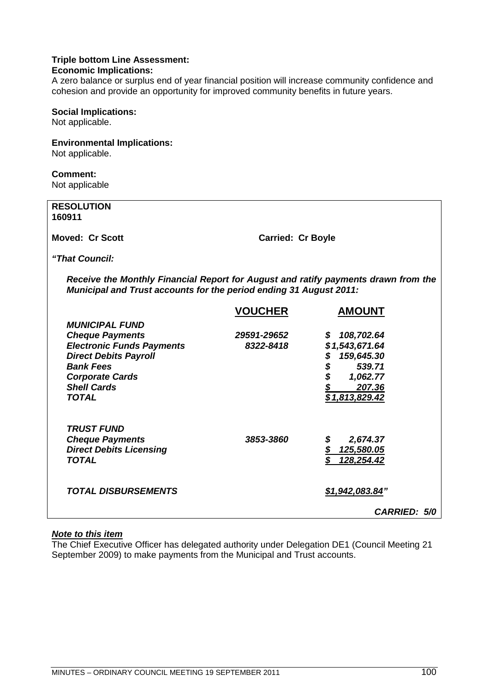# **Triple bottom Line Assessment:**

# **Economic Implications:**

A zero balance or surplus end of year financial position will increase community confidence and cohesion and provide an opportunity for improved community benefits in future years.

# **Social Implications:**

Not applicable.

# **Environmental Implications:**

Not applicable.

# **Comment:**

Not applicable

| <b>RESOLUTION</b><br>160911                                                                                                                              |                          |
|----------------------------------------------------------------------------------------------------------------------------------------------------------|--------------------------|
| <b>Moved: Cr Scott</b>                                                                                                                                   | <b>Carried: Cr Boyle</b> |
| <i><b>"That Council:</b></i>                                                                                                                             |                          |
| Receive the Monthly Financial Report for August and ratify payments drawn from the<br>Municipal and Trust accounts for the period ending 31 August 2011: |                          |

|                                                                                                                                                                                                         | <b>VOUCHER</b>           | <b>AMOUNT</b>                                                                                                        |
|---------------------------------------------------------------------------------------------------------------------------------------------------------------------------------------------------------|--------------------------|----------------------------------------------------------------------------------------------------------------------|
| <b>MUNICIPAL FUND</b><br><b>Cheque Payments</b><br><b>Electronic Funds Payments</b><br><b>Direct Debits Payroll</b><br><b>Bank Fees</b><br><b>Corporate Cards</b><br><b>Shell Cards</b><br><b>TOTAL</b> | 29591-29652<br>8322-8418 | 108,702.64<br>S.<br>\$1,543,671.64<br>159,645.30<br>\$<br>\$<br>539.71<br>\$<br>1,062.77<br>207.36<br>\$1,813,829.42 |
| <b>TRUST FUND</b><br><b>Cheque Payments</b><br><b>Direct Debits Licensing</b><br><b>TOTAL</b>                                                                                                           | 3853-3860                | \$<br>2,674.37<br>125,580.05<br>128,254.42                                                                           |
| <b>TOTAL DISBURSEMENTS</b>                                                                                                                                                                              |                          | \$1,942,083.84"<br><b>CARRIED: 5/0</b>                                                                               |

# *Note to this item*

The Chief Executive Officer has delegated authority under Delegation DE1 (Council Meeting 21 September 2009) to make payments from the Municipal and Trust accounts.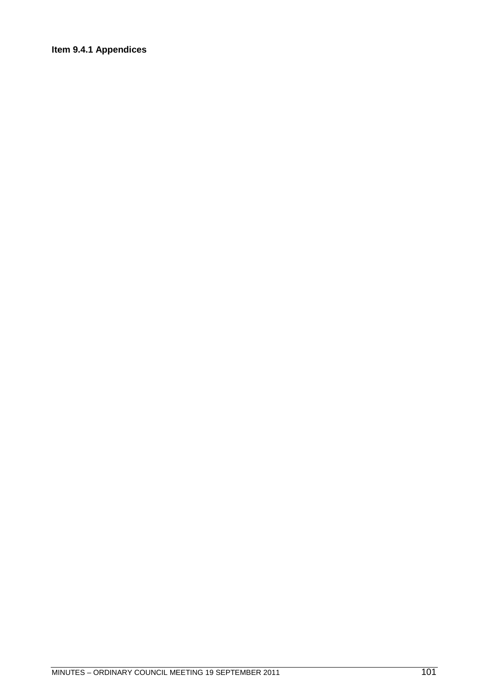# Item 9.4.1 Appendices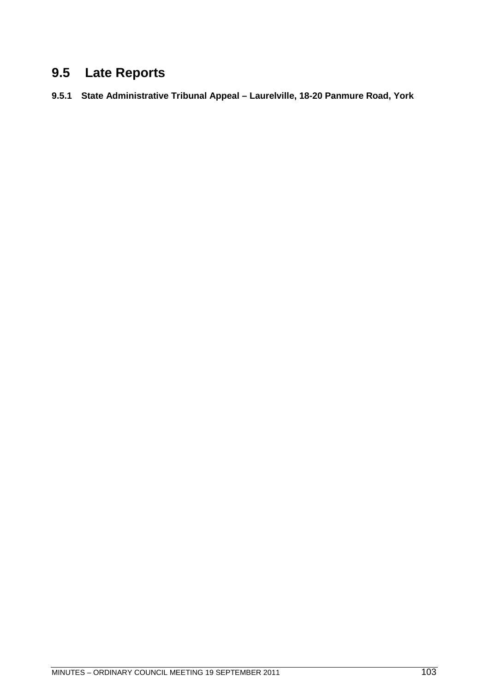# **9.5 Late Reports**

**9.5.1 State Administrative Tribunal Appeal – Laurelville, 18-20 Panmure Road, York**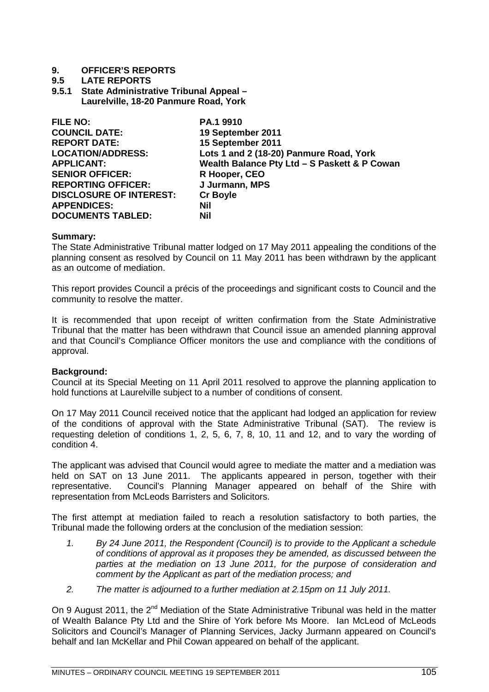# **9.5 LATE REPORTS**

**9.5.1 State Administrative Tribunal Appeal – Laurelville, 18-20 Panmure Road, York**

| <b>FILE NO:</b>                | PA.1 9910                                    |
|--------------------------------|----------------------------------------------|
| <b>COUNCIL DATE:</b>           | 19 September 2011                            |
| <b>REPORT DATE:</b>            | 15 September 2011                            |
| <b>LOCATION/ADDRESS:</b>       | Lots 1 and 2 (18-20) Panmure Road, York      |
| <b>APPLICANT:</b>              | Wealth Balance Pty Ltd - S Paskett & P Cowan |
| <b>SENIOR OFFICER:</b>         | R Hooper, CEO                                |
| <b>REPORTING OFFICER:</b>      | J Jurmann, MPS                               |
| <b>DISCLOSURE OF INTEREST:</b> | <b>Cr Boyle</b>                              |
| <b>APPENDICES:</b>             | <b>Nil</b>                                   |
| <b>DOCUMENTS TABLED:</b>       | Nil                                          |

# **Summary:**

The State Administrative Tribunal matter lodged on 17 May 2011 appealing the conditions of the planning consent as resolved by Council on 11 May 2011 has been withdrawn by the applicant as an outcome of mediation.

This report provides Council a précis of the proceedings and significant costs to Council and the community to resolve the matter.

It is recommended that upon receipt of written confirmation from the State Administrative Tribunal that the matter has been withdrawn that Council issue an amended planning approval and that Council's Compliance Officer monitors the use and compliance with the conditions of approval.

# **Background:**

Council at its Special Meeting on 11 April 2011 resolved to approve the planning application to hold functions at Laurelville subject to a number of conditions of consent.

On 17 May 2011 Council received notice that the applicant had lodged an application for review of the conditions of approval with the State Administrative Tribunal (SAT). The review is requesting deletion of conditions 1, 2, 5, 6, 7, 8, 10, 11 and 12, and to vary the wording of condition 4.

The applicant was advised that Council would agree to mediate the matter and a mediation was held on SAT on 13 June 2011. The applicants appeared in person, together with their representative. Council's Planning Manager appeared on behalf of the Shire with representation from McLeods Barristers and Solicitors.

The first attempt at mediation failed to reach a resolution satisfactory to both parties, the Tribunal made the following orders at the conclusion of the mediation session:

- *1. By 24 June 2011, the Respondent (Council) is to provide to the Applicant a schedule of conditions of approval as it proposes they be amended, as discussed between the parties at the mediation on 13 June 2011, for the purpose of consideration and comment by the Applicant as part of the mediation process; and*
- *2. The matter is adjourned to a further mediation at 2.15pm on 11 July 2011.*

On 9 August 2011, the 2<sup>nd</sup> Mediation of the State Administrative Tribunal was held in the matter of Wealth Balance Pty Ltd and the Shire of York before Ms Moore. Ian McLeod of McLeods Solicitors and Council's Manager of Planning Services, Jacky Jurmann appeared on Council's behalf and Ian McKellar and Phil Cowan appeared on behalf of the applicant.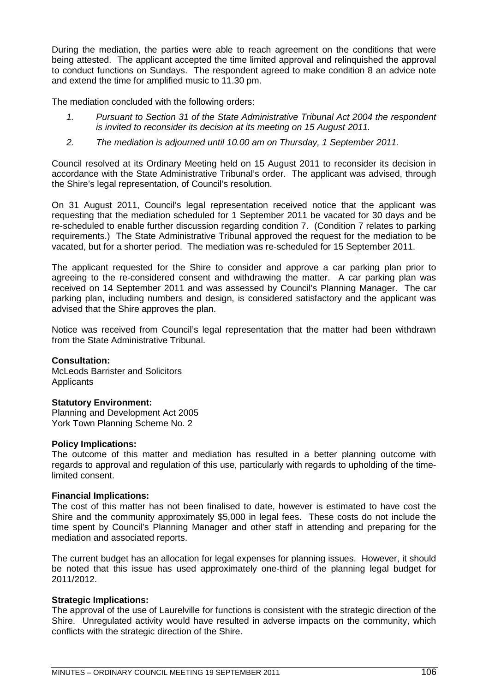During the mediation, the parties were able to reach agreement on the conditions that were being attested. The applicant accepted the time limited approval and relinquished the approval to conduct functions on Sundays. The respondent agreed to make condition 8 an advice note and extend the time for amplified music to 11.30 pm.

The mediation concluded with the following orders:

- *1. Pursuant to Section 31 of the State Administrative Tribunal Act 2004 the respondent is invited to reconsider its decision at its meeting on 15 August 2011.*
- *2. The mediation is adjourned until 10.00 am on Thursday, 1 September 2011.*

Council resolved at its Ordinary Meeting held on 15 August 2011 to reconsider its decision in accordance with the State Administrative Tribunal's order. The applicant was advised, through the Shire's legal representation, of Council's resolution.

On 31 August 2011, Council's legal representation received notice that the applicant was requesting that the mediation scheduled for 1 September 2011 be vacated for 30 days and be re-scheduled to enable further discussion regarding condition 7. (Condition 7 relates to parking requirements.) The State Administrative Tribunal approved the request for the mediation to be vacated, but for a shorter period. The mediation was re-scheduled for 15 September 2011.

The applicant requested for the Shire to consider and approve a car parking plan prior to agreeing to the re-considered consent and withdrawing the matter. A car parking plan was received on 14 September 2011 and was assessed by Council's Planning Manager. The car parking plan, including numbers and design, is considered satisfactory and the applicant was advised that the Shire approves the plan.

Notice was received from Council's legal representation that the matter had been withdrawn from the State Administrative Tribunal.

# **Consultation:**

McLeods Barrister and Solicitors **Applicants** 

# **Statutory Environment:**

Planning and Development Act 2005 York Town Planning Scheme No. 2

# **Policy Implications:**

The outcome of this matter and mediation has resulted in a better planning outcome with regards to approval and regulation of this use, particularly with regards to upholding of the timelimited consent.

# **Financial Implications:**

The cost of this matter has not been finalised to date, however is estimated to have cost the Shire and the community approximately \$5,000 in legal fees. These costs do not include the time spent by Council's Planning Manager and other staff in attending and preparing for the mediation and associated reports.

The current budget has an allocation for legal expenses for planning issues. However, it should be noted that this issue has used approximately one-third of the planning legal budget for 2011/2012.

# **Strategic Implications:**

The approval of the use of Laurelville for functions is consistent with the strategic direction of the Shire. Unregulated activity would have resulted in adverse impacts on the community, which conflicts with the strategic direction of the Shire.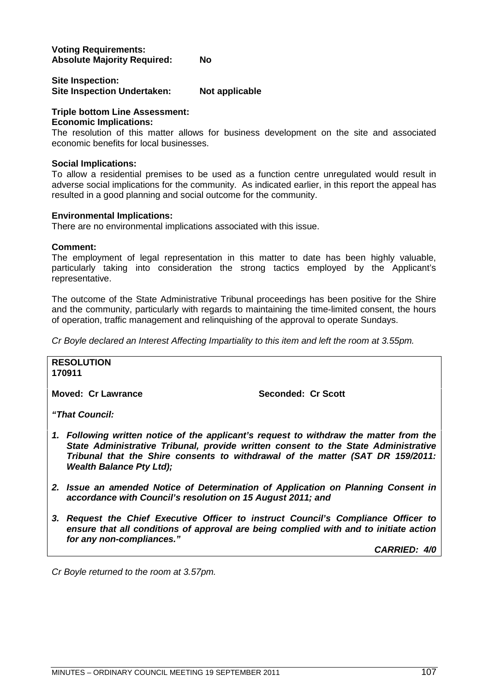# **Voting Requirements: Absolute Majority Required: No**

# **Site Inspection: Site Inspection Undertaken: Not applicable**

# **Triple bottom Line Assessment:**

# **Economic Implications:**

The resolution of this matter allows for business development on the site and associated economic benefits for local businesses.

# **Social Implications:**

To allow a residential premises to be used as a function centre unregulated would result in adverse social implications for the community. As indicated earlier, in this report the appeal has resulted in a good planning and social outcome for the community.

# **Environmental Implications:**

There are no environmental implications associated with this issue.

# **Comment:**

The employment of legal representation in this matter to date has been highly valuable, particularly taking into consideration the strong tactics employed by the Applicant's representative.

The outcome of the State Administrative Tribunal proceedings has been positive for the Shire and the community, particularly with regards to maintaining the time-limited consent, the hours of operation, traffic management and relinquishing of the approval to operate Sundays.

*Cr Boyle declared an Interest Affecting Impartiality to this item and left the room at 3.55pm.*

#### **RESOLUTION 170911**

**Moved: Cr Lawrance Seconded: Cr Scott** 

*"That Council:*

- *1. Following written notice of the applicant's request to withdraw the matter from the State Administrative Tribunal, provide written consent to the State Administrative Tribunal that the Shire consents to withdrawal of the matter (SAT DR 159/2011: Wealth Balance Pty Ltd);*
- *2. Issue an amended Notice of Determination of Application on Planning Consent in accordance with Council's resolution on 15 August 2011; and*
- *3. Request the Chief Executive Officer to instruct Council's Compliance Officer to ensure that all conditions of approval are being complied with and to initiate action for any non-compliances."*

*CARRIED: 4/0*

*Cr Boyle returned to the room at 3.57pm.*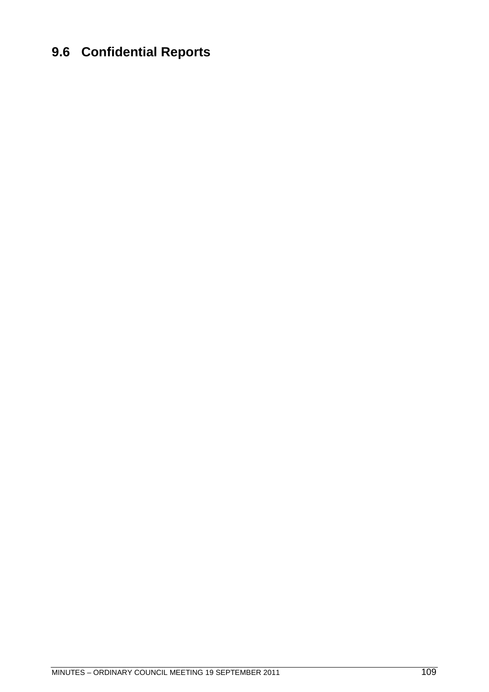## **9.6 Confidential Reports**